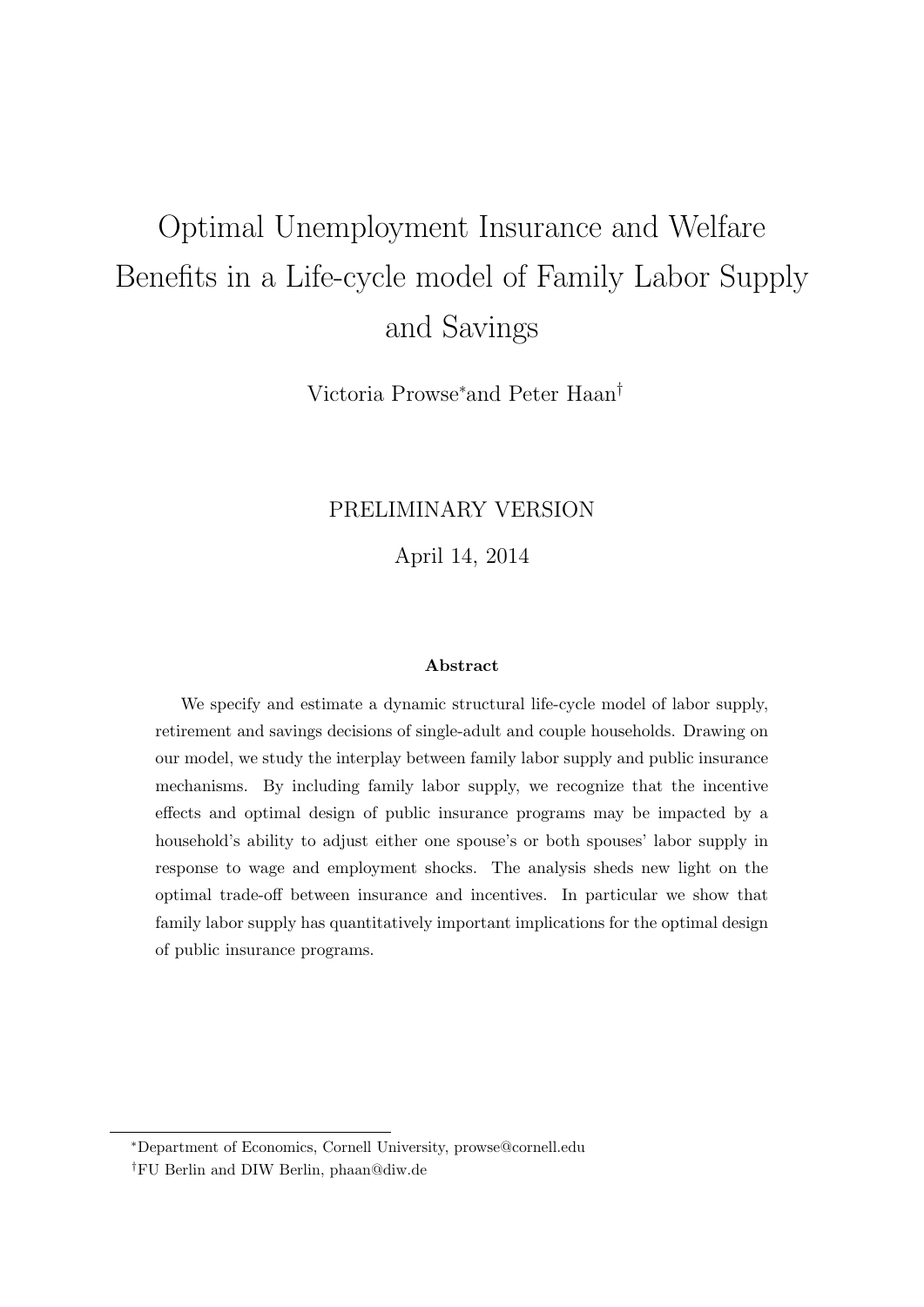# Optimal Unemployment Insurance and Welfare Benefits in a Life-cycle model of Family Labor Supply and Savings

Victoria Prowse<sup>∗</sup>and Peter Haan†

### PRELIMINARY VERSION

April 14, 2014

#### Abstract

We specify and estimate a dynamic structural life-cycle model of labor supply, retirement and savings decisions of single-adult and couple households. Drawing on our model, we study the interplay between family labor supply and public insurance mechanisms. By including family labor supply, we recognize that the incentive effects and optimal design of public insurance programs may be impacted by a household's ability to adjust either one spouse's or both spouses' labor supply in response to wage and employment shocks. The analysis sheds new light on the optimal trade-off between insurance and incentives. In particular we show that family labor supply has quantitatively important implications for the optimal design of public insurance programs.

<sup>∗</sup>Department of Economics, Cornell University, prowse@cornell.edu

<sup>†</sup>FU Berlin and DIW Berlin, phaan@diw.de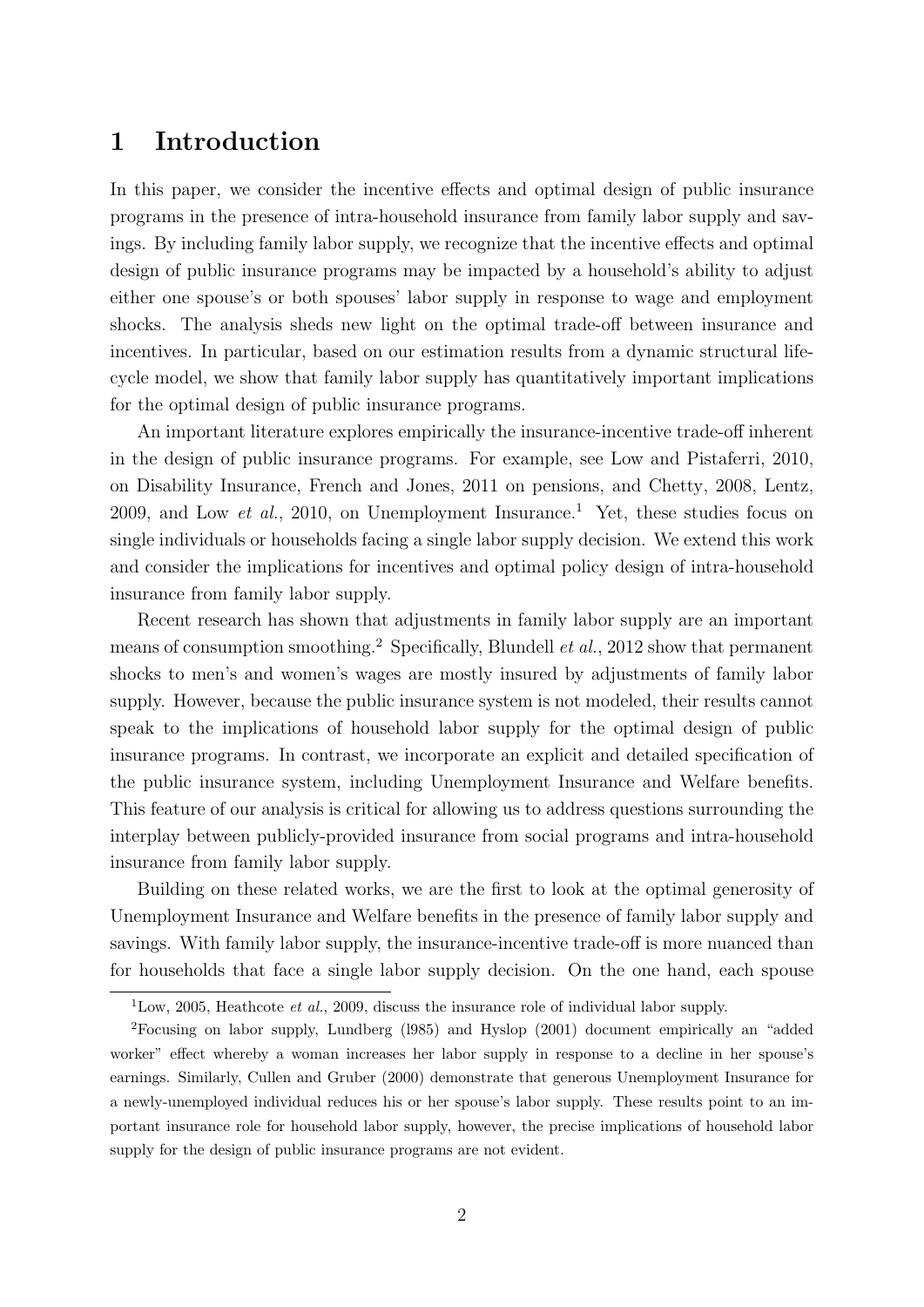## 1 Introduction

In this paper, we consider the incentive effects and optimal design of public insurance programs in the presence of intra-household insurance from family labor supply and savings. By including family labor supply, we recognize that the incentive effects and optimal design of public insurance programs may be impacted by a household's ability to adjust either one spouse's or both spouses' labor supply in response to wage and employment shocks. The analysis sheds new light on the optimal trade-off between insurance and incentives. In particular, based on our estimation results from a dynamic structural lifecycle model, we show that family labor supply has quantitatively important implications for the optimal design of public insurance programs.

An important literature explores empirically the insurance-incentive trade-off inherent in the design of public insurance programs. For example, see Low and Pistaferri, 2010, on Disability Insurance, French and Jones, 2011 on pensions, and Chetty, 2008, Lentz, 2009, and Low *et al.*, 2010, on Unemployment Insurance.<sup>1</sup> Yet, these studies focus on single individuals or households facing a single labor supply decision. We extend this work and consider the implications for incentives and optimal policy design of intra-household insurance from family labor supply.

Recent research has shown that adjustments in family labor supply are an important means of consumption smoothing.<sup>2</sup> Specifically, Blundell *et al.*, 2012 show that permanent shocks to men's and women's wages are mostly insured by adjustments of family labor supply. However, because the public insurance system is not modeled, their results cannot speak to the implications of household labor supply for the optimal design of public insurance programs. In contrast, we incorporate an explicit and detailed specification of the public insurance system, including Unemployment Insurance and Welfare benefits. This feature of our analysis is critical for allowing us to address questions surrounding the interplay between publicly-provided insurance from social programs and intra-household insurance from family labor supply.

Building on these related works, we are the first to look at the optimal generosity of Unemployment Insurance and Welfare benefits in the presence of family labor supply and savings. With family labor supply, the insurance-incentive trade-off is more nuanced than for households that face a single labor supply decision. On the one hand, each spouse

<sup>&</sup>lt;sup>1</sup>Low, 2005, Heathcote *et al.*, 2009, discuss the insurance role of individual labor supply.

<sup>2</sup>Focusing on labor supply, Lundberg (l985) and Hyslop (2001) document empirically an "added worker" effect whereby a woman increases her labor supply in response to a decline in her spouse's earnings. Similarly, Cullen and Gruber (2000) demonstrate that generous Unemployment Insurance for a newly-unemployed individual reduces his or her spouse's labor supply. These results point to an important insurance role for household labor supply, however, the precise implications of household labor supply for the design of public insurance programs are not evident.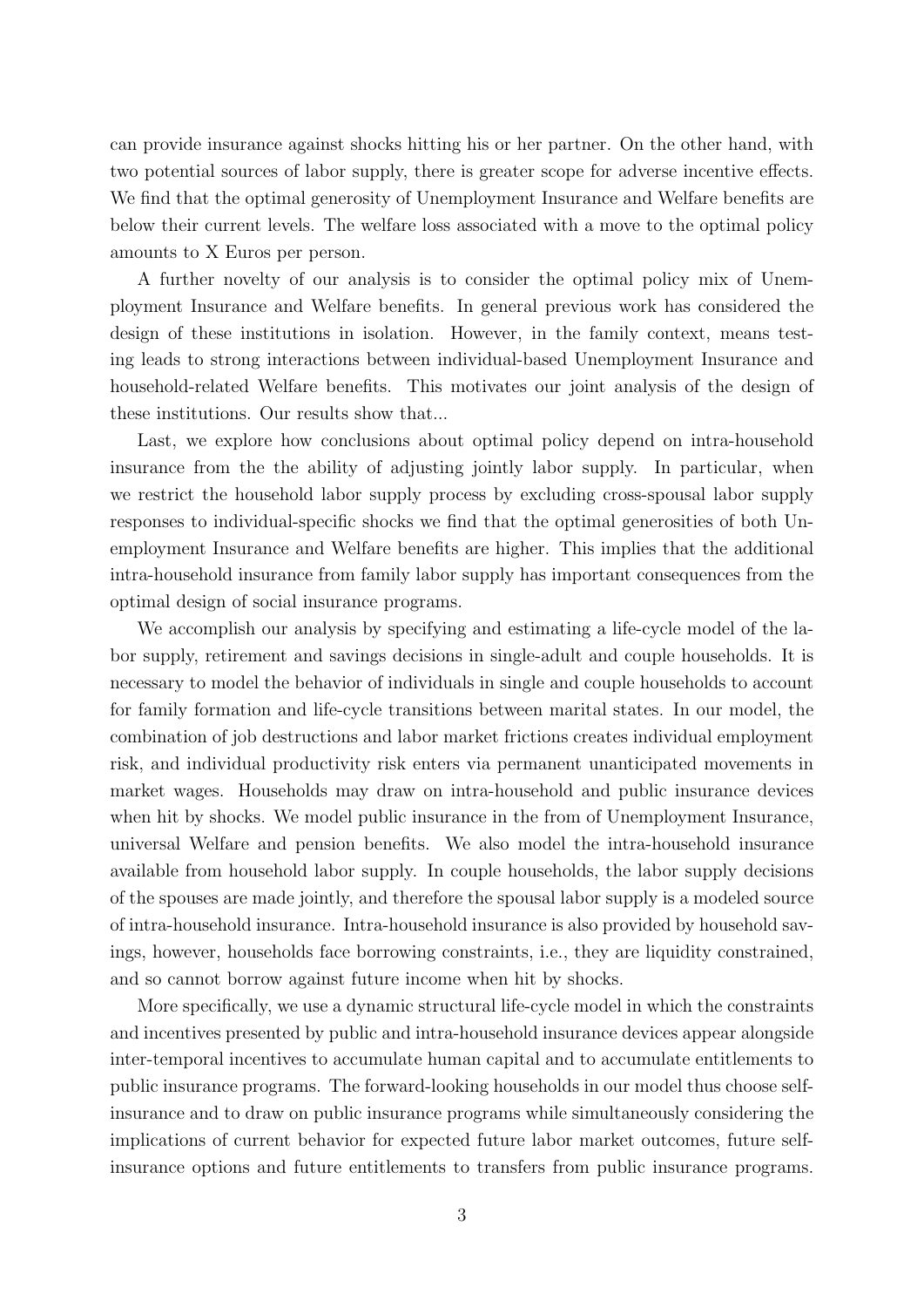can provide insurance against shocks hitting his or her partner. On the other hand, with two potential sources of labor supply, there is greater scope for adverse incentive effects. We find that the optimal generosity of Unemployment Insurance and Welfare benefits are below their current levels. The welfare loss associated with a move to the optimal policy amounts to X Euros per person.

A further novelty of our analysis is to consider the optimal policy mix of Unemployment Insurance and Welfare benefits. In general previous work has considered the design of these institutions in isolation. However, in the family context, means testing leads to strong interactions between individual-based Unemployment Insurance and household-related Welfare benefits. This motivates our joint analysis of the design of these institutions. Our results show that...

Last, we explore how conclusions about optimal policy depend on intra-household insurance from the the ability of adjusting jointly labor supply. In particular, when we restrict the household labor supply process by excluding cross-spousal labor supply responses to individual-specific shocks we find that the optimal generosities of both Unemployment Insurance and Welfare benefits are higher. This implies that the additional intra-household insurance from family labor supply has important consequences from the optimal design of social insurance programs.

We accomplish our analysis by specifying and estimating a life-cycle model of the labor supply, retirement and savings decisions in single-adult and couple households. It is necessary to model the behavior of individuals in single and couple households to account for family formation and life-cycle transitions between marital states. In our model, the combination of job destructions and labor market frictions creates individual employment risk, and individual productivity risk enters via permanent unanticipated movements in market wages. Households may draw on intra-household and public insurance devices when hit by shocks. We model public insurance in the from of Unemployment Insurance, universal Welfare and pension benefits. We also model the intra-household insurance available from household labor supply. In couple households, the labor supply decisions of the spouses are made jointly, and therefore the spousal labor supply is a modeled source of intra-household insurance. Intra-household insurance is also provided by household savings, however, households face borrowing constraints, i.e., they are liquidity constrained, and so cannot borrow against future income when hit by shocks.

More specifically, we use a dynamic structural life-cycle model in which the constraints and incentives presented by public and intra-household insurance devices appear alongside inter-temporal incentives to accumulate human capital and to accumulate entitlements to public insurance programs. The forward-looking households in our model thus choose selfinsurance and to draw on public insurance programs while simultaneously considering the implications of current behavior for expected future labor market outcomes, future selfinsurance options and future entitlements to transfers from public insurance programs.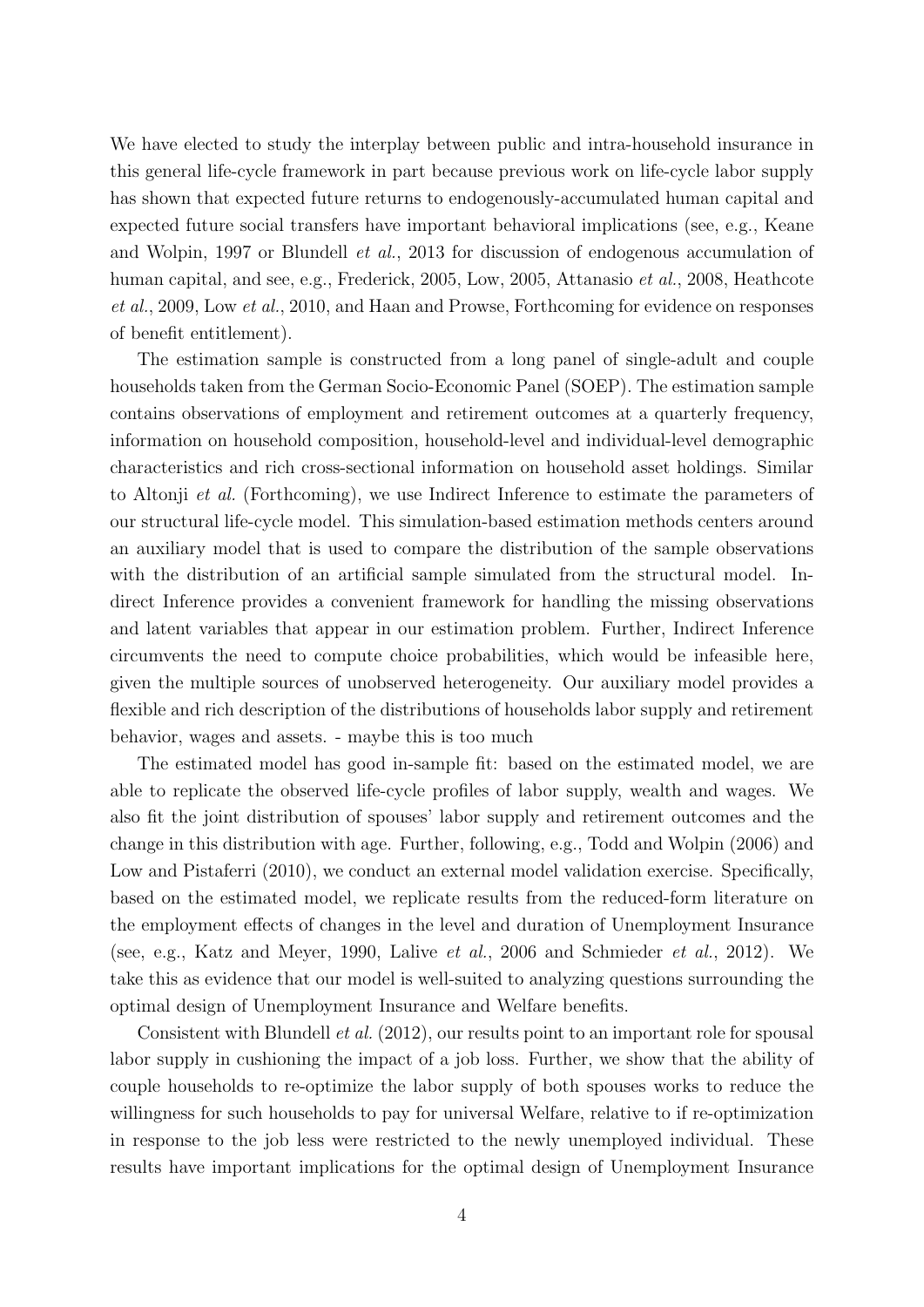We have elected to study the interplay between public and intra-household insurance in this general life-cycle framework in part because previous work on life-cycle labor supply has shown that expected future returns to endogenously-accumulated human capital and expected future social transfers have important behavioral implications (see, e.g., Keane and Wolpin, 1997 or Blundell et al., 2013 for discussion of endogenous accumulation of human capital, and see, e.g., Frederick, 2005, Low, 2005, Attanasio et al., 2008, Heathcote et al., 2009, Low et al., 2010, and Haan and Prowse, Forthcoming for evidence on responses of benefit entitlement).

The estimation sample is constructed from a long panel of single-adult and couple households taken from the German Socio-Economic Panel (SOEP). The estimation sample contains observations of employment and retirement outcomes at a quarterly frequency, information on household composition, household-level and individual-level demographic characteristics and rich cross-sectional information on household asset holdings. Similar to Altonji et al. (Forthcoming), we use Indirect Inference to estimate the parameters of our structural life-cycle model. This simulation-based estimation methods centers around an auxiliary model that is used to compare the distribution of the sample observations with the distribution of an artificial sample simulated from the structural model. Indirect Inference provides a convenient framework for handling the missing observations and latent variables that appear in our estimation problem. Further, Indirect Inference circumvents the need to compute choice probabilities, which would be infeasible here, given the multiple sources of unobserved heterogeneity. Our auxiliary model provides a flexible and rich description of the distributions of households labor supply and retirement behavior, wages and assets. - maybe this is too much

The estimated model has good in-sample fit: based on the estimated model, we are able to replicate the observed life-cycle profiles of labor supply, wealth and wages. We also fit the joint distribution of spouses' labor supply and retirement outcomes and the change in this distribution with age. Further, following, e.g., Todd and Wolpin (2006) and Low and Pistaferri (2010), we conduct an external model validation exercise. Specifically, based on the estimated model, we replicate results from the reduced-form literature on the employment effects of changes in the level and duration of Unemployment Insurance (see, e.g., Katz and Meyer, 1990, Lalive et al., 2006 and Schmieder et al., 2012). We take this as evidence that our model is well-suited to analyzing questions surrounding the optimal design of Unemployment Insurance and Welfare benefits.

Consistent with Blundell et al. (2012), our results point to an important role for spousal labor supply in cushioning the impact of a job loss. Further, we show that the ability of couple households to re-optimize the labor supply of both spouses works to reduce the willingness for such households to pay for universal Welfare, relative to if re-optimization in response to the job less were restricted to the newly unemployed individual. These results have important implications for the optimal design of Unemployment Insurance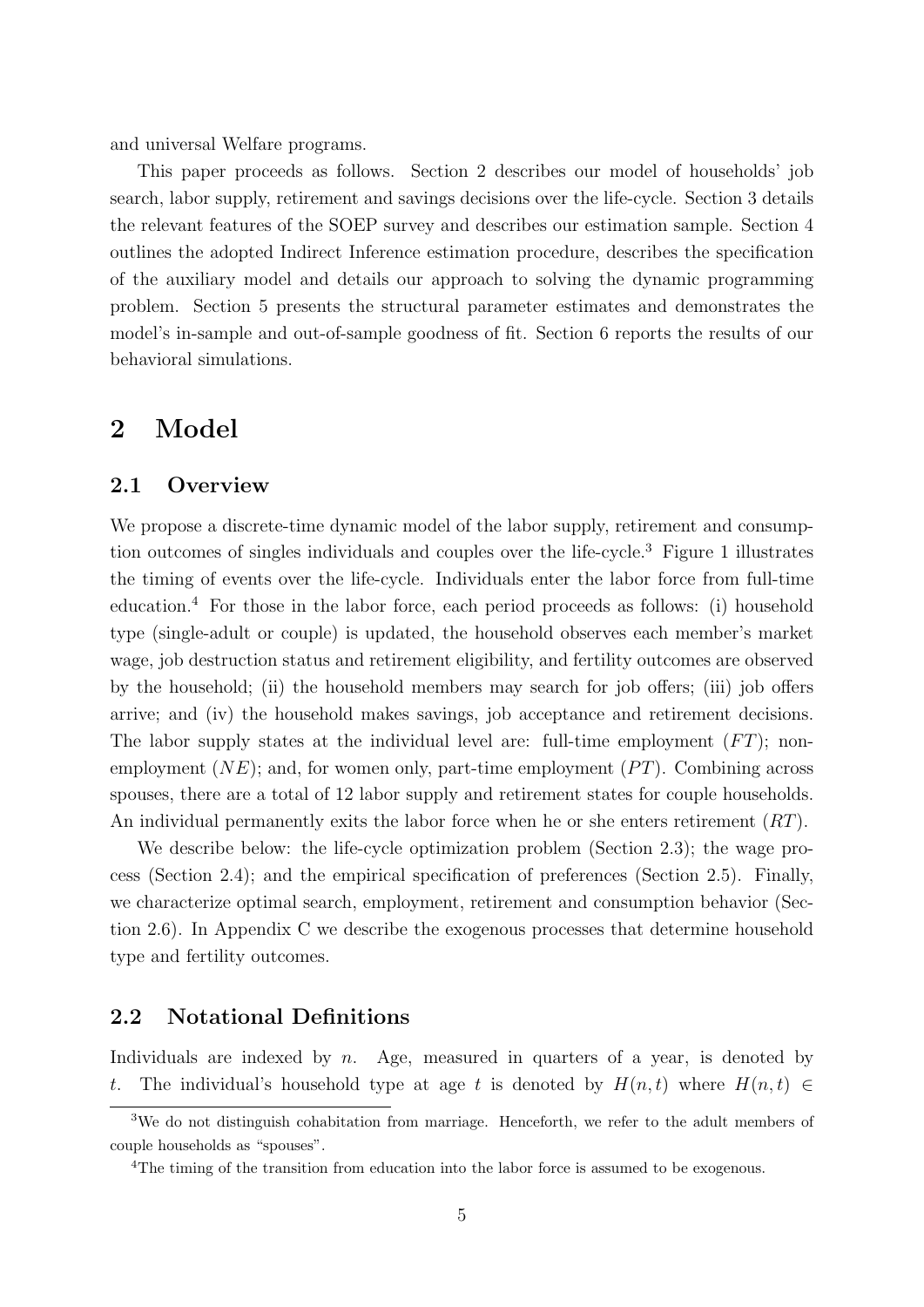and universal Welfare programs.

This paper proceeds as follows. Section 2 describes our model of households' job search, labor supply, retirement and savings decisions over the life-cycle. Section 3 details the relevant features of the SOEP survey and describes our estimation sample. Section 4 outlines the adopted Indirect Inference estimation procedure, describes the specification of the auxiliary model and details our approach to solving the dynamic programming problem. Section 5 presents the structural parameter estimates and demonstrates the model's in-sample and out-of-sample goodness of fit. Section 6 reports the results of our behavioral simulations.

## 2 Model

#### 2.1 Overview

We propose a discrete-time dynamic model of the labor supply, retirement and consumption outcomes of singles individuals and couples over the life-cycle.<sup>3</sup> Figure 1 illustrates the timing of events over the life-cycle. Individuals enter the labor force from full-time education.<sup>4</sup> For those in the labor force, each period proceeds as follows: (i) household type (single-adult or couple) is updated, the household observes each member's market wage, job destruction status and retirement eligibility, and fertility outcomes are observed by the household; (ii) the household members may search for job offers; (iii) job offers arrive; and (iv) the household makes savings, job acceptance and retirement decisions. The labor supply states at the individual level are: full-time employment  $(FT)$ ; nonemployment  $(NE)$ ; and, for women only, part-time employment  $(PT)$ . Combining across spouses, there are a total of 12 labor supply and retirement states for couple households. An individual permanently exits the labor force when he or she enters retirement (RT).

We describe below: the life-cycle optimization problem (Section 2.3); the wage process (Section 2.4); and the empirical specification of preferences (Section 2.5). Finally, we characterize optimal search, employment, retirement and consumption behavior (Section 2.6). In Appendix C we describe the exogenous processes that determine household type and fertility outcomes.

#### 2.2 Notational Definitions

Individuals are indexed by  $n$ . Age, measured in quarters of a year, is denoted by t. The individual's household type at age t is denoted by  $H(n,t)$  where  $H(n,t) \in$ 

<sup>&</sup>lt;sup>3</sup>We do not distinguish cohabitation from marriage. Henceforth, we refer to the adult members of couple households as "spouses".

<sup>4</sup>The timing of the transition from education into the labor force is assumed to be exogenous.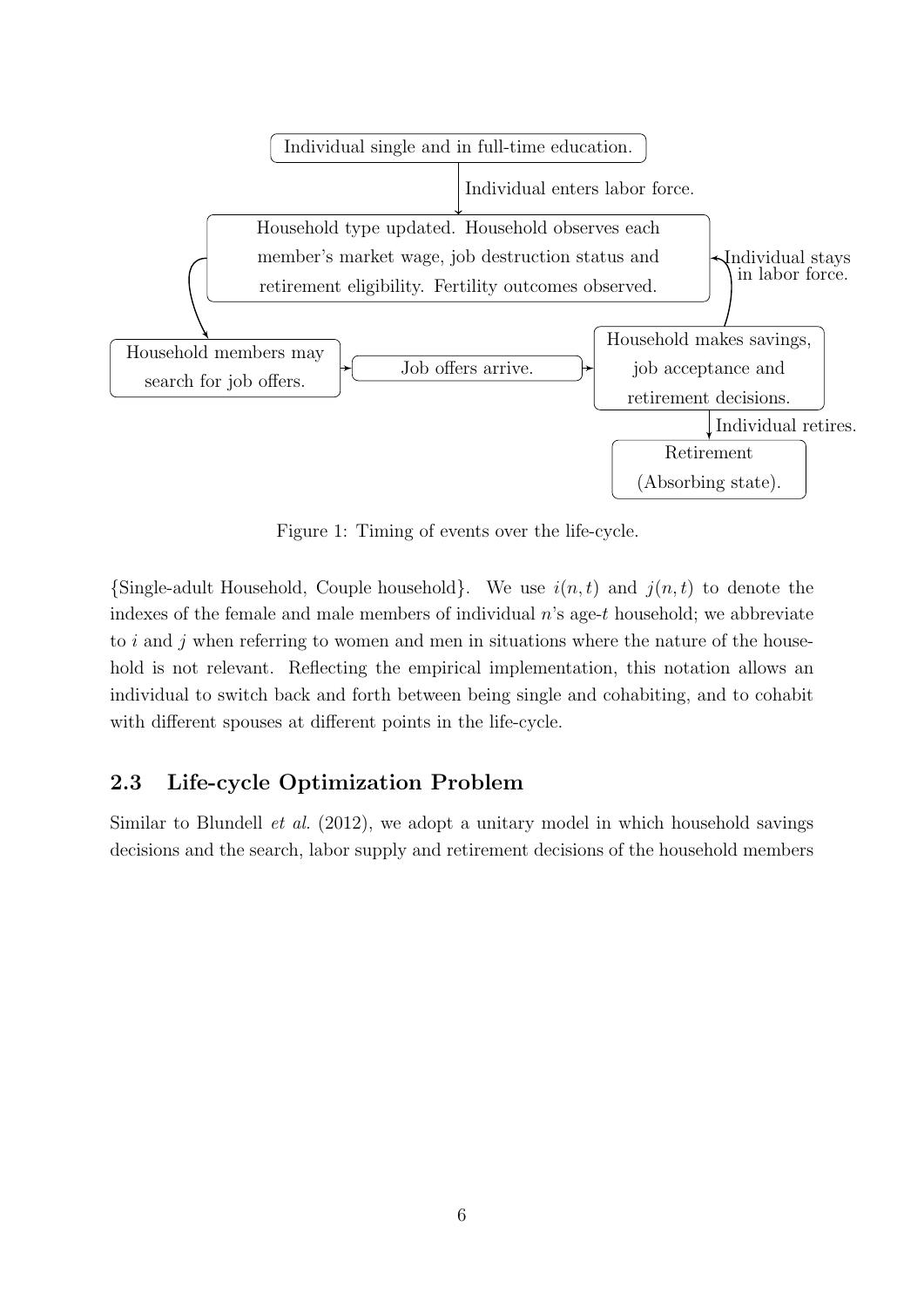

Figure 1: Timing of events over the life-cycle.

 ${\rm Single-adult}$  Household, Couple household}. We use  $i(n, t)$  and  $j(n, t)$  to denote the indexes of the female and male members of individual  $n$ 's age-t household; we abbreviate to  $i$  and  $j$  when referring to women and men in situations where the nature of the household is not relevant. Reflecting the empirical implementation, this notation allows an individual to switch back and forth between being single and cohabiting, and to cohabit with different spouses at different points in the life-cycle.

## 2.3 Life-cycle Optimization Problem

Similar to Blundell et al. (2012), we adopt a unitary model in which household savings decisions and the search, labor supply and retirement decisions of the household members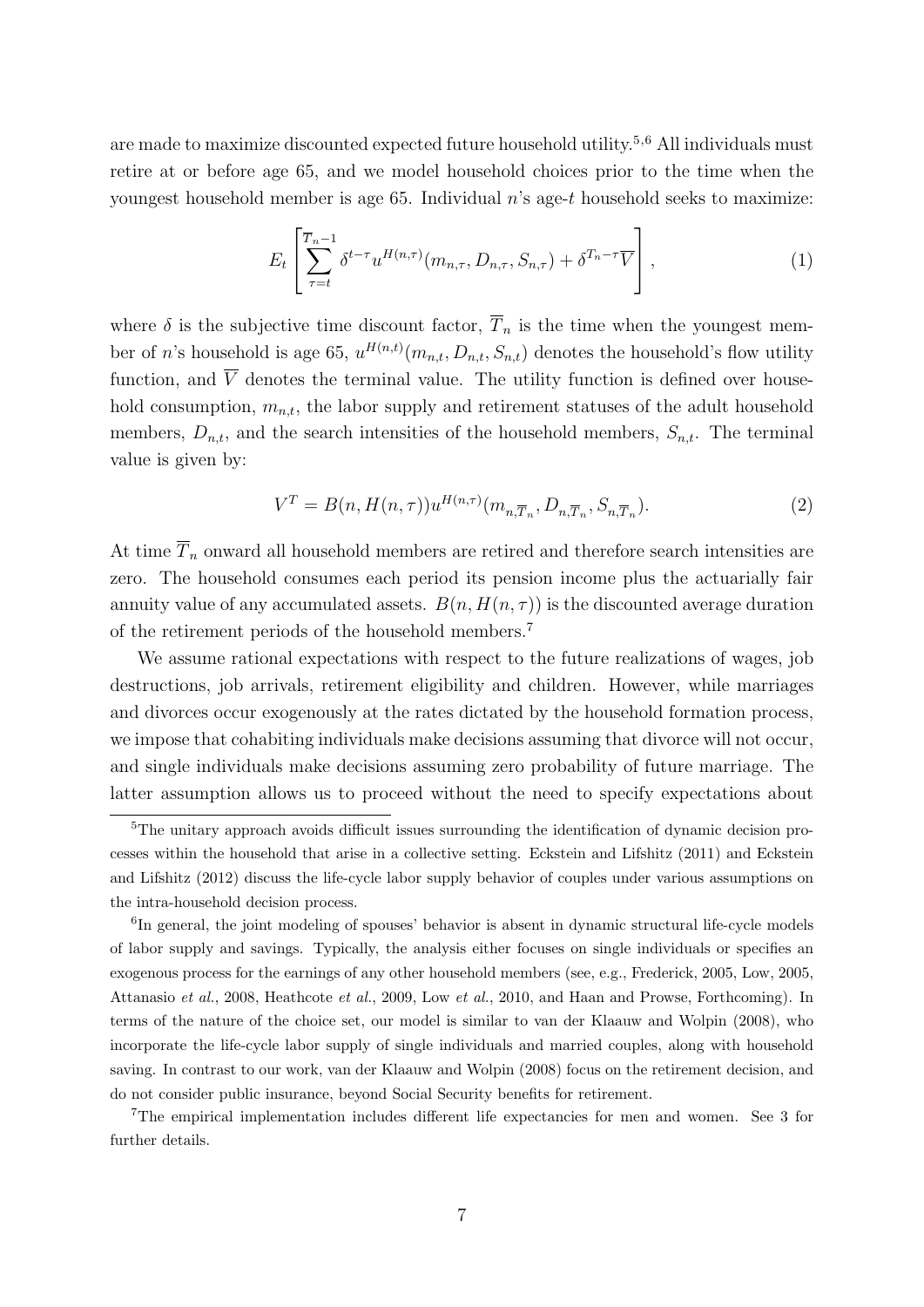are made to maximize discounted expected future household utility.<sup>5,6</sup> All individuals must retire at or before age 65, and we model household choices prior to the time when the youngest household member is age 65. Individual  $n$ 's age-t household seeks to maximize:

$$
E_t\left[\sum_{\tau=t}^{\overline{T}_n-1} \delta^{t-\tau} u^{H(n,\tau)}(m_{n,\tau}, D_{n,\tau}, S_{n,\tau}) + \delta^{T_n-\tau}\overline{V}\right],\tag{1}
$$

where  $\delta$  is the subjective time discount factor,  $\overline{T}_n$  is the time when the youngest member of n's household is age 65,  $u^{H(n,t)}(m_{n,t}, D_{n,t}, S_{n,t})$  denotes the household's flow utility function, and  $\overline{V}$  denotes the terminal value. The utility function is defined over household consumption,  $m_{n,t}$ , the labor supply and retirement statuses of the adult household members,  $D_{n,t}$ , and the search intensities of the household members,  $S_{n,t}$ . The terminal value is given by:

$$
V^T = B(n, H(n, \tau))u^{H(n, \tau)}(m_{n, \overline{T}_n}, D_{n, \overline{T}_n}, S_{n, \overline{T}_n}).
$$
\n
$$
(2)
$$

At time  $\overline{T}_n$  onward all household members are retired and therefore search intensities are zero. The household consumes each period its pension income plus the actuarially fair annuity value of any accumulated assets.  $B(n, H(n, \tau))$  is the discounted average duration of the retirement periods of the household members.<sup>7</sup>

We assume rational expectations with respect to the future realizations of wages, job destructions, job arrivals, retirement eligibility and children. However, while marriages and divorces occur exogenously at the rates dictated by the household formation process, we impose that cohabiting individuals make decisions assuming that divorce will not occur, and single individuals make decisions assuming zero probability of future marriage. The latter assumption allows us to proceed without the need to specify expectations about

<sup>7</sup>The empirical implementation includes different life expectancies for men and women. See 3 for further details.

<sup>&</sup>lt;sup>5</sup>The unitary approach avoids difficult issues surrounding the identification of dynamic decision processes within the household that arise in a collective setting. Eckstein and Lifshitz (2011) and Eckstein and Lifshitz (2012) discuss the life-cycle labor supply behavior of couples under various assumptions on the intra-household decision process.

<sup>&</sup>lt;sup>6</sup>In general, the joint modeling of spouses' behavior is absent in dynamic structural life-cycle models of labor supply and savings. Typically, the analysis either focuses on single individuals or specifies an exogenous process for the earnings of any other household members (see, e.g., Frederick, 2005, Low, 2005, Attanasio et al., 2008, Heathcote et al., 2009, Low et al., 2010, and Haan and Prowse, Forthcoming). In terms of the nature of the choice set, our model is similar to van der Klaauw and Wolpin (2008), who incorporate the life-cycle labor supply of single individuals and married couples, along with household saving. In contrast to our work, van der Klaauw and Wolpin (2008) focus on the retirement decision, and do not consider public insurance, beyond Social Security benefits for retirement.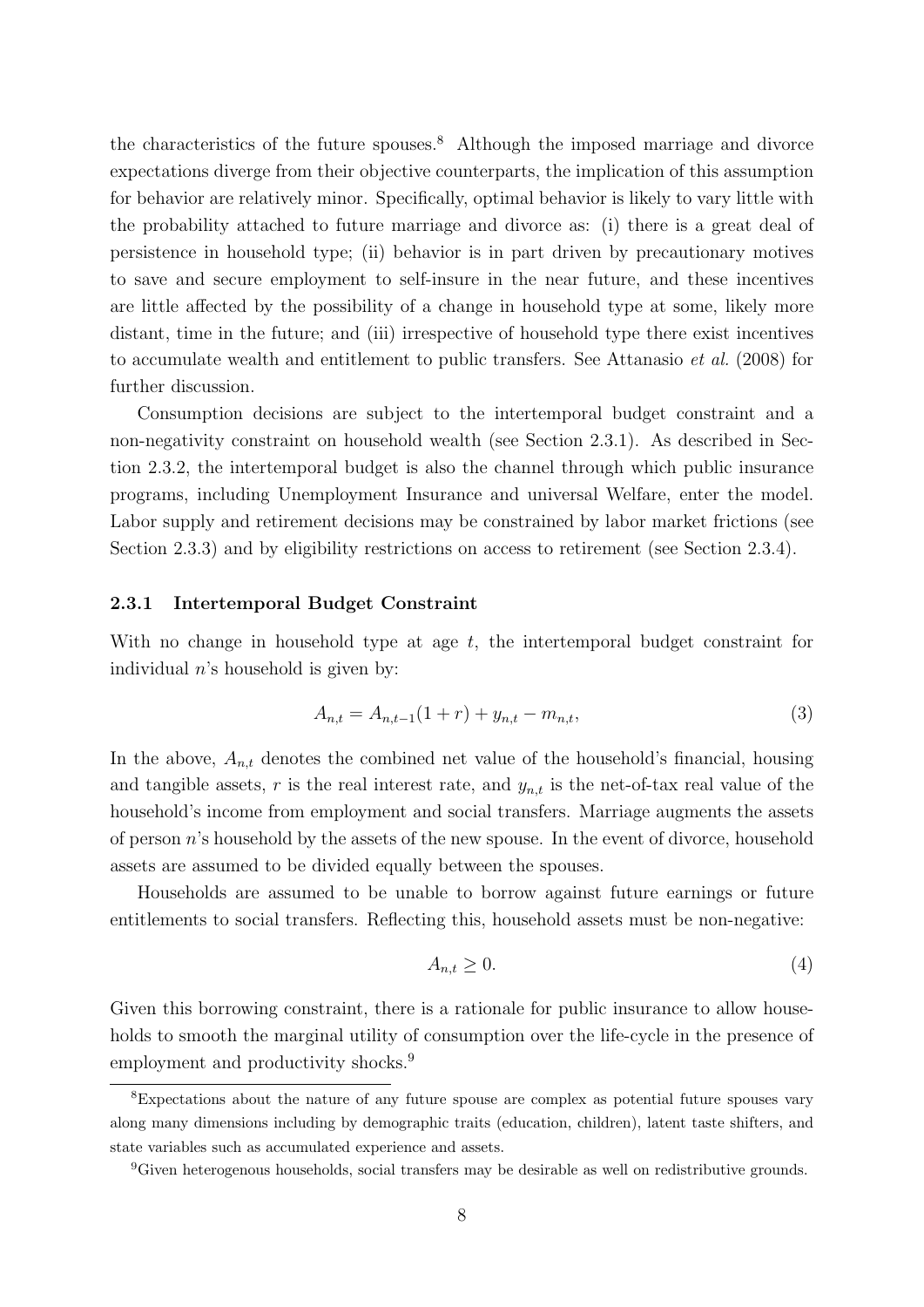the characteristics of the future spouses.<sup>8</sup> Although the imposed marriage and divorce expectations diverge from their objective counterparts, the implication of this assumption for behavior are relatively minor. Specifically, optimal behavior is likely to vary little with the probability attached to future marriage and divorce as: (i) there is a great deal of persistence in household type; (ii) behavior is in part driven by precautionary motives to save and secure employment to self-insure in the near future, and these incentives are little affected by the possibility of a change in household type at some, likely more distant, time in the future; and (iii) irrespective of household type there exist incentives to accumulate wealth and entitlement to public transfers. See Attanasio et al. (2008) for further discussion.

Consumption decisions are subject to the intertemporal budget constraint and a non-negativity constraint on household wealth (see Section 2.3.1). As described in Section 2.3.2, the intertemporal budget is also the channel through which public insurance programs, including Unemployment Insurance and universal Welfare, enter the model. Labor supply and retirement decisions may be constrained by labor market frictions (see Section 2.3.3) and by eligibility restrictions on access to retirement (see Section 2.3.4).

#### 2.3.1 Intertemporal Budget Constraint

With no change in household type at age  $t$ , the intertemporal budget constraint for individual  $n$ 's household is given by:

$$
A_{n,t} = A_{n,t-1}(1+r) + y_{n,t} - m_{n,t},
$$
\n(3)

In the above,  $A_{n,t}$  denotes the combined net value of the household's financial, housing and tangible assets, r is the real interest rate, and  $y_{n,t}$  is the net-of-tax real value of the household's income from employment and social transfers. Marriage augments the assets of person n's household by the assets of the new spouse. In the event of divorce, household assets are assumed to be divided equally between the spouses.

Households are assumed to be unable to borrow against future earnings or future entitlements to social transfers. Reflecting this, household assets must be non-negative:

$$
A_{n,t} \ge 0. \tag{4}
$$

Given this borrowing constraint, there is a rationale for public insurance to allow households to smooth the marginal utility of consumption over the life-cycle in the presence of employment and productivity shocks.<sup>9</sup>

<sup>8</sup>Expectations about the nature of any future spouse are complex as potential future spouses vary along many dimensions including by demographic traits (education, children), latent taste shifters, and state variables such as accumulated experience and assets.

<sup>9</sup>Given heterogenous households, social transfers may be desirable as well on redistributive grounds.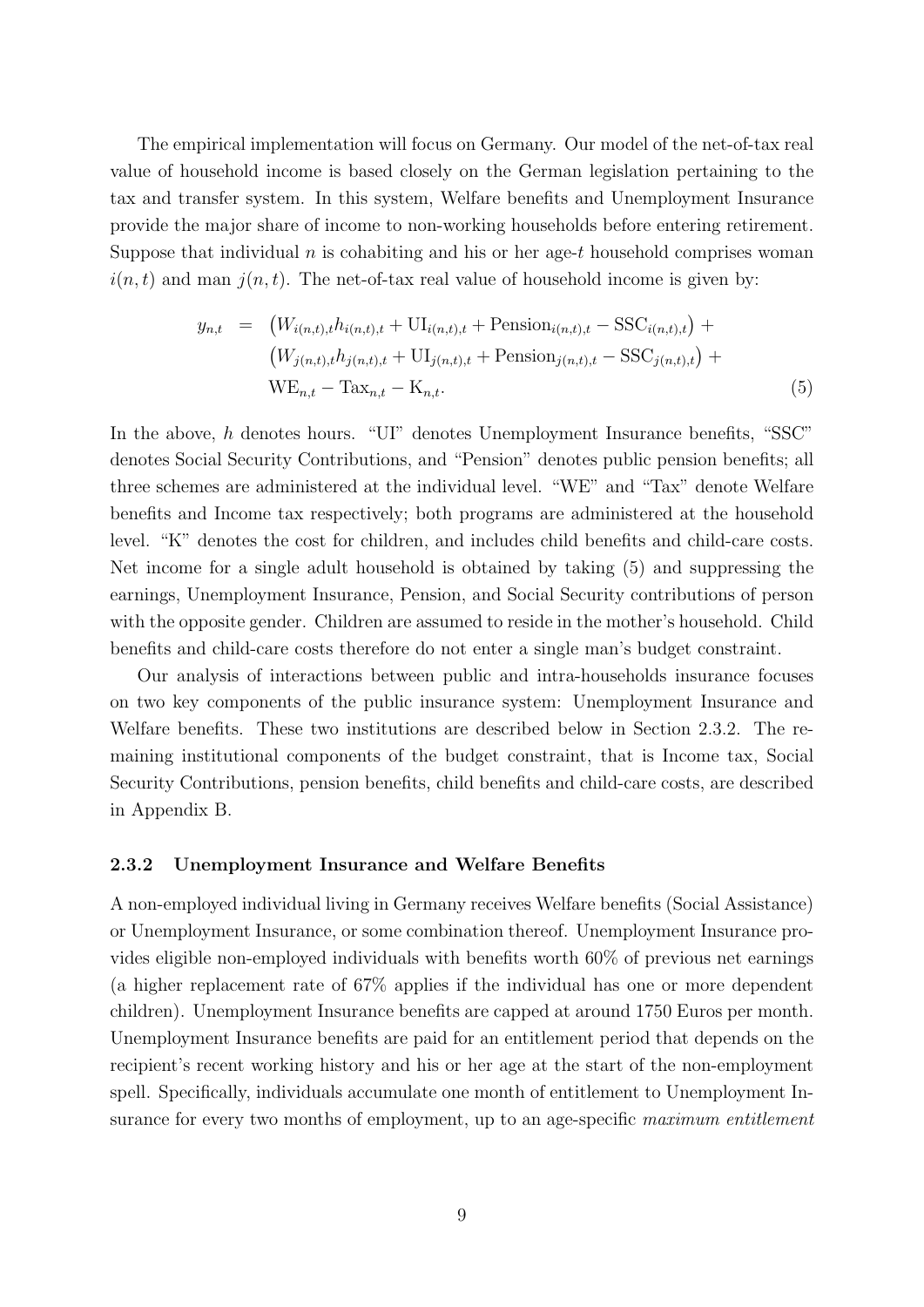The empirical implementation will focus on Germany. Our model of the net-of-tax real value of household income is based closely on the German legislation pertaining to the tax and transfer system. In this system, Welfare benefits and Unemployment Insurance provide the major share of income to non-working households before entering retirement. Suppose that individual  $n$  is cohabiting and his or her age-t household comprises woman  $i(n, t)$  and man  $j(n, t)$ . The net-of-tax real value of household income is given by:

$$
y_{n,t} = (W_{i(n,t),t}h_{i(n,t),t} + \text{UI}_{i(n,t),t} + \text{Pension}_{i(n,t),t} - \text{SSC}_{i(n,t),t}) + (W_{j(n,t),t}h_{j(n,t),t} + \text{UI}_{j(n,t),t} + \text{Pension}_{j(n,t),t} - \text{SSC}_{j(n,t),t}) +
$$
  
WE<sub>n,t</sub> - Tax<sub>n,t</sub> - K<sub>n,t</sub>. (5)

In the above, h denotes hours. "UI" denotes Unemployment Insurance benefits, "SSC" denotes Social Security Contributions, and "Pension" denotes public pension benefits; all three schemes are administered at the individual level. "WE" and "Tax" denote Welfare benefits and Income tax respectively; both programs are administered at the household level. "K" denotes the cost for children, and includes child benefits and child-care costs. Net income for a single adult household is obtained by taking (5) and suppressing the earnings, Unemployment Insurance, Pension, and Social Security contributions of person with the opposite gender. Children are assumed to reside in the mother's household. Child benefits and child-care costs therefore do not enter a single man's budget constraint.

Our analysis of interactions between public and intra-households insurance focuses on two key components of the public insurance system: Unemployment Insurance and Welfare benefits. These two institutions are described below in Section 2.3.2. The remaining institutional components of the budget constraint, that is Income tax, Social Security Contributions, pension benefits, child benefits and child-care costs, are described in Appendix B.

#### 2.3.2 Unemployment Insurance and Welfare Benefits

A non-employed individual living in Germany receives Welfare benefits (Social Assistance) or Unemployment Insurance, or some combination thereof. Unemployment Insurance provides eligible non-employed individuals with benefits worth 60% of previous net earnings (a higher replacement rate of 67% applies if the individual has one or more dependent children). Unemployment Insurance benefits are capped at around 1750 Euros per month. Unemployment Insurance benefits are paid for an entitlement period that depends on the recipient's recent working history and his or her age at the start of the non-employment spell. Specifically, individuals accumulate one month of entitlement to Unemployment Insurance for every two months of employment, up to an age-specific maximum entitlement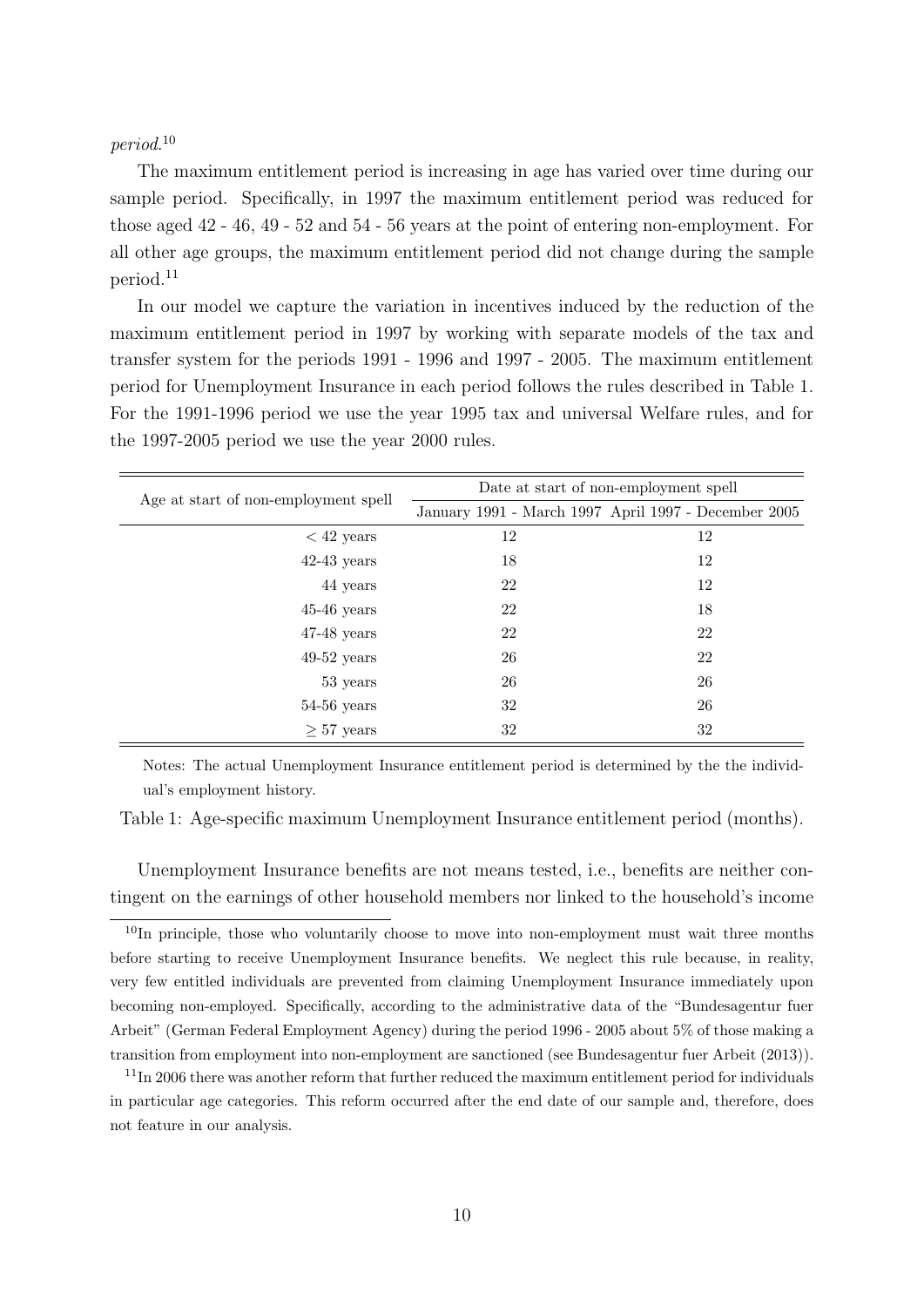#### period. 10

The maximum entitlement period is increasing in age has varied over time during our sample period. Specifically, in 1997 the maximum entitlement period was reduced for those aged 42 - 46, 49 - 52 and 54 - 56 years at the point of entering non-employment. For all other age groups, the maximum entitlement period did not change during the sample period.<sup>11</sup>

In our model we capture the variation in incentives induced by the reduction of the maximum entitlement period in 1997 by working with separate models of the tax and transfer system for the periods 1991 - 1996 and 1997 - 2005. The maximum entitlement period for Unemployment Insurance in each period follows the rules described in Table 1. For the 1991-1996 period we use the year 1995 tax and universal Welfare rules, and for the 1997-2005 period we use the year 2000 rules.

| Age at start of non-employment spell | Date at start of non-employment spell |                                                      |  |  |  |
|--------------------------------------|---------------------------------------|------------------------------------------------------|--|--|--|
|                                      |                                       | January 1991 - March 1997 April 1997 - December 2005 |  |  |  |
| $<$ 42 years                         | 12                                    | 12                                                   |  |  |  |
| $42-43$ years                        | 18                                    | 12                                                   |  |  |  |
| 44 years                             | 22                                    | 12                                                   |  |  |  |
| $45-46$ years                        | 22                                    | 18                                                   |  |  |  |
| $47-48$ years                        | 22                                    | 22                                                   |  |  |  |
| $49-52$ years                        | 26                                    | 22                                                   |  |  |  |
| 53 years                             | 26                                    | 26                                                   |  |  |  |
| $54-56$ years                        | 32                                    | 26                                                   |  |  |  |
| $\geq 57$ years                      | 32                                    | 32                                                   |  |  |  |

Notes: The actual Unemployment Insurance entitlement period is determined by the the individual's employment history.

Table 1: Age-specific maximum Unemployment Insurance entitlement period (months).

Unemployment Insurance benefits are not means tested, i.e., benefits are neither contingent on the earnings of other household members nor linked to the household's income

 $10$ In principle, those who voluntarily choose to move into non-employment must wait three months before starting to receive Unemployment Insurance benefits. We neglect this rule because, in reality, very few entitled individuals are prevented from claiming Unemployment Insurance immediately upon becoming non-employed. Specifically, according to the administrative data of the "Bundesagentur fuer Arbeit" (German Federal Employment Agency) during the period 1996 - 2005 about 5% of those making a transition from employment into non-employment are sanctioned (see Bundesagentur fuer Arbeit (2013)).

<sup>&</sup>lt;sup>11</sup>In 2006 there was another reform that further reduced the maximum entitlement period for individuals in particular age categories. This reform occurred after the end date of our sample and, therefore, does not feature in our analysis.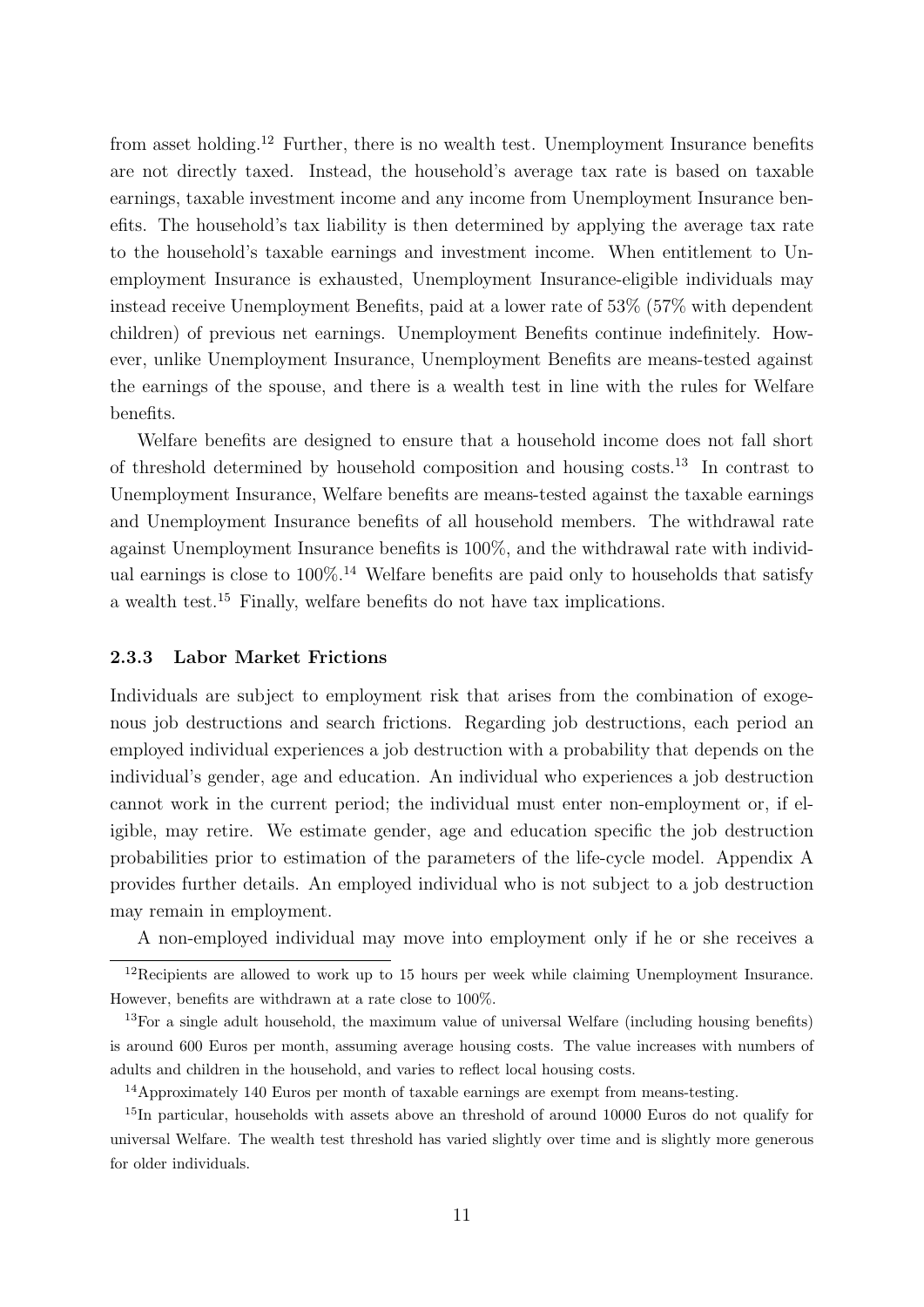from asset holding.<sup>12</sup> Further, there is no wealth test. Unemployment Insurance benefits are not directly taxed. Instead, the household's average tax rate is based on taxable earnings, taxable investment income and any income from Unemployment Insurance benefits. The household's tax liability is then determined by applying the average tax rate to the household's taxable earnings and investment income. When entitlement to Unemployment Insurance is exhausted, Unemployment Insurance-eligible individuals may instead receive Unemployment Benefits, paid at a lower rate of 53% (57% with dependent children) of previous net earnings. Unemployment Benefits continue indefinitely. However, unlike Unemployment Insurance, Unemployment Benefits are means-tested against the earnings of the spouse, and there is a wealth test in line with the rules for Welfare benefits.

Welfare benefits are designed to ensure that a household income does not fall short of threshold determined by household composition and housing costs.<sup>13</sup> In contrast to Unemployment Insurance, Welfare benefits are means-tested against the taxable earnings and Unemployment Insurance benefits of all household members. The withdrawal rate against Unemployment Insurance benefits is 100%, and the withdrawal rate with individual earnings is close to  $100\%$ .<sup>14</sup> Welfare benefits are paid only to households that satisfy a wealth test.<sup>15</sup> Finally, welfare benefits do not have tax implications.

#### 2.3.3 Labor Market Frictions

Individuals are subject to employment risk that arises from the combination of exogenous job destructions and search frictions. Regarding job destructions, each period an employed individual experiences a job destruction with a probability that depends on the individual's gender, age and education. An individual who experiences a job destruction cannot work in the current period; the individual must enter non-employment or, if eligible, may retire. We estimate gender, age and education specific the job destruction probabilities prior to estimation of the parameters of the life-cycle model. Appendix A provides further details. An employed individual who is not subject to a job destruction may remain in employment.

A non-employed individual may move into employment only if he or she receives a

 $12$ Recipients are allowed to work up to 15 hours per week while claiming Unemployment Insurance. However, benefits are withdrawn at a rate close to 100%.

<sup>&</sup>lt;sup>13</sup>For a single adult household, the maximum value of universal Welfare (including housing benefits) is around 600 Euros per month, assuming average housing costs. The value increases with numbers of adults and children in the household, and varies to reflect local housing costs.

<sup>14</sup>Approximately 140 Euros per month of taxable earnings are exempt from means-testing.

<sup>&</sup>lt;sup>15</sup>In particular, households with assets above an threshold of around 10000 Euros do not qualify for universal Welfare. The wealth test threshold has varied slightly over time and is slightly more generous for older individuals.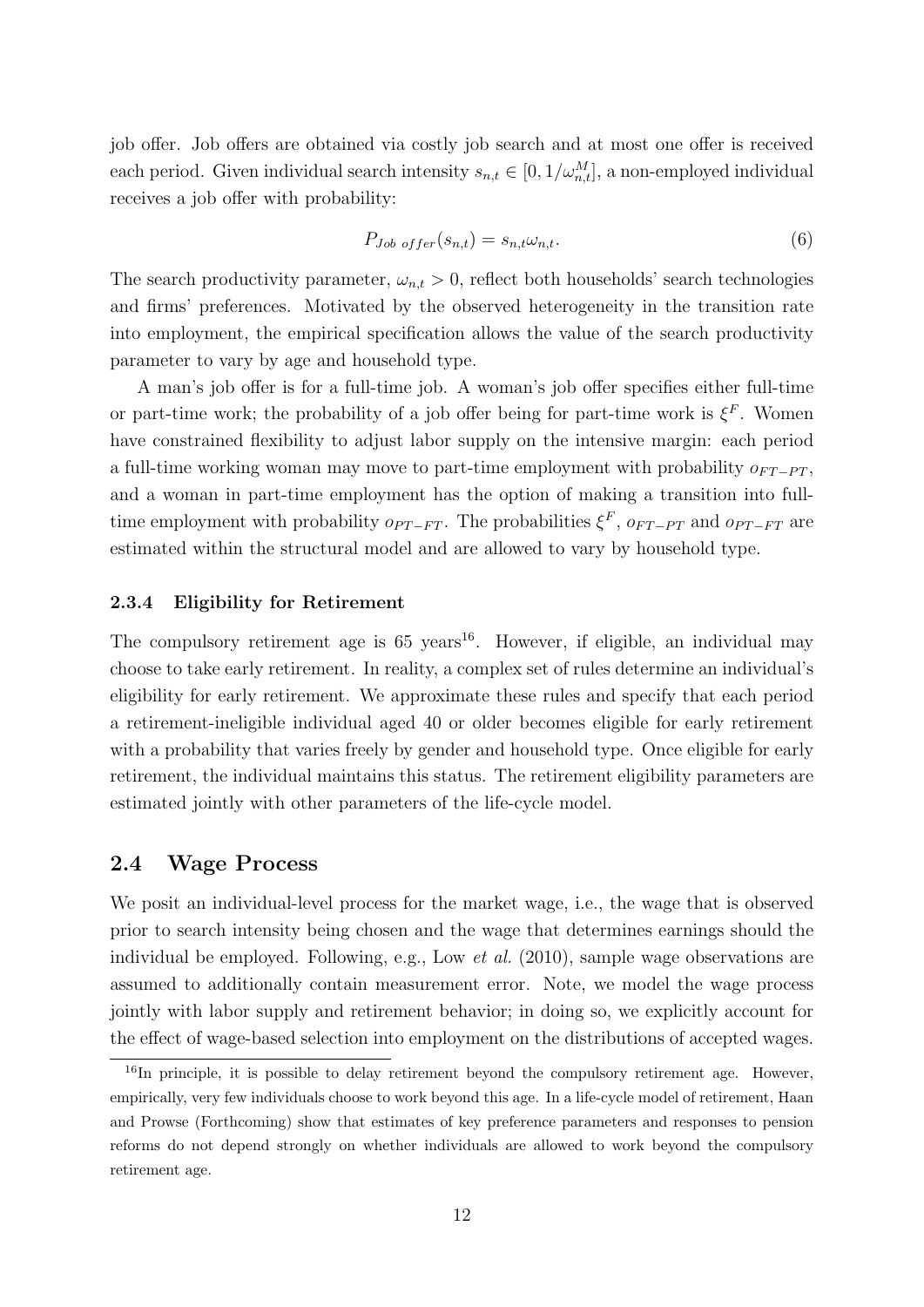job offer. Job offers are obtained via costly job search and at most one offer is received each period. Given individual search intensity  $s_{n,t} \in [0, 1/\omega_{n,t}^M]$ , a non-employed individual receives a job offer with probability:

$$
P_{Job\;offer}(s_{n,t}) = s_{n,t}\omega_{n,t}.\tag{6}
$$

The search productivity parameter,  $\omega_{n,t} > 0$ , reflect both households' search technologies and firms' preferences. Motivated by the observed heterogeneity in the transition rate into employment, the empirical specification allows the value of the search productivity parameter to vary by age and household type.

A man's job offer is for a full-time job. A woman's job offer specifies either full-time or part-time work; the probability of a job offer being for part-time work is  $\xi^F$ . Women have constrained flexibility to adjust labor supply on the intensive margin: each period a full-time working woman may move to part-time employment with probability  $o_{FT-PT}$ , and a woman in part-time employment has the option of making a transition into fulltime employment with probability  $o_{PT-FT}$ . The probabilities  $\xi^F$ ,  $o_{FT-PT}$  and  $o_{PT-FT}$  are estimated within the structural model and are allowed to vary by household type.

#### 2.3.4 Eligibility for Retirement

The compulsory retirement age is  $65 \text{ years}^{16}$ . However, if eligible, an individual may choose to take early retirement. In reality, a complex set of rules determine an individual's eligibility for early retirement. We approximate these rules and specify that each period a retirement-ineligible individual aged 40 or older becomes eligible for early retirement with a probability that varies freely by gender and household type. Once eligible for early retirement, the individual maintains this status. The retirement eligibility parameters are estimated jointly with other parameters of the life-cycle model.

#### 2.4 Wage Process

We posit an individual-level process for the market wage, i.e., the wage that is observed prior to search intensity being chosen and the wage that determines earnings should the individual be employed. Following, e.g., Low et al. (2010), sample wage observations are assumed to additionally contain measurement error. Note, we model the wage process jointly with labor supply and retirement behavior; in doing so, we explicitly account for the effect of wage-based selection into employment on the distributions of accepted wages.

<sup>&</sup>lt;sup>16</sup>In principle, it is possible to delay retirement beyond the compulsory retirement age. However, empirically, very few individuals choose to work beyond this age. In a life-cycle model of retirement, Haan and Prowse (Forthcoming) show that estimates of key preference parameters and responses to pension reforms do not depend strongly on whether individuals are allowed to work beyond the compulsory retirement age.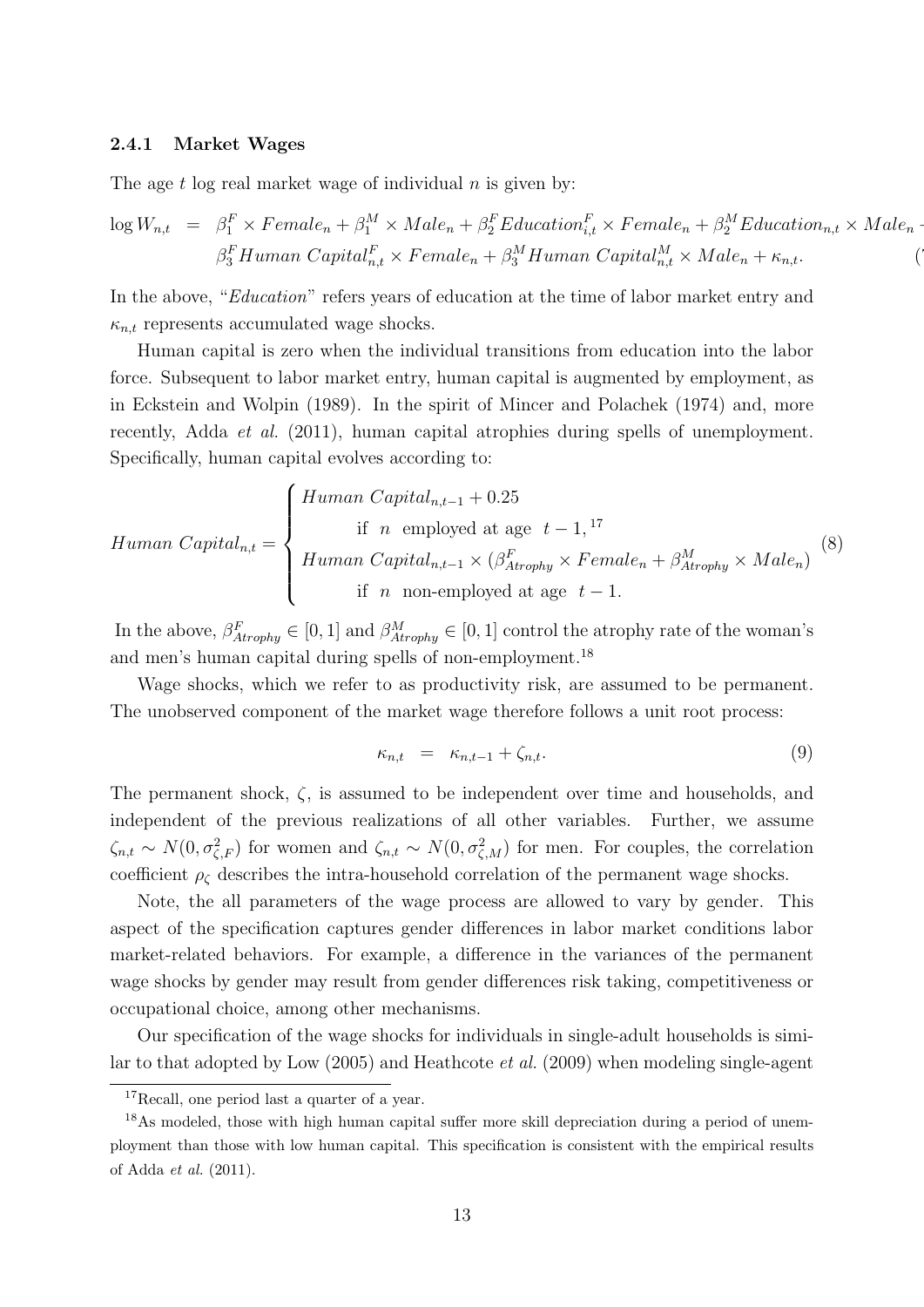#### 2.4.1 Market Wages

The age  $t$  log real market wage of individual  $n$  is given by:

$$
\log W_{n,t} = \beta_1^F \times Female_n + \beta_1^M \times Male_n + \beta_2^F Education_{i,t}^F \times Female_n + \beta_2^M Education_{n,t} \times Male_n - \beta_3^F Human\ Capital_{n,t}^F \times Female_n + \beta_3^M Human\ Capital_{n,t}^M \times Male_n + \kappa_{n,t}.
$$

In the above, "Education" refers years of education at the time of labor market entry and  $\kappa_{n,t}$  represents accumulated wage shocks.

Human capital is zero when the individual transitions from education into the labor force. Subsequent to labor market entry, human capital is augmented by employment, as in Eckstein and Wolpin (1989). In the spirit of Mincer and Polachek (1974) and, more recently, Adda *et al.* (2011), human capital atrophies during spells of unemployment. Specifically, human capital evolves according to:

$$
Human Capital_{n,t} = \begin{cases} Human Capital_{n,t-1} + 0.25 \\ \text{if } n \text{ employed at age } t-1, ^{17} \\ Human Capital_{n,t-1} \times (\beta_{Atrophy}^F \times Female_n + \beta_{Atrophy}^M \times Male_n) \\ \text{if } n \text{ non-employed at age } t-1. \end{cases} (8)
$$

In the above,  $\beta_{Atrophy}^F \in [0,1]$  and  $\beta_{Atrophy}^M \in [0,1]$  control the atrophy rate of the woman's and men's human capital during spells of non-employment.<sup>18</sup>

Wage shocks, which we refer to as productivity risk, are assumed to be permanent. The unobserved component of the market wage therefore follows a unit root process:

$$
\kappa_{n,t} = \kappa_{n,t-1} + \zeta_{n,t}.\tag{9}
$$

The permanent shock,  $\zeta$ , is assumed to be independent over time and households, and independent of the previous realizations of all other variables. Further, we assume  $\zeta_{n,t} \sim N(0, \sigma_{\zeta,F}^2)$  for women and  $\zeta_{n,t} \sim N(0, \sigma_{\zeta,M}^2)$  for men. For couples, the correlation coefficient  $\rho_{\zeta}$  describes the intra-household correlation of the permanent wage shocks.

Note, the all parameters of the wage process are allowed to vary by gender. This aspect of the specification captures gender differences in labor market conditions labor market-related behaviors. For example, a difference in the variances of the permanent wage shocks by gender may result from gender differences risk taking, competitiveness or occupational choice, among other mechanisms.

Our specification of the wage shocks for individuals in single-adult households is similar to that adopted by Low (2005) and Heathcote et al. (2009) when modeling single-agent

<sup>&</sup>lt;sup>17</sup>Recall, one period last a quarter of a year.

<sup>&</sup>lt;sup>18</sup>As modeled, those with high human capital suffer more skill depreciation during a period of unemployment than those with low human capital. This specification is consistent with the empirical results of Adda et al. (2011).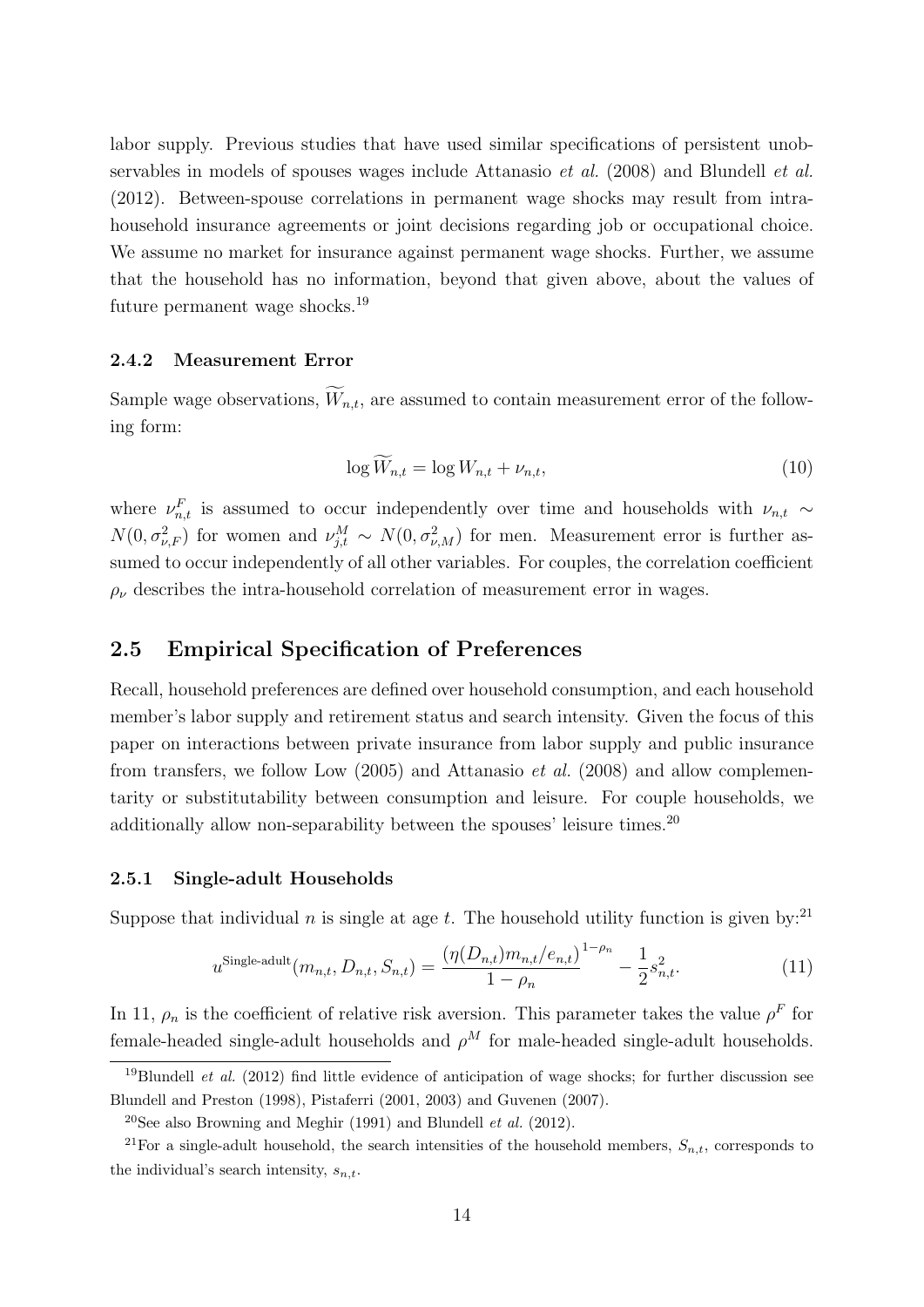labor supply. Previous studies that have used similar specifications of persistent unobservables in models of spouses wages include Attanasio et al. (2008) and Blundell et al. (2012). Between-spouse correlations in permanent wage shocks may result from intrahousehold insurance agreements or joint decisions regarding job or occupational choice. We assume no market for insurance against permanent wage shocks. Further, we assume that the household has no information, beyond that given above, about the values of future permanent wage shocks.<sup>19</sup>

#### 2.4.2 Measurement Error

Sample wage observations,  $\widetilde{W}_{n,t}$ , are assumed to contain measurement error of the following form:

$$
\log \widetilde{W}_{n,t} = \log W_{n,t} + \nu_{n,t},\tag{10}
$$

where  $\nu_{n,t}^F$  is assumed to occur independently over time and households with  $\nu_{n,t} \sim$  $N(0, \sigma_{\nu,F}^2)$  for women and  $\nu_{j,t}^M \sim N(0, \sigma_{\nu,M}^2)$  for men. Measurement error is further assumed to occur independently of all other variables. For couples, the correlation coefficient  $\rho_{\nu}$  describes the intra-household correlation of measurement error in wages.

#### 2.5 Empirical Specification of Preferences

Recall, household preferences are defined over household consumption, and each household member's labor supply and retirement status and search intensity. Given the focus of this paper on interactions between private insurance from labor supply and public insurance from transfers, we follow Low (2005) and Attanasio et al. (2008) and allow complementarity or substitutability between consumption and leisure. For couple households, we additionally allow non-separability between the spouses' leisure times.<sup>20</sup>

#### 2.5.1 Single-adult Households

Suppose that individual n is single at age t. The household utility function is given by:<sup>21</sup>

$$
u^{\text{Single-adult}}(m_{n,t}, D_{n,t}, S_{n,t}) = \frac{(\eta(D_{n,t})m_{n,t}/e_{n,t})^{1-\rho_n}}{1-\rho_n} - \frac{1}{2}s_{n,t}^2.
$$
 (11)

In 11,  $\rho_n$  is the coefficient of relative risk aversion. This parameter takes the value  $\rho^F$  for female-headed single-adult households and  $\rho^M$  for male-headed single-adult households.

<sup>&</sup>lt;sup>19</sup>Blundell *et al.* (2012) find little evidence of anticipation of wage shocks; for further discussion see Blundell and Preston (1998), Pistaferri (2001, 2003) and Guvenen (2007).

<sup>&</sup>lt;sup>20</sup>See also Browning and Meghir (1991) and Blundell *et al.* (2012).

<sup>&</sup>lt;sup>21</sup>For a single-adult household, the search intensities of the household members,  $S_{n,t}$ , corresponds to the individual's search intensity,  $s_{n,t}$ .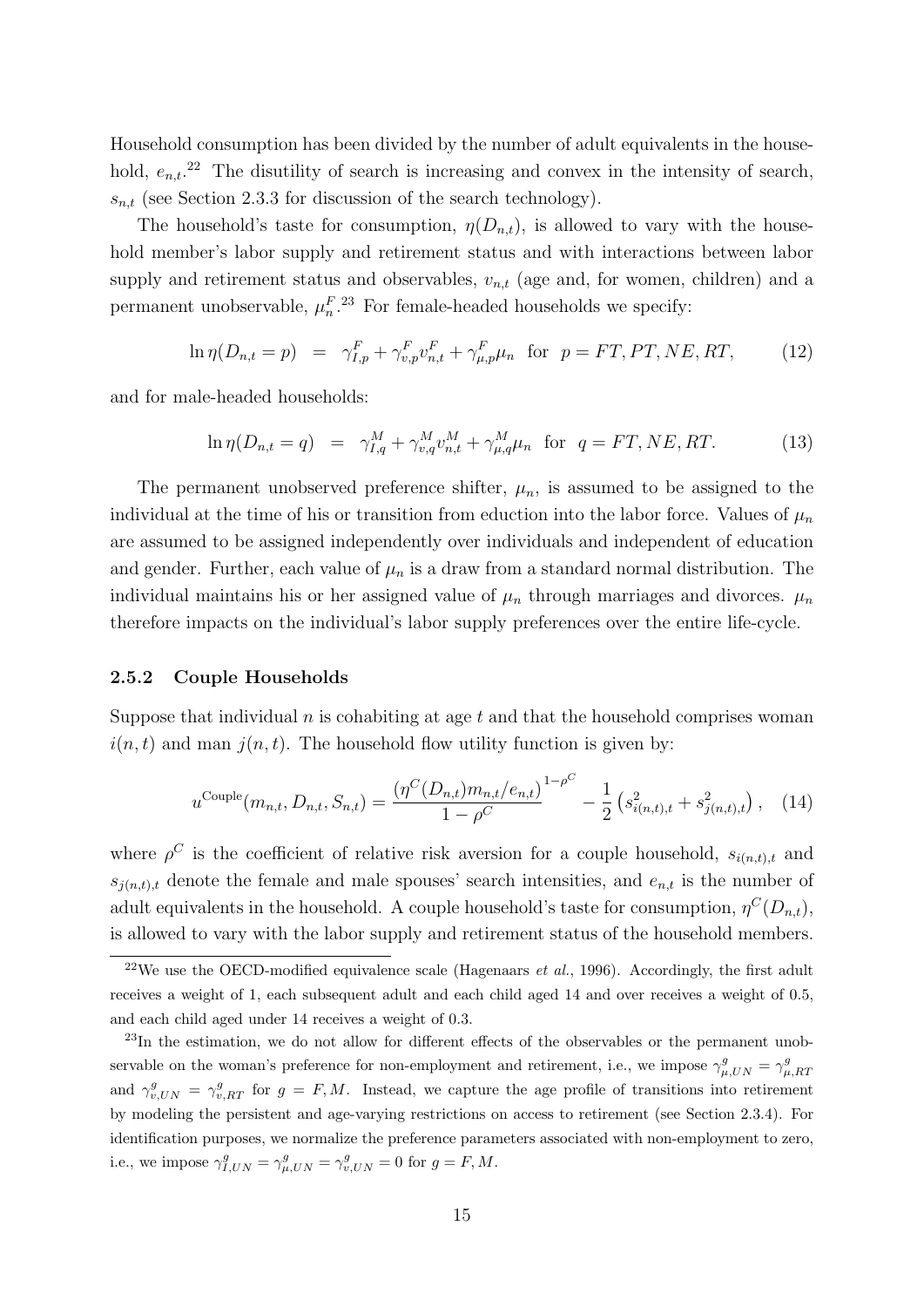Household consumption has been divided by the number of adult equivalents in the household,  $e_{n,t}$ <sup>22</sup> The disutility of search is increasing and convex in the intensity of search,  $s_{n,t}$  (see Section 2.3.3 for discussion of the search technology).

The household's taste for consumption,  $\eta(D_{n,t})$ , is allowed to vary with the household member's labor supply and retirement status and with interactions between labor supply and retirement status and observables,  $v_{n,t}$  (age and, for women, children) and a permanent unobservable,  $\mu_n^F$ <sup>23</sup> For female-headed households we specify:

$$
\ln \eta(D_{n,t} = p) = \gamma_{I,p}^F + \gamma_{v,p}^F v_{n,t}^F + \gamma_{\mu,p}^F \mu_n \text{ for } p = FT, PT, NE, RT,
$$
 (12)

and for male-headed households:

$$
\ln \eta(D_{n,t} = q) = \gamma_{I,q}^{M} + \gamma_{v,q}^{M} v_{n,t}^{M} + \gamma_{\mu,q}^{M} \mu_n \text{ for } q = FT, NE, RT.
$$
 (13)

The permanent unobserved preference shifter,  $\mu_n$ , is assumed to be assigned to the individual at the time of his or transition from eduction into the labor force. Values of  $\mu_n$ are assumed to be assigned independently over individuals and independent of education and gender. Further, each value of  $\mu_n$  is a draw from a standard normal distribution. The individual maintains his or her assigned value of  $\mu_n$  through marriages and divorces.  $\mu_n$ therefore impacts on the individual's labor supply preferences over the entire life-cycle.

#### 2.5.2 Couple Households

Suppose that individual  $n$  is cohabiting at age  $t$  and that the household comprises woman  $i(n, t)$  and man  $j(n, t)$ . The household flow utility function is given by:

$$
u^{\text{Couple}}(m_{n,t}, D_{n,t}, S_{n,t}) = \frac{\left(\eta^C(D_{n,t})m_{n,t}/e_{n,t}\right)^{1-\rho^C}}{1-\rho^C} - \frac{1}{2}\left(s_{i(n,t),t}^2 + s_{j(n,t),t}^2\right), \quad (14)
$$

where  $\rho^C$  is the coefficient of relative risk aversion for a couple household,  $s_{i(n,t),t}$  and  $s_{j(n,t),t}$  denote the female and male spouses' search intensities, and  $e_{n,t}$  is the number of adult equivalents in the household. A couple household's taste for consumption,  $\eta^{C}(D_{n,t}),$ is allowed to vary with the labor supply and retirement status of the household members.

<sup>&</sup>lt;sup>22</sup>We use the OECD-modified equivalence scale (Hagenaars *et al.*, 1996). Accordingly, the first adult receives a weight of 1, each subsequent adult and each child aged 14 and over receives a weight of 0.5, and each child aged under 14 receives a weight of 0.3.

<sup>&</sup>lt;sup>23</sup>In the estimation, we do not allow for different effects of the observables or the permanent unobservable on the woman's preference for non-employment and retirement, i.e., we impose  $\gamma_{\mu,UN}^g = \gamma_{\mu,RT}^g$ and  $\gamma_{v,UN}^g = \gamma_{v,RT}^g$  for  $g = F, M$ . Instead, we capture the age profile of transitions into retirement by modeling the persistent and age-varying restrictions on access to retirement (see Section 2.3.4). For identification purposes, we normalize the preference parameters associated with non-employment to zero, i.e., we impose  $\gamma_{I,UN}^g = \gamma_{\mu,UN}^g = \gamma_{v,UN}^g = 0$  for  $g = F, M$ .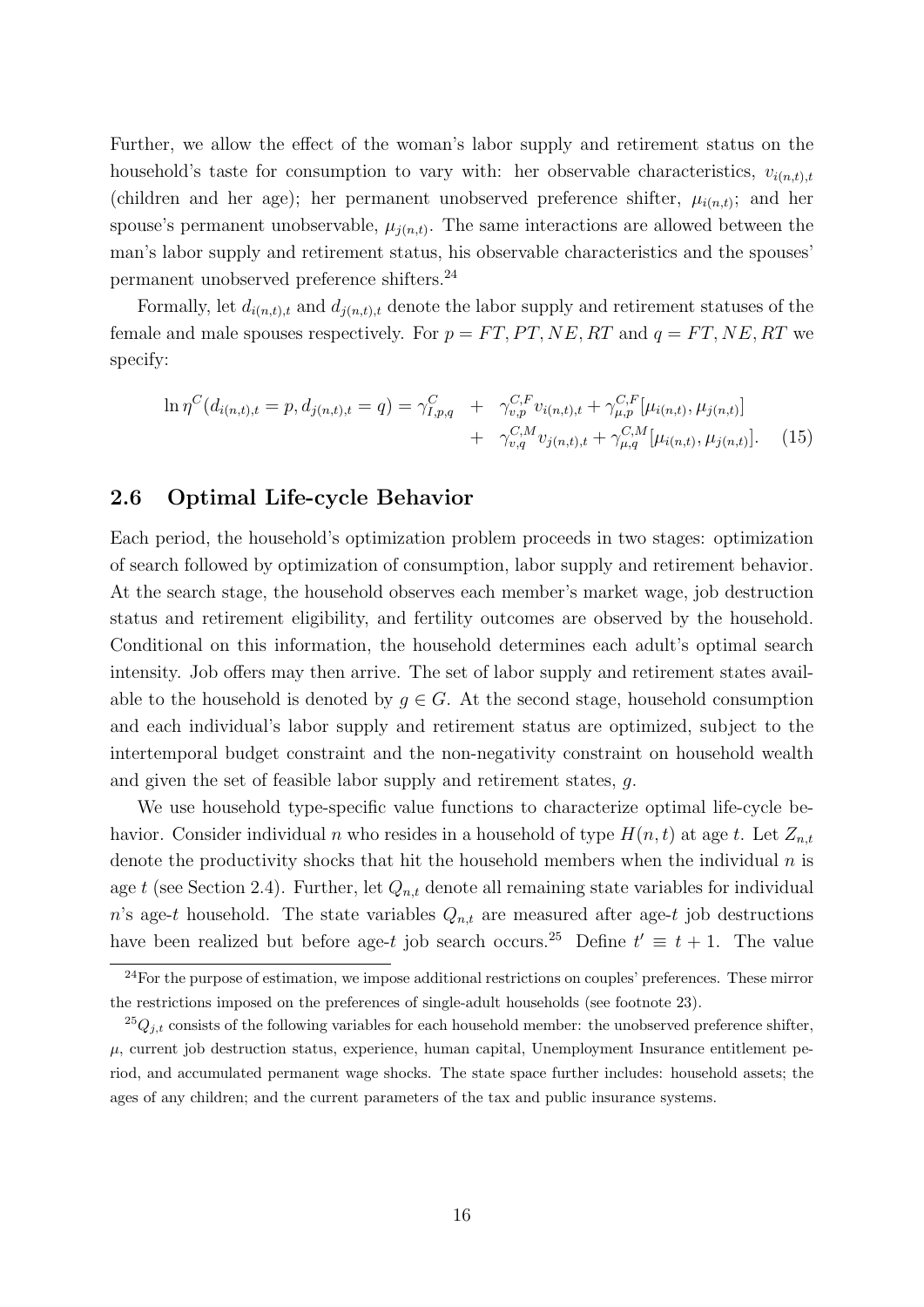Further, we allow the effect of the woman's labor supply and retirement status on the household's taste for consumption to vary with: her observable characteristics,  $v_{i(n,t),t}$ (children and her age); her permanent unobserved preference shifter,  $\mu_{i(n,t)}$ ; and her spouse's permanent unobservable,  $\mu_{j(n,t)}$ . The same interactions are allowed between the man's labor supply and retirement status, his observable characteristics and the spouses' permanent unobserved preference shifters.<sup>24</sup>

Formally, let  $d_{i(n,t),t}$  and  $d_{j(n,t),t}$  denote the labor supply and retirement statuses of the female and male spouses respectively. For  $p = FT, PT, NE, RT$  and  $q = FT, NE, RT$  we specify:

$$
\ln \eta^{C}(d_{i(n,t),t} = p, d_{j(n,t),t} = q) = \gamma_{I,p,q}^{C} + \gamma_{v,p}^{C,F} v_{i(n,t),t} + \gamma_{\mu,p}^{C,F} [\mu_{i(n,t)}, \mu_{j(n,t)}]
$$
  
+  $\gamma_{v,q}^{C,M} v_{j(n,t),t} + \gamma_{\mu,q}^{C,M} [\mu_{i(n,t)}, \mu_{j(n,t)}].$  (15)

#### 2.6 Optimal Life-cycle Behavior

Each period, the household's optimization problem proceeds in two stages: optimization of search followed by optimization of consumption, labor supply and retirement behavior. At the search stage, the household observes each member's market wage, job destruction status and retirement eligibility, and fertility outcomes are observed by the household. Conditional on this information, the household determines each adult's optimal search intensity. Job offers may then arrive. The set of labor supply and retirement states available to the household is denoted by  $q \in G$ . At the second stage, household consumption and each individual's labor supply and retirement status are optimized, subject to the intertemporal budget constraint and the non-negativity constraint on household wealth and given the set of feasible labor supply and retirement states, g.

We use household type-specific value functions to characterize optimal life-cycle behavior. Consider individual n who resides in a household of type  $H(n, t)$  at age t. Let  $Z_{n,t}$ denote the productivity shocks that hit the household members when the individual  $n$  is age t (see Section 2.4). Further, let  $Q_{n,t}$  denote all remaining state variables for individual n's age-t household. The state variables  $Q_{n,t}$  are measured after age-t job destructions have been realized but before age-t job search occurs.<sup>25</sup> Define  $t' \equiv t + 1$ . The value

<sup>&</sup>lt;sup>24</sup>For the purpose of estimation, we impose additional restrictions on couples' preferences. These mirror the restrictions imposed on the preferences of single-adult households (see footnote 23).

 $^{25}Q_{j,t}$  consists of the following variables for each household member: the unobserved preference shifter,  $\mu$ , current job destruction status, experience, human capital, Unemployment Insurance entitlement period, and accumulated permanent wage shocks. The state space further includes: household assets; the ages of any children; and the current parameters of the tax and public insurance systems.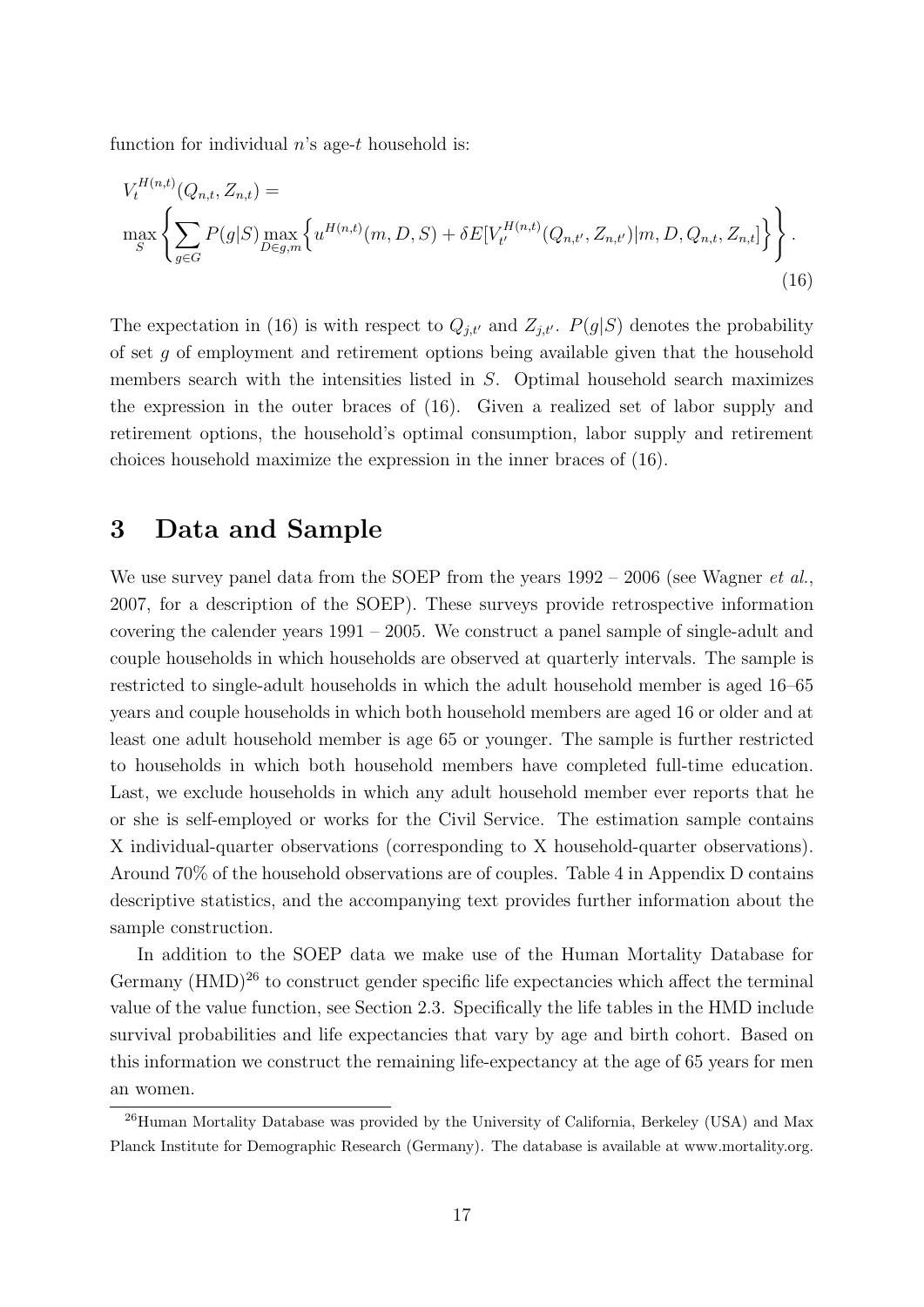function for individual  $n$ 's age-t household is:

$$
V_t^{H(n,t)}(Q_{n,t}, Z_{n,t}) = \max_{S} \left\{ \sum_{g \in G} P(g|S) \max_{D \in g,m} \left\{ u^{H(n,t)}(m, D, S) + \delta E[V_t^{H(n,t)}(Q_{n,t'}, Z_{n,t'}) | m, D, Q_{n,t}, Z_{n,t}] \right\} \right\}.
$$
\n(16)

The expectation in (16) is with respect to  $Q_{j,t'}$  and  $Z_{j,t'}$ .  $P(g|S)$  denotes the probability of set g of employment and retirement options being available given that the household members search with the intensities listed in S. Optimal household search maximizes the expression in the outer braces of (16). Given a realized set of labor supply and retirement options, the household's optimal consumption, labor supply and retirement choices household maximize the expression in the inner braces of (16).

## 3 Data and Sample

We use survey panel data from the SOEP from the years  $1992 - 2006$  (see Wagner *et al.*, 2007, for a description of the SOEP). These surveys provide retrospective information covering the calender years 1991 – 2005. We construct a panel sample of single-adult and couple households in which households are observed at quarterly intervals. The sample is restricted to single-adult households in which the adult household member is aged 16–65 years and couple households in which both household members are aged 16 or older and at least one adult household member is age 65 or younger. The sample is further restricted to households in which both household members have completed full-time education. Last, we exclude households in which any adult household member ever reports that he or she is self-employed or works for the Civil Service. The estimation sample contains X individual-quarter observations (corresponding to X household-quarter observations). Around 70% of the household observations are of couples. Table 4 in Appendix D contains descriptive statistics, and the accompanying text provides further information about the sample construction.

In addition to the SOEP data we make use of the Human Mortality Database for Germany  $(HMD)^{26}$  to construct gender specific life expectancies which affect the terminal value of the value function, see Section 2.3. Specifically the life tables in the HMD include survival probabilities and life expectancies that vary by age and birth cohort. Based on this information we construct the remaining life-expectancy at the age of 65 years for men an women.

<sup>&</sup>lt;sup>26</sup>Human Mortality Database was provided by the University of California, Berkeley (USA) and Max Planck Institute for Demographic Research (Germany). The database is available at www.mortality.org.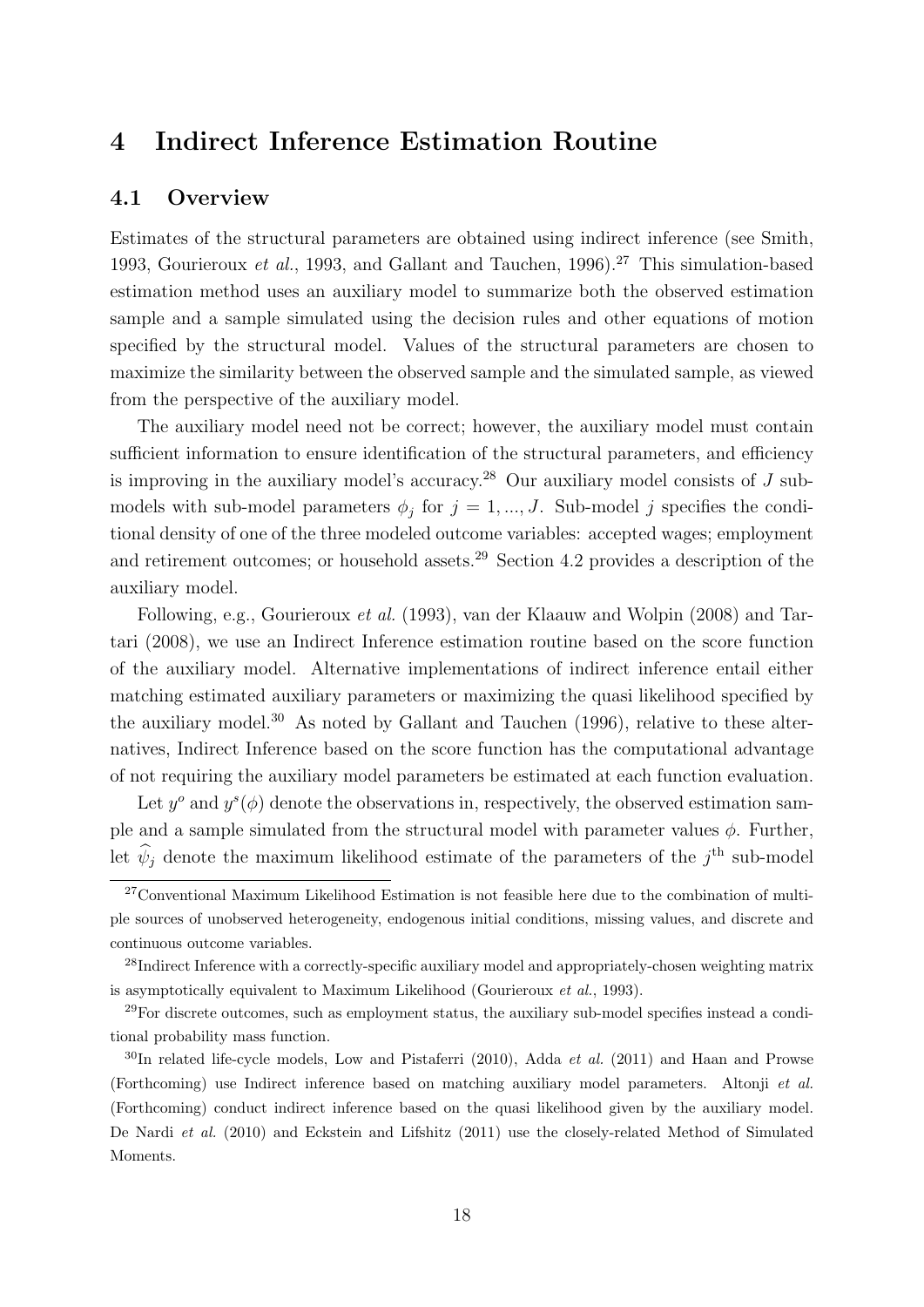## 4 Indirect Inference Estimation Routine

#### 4.1 Overview

Estimates of the structural parameters are obtained using indirect inference (see Smith, 1993, Gourieroux *et al.*, 1993, and Gallant and Tauchen, 1996).<sup>27</sup> This simulation-based estimation method uses an auxiliary model to summarize both the observed estimation sample and a sample simulated using the decision rules and other equations of motion specified by the structural model. Values of the structural parameters are chosen to maximize the similarity between the observed sample and the simulated sample, as viewed from the perspective of the auxiliary model.

The auxiliary model need not be correct; however, the auxiliary model must contain sufficient information to ensure identification of the structural parameters, and efficiency is improving in the auxiliary model's accuracy.<sup>28</sup> Our auxiliary model consists of  $J$  submodels with sub-model parameters  $\phi_j$  for  $j = 1, ..., J$ . Sub-model j specifies the conditional density of one of the three modeled outcome variables: accepted wages; employment and retirement outcomes; or household assets.<sup>29</sup> Section 4.2 provides a description of the auxiliary model.

Following, e.g., Gourieroux et al. (1993), van der Klaauw and Wolpin (2008) and Tartari (2008), we use an Indirect Inference estimation routine based on the score function of the auxiliary model. Alternative implementations of indirect inference entail either matching estimated auxiliary parameters or maximizing the quasi likelihood specified by the auxiliary model.<sup>30</sup> As noted by Gallant and Tauchen  $(1996)$ , relative to these alternatives, Indirect Inference based on the score function has the computational advantage of not requiring the auxiliary model parameters be estimated at each function evaluation.

Let  $y^{\circ}$  and  $y^s(\phi)$  denote the observations in, respectively, the observed estimation sample and a sample simulated from the structural model with parameter values  $\phi$ . Further, let  $\hat{\psi}_j$  denote the maximum likelihood estimate of the parameters of the  $j^{\text{th}}$  sub-model

<sup>&</sup>lt;sup>27</sup>Conventional Maximum Likelihood Estimation is not feasible here due to the combination of multiple sources of unobserved heterogeneity, endogenous initial conditions, missing values, and discrete and continuous outcome variables.

<sup>&</sup>lt;sup>28</sup>Indirect Inference with a correctly-specific auxiliary model and appropriately-chosen weighting matrix is asymptotically equivalent to Maximum Likelihood (Gourieroux et al., 1993).

 $29$ For discrete outcomes, such as employment status, the auxiliary sub-model specifies instead a conditional probability mass function.

 $30$ In related life-cycle models, Low and Pistaferri (2010), Adda *et al.* (2011) and Haan and Prowse (Forthcoming) use Indirect inference based on matching auxiliary model parameters. Altonji et al. (Forthcoming) conduct indirect inference based on the quasi likelihood given by the auxiliary model. De Nardi et al. (2010) and Eckstein and Lifshitz (2011) use the closely-related Method of Simulated Moments.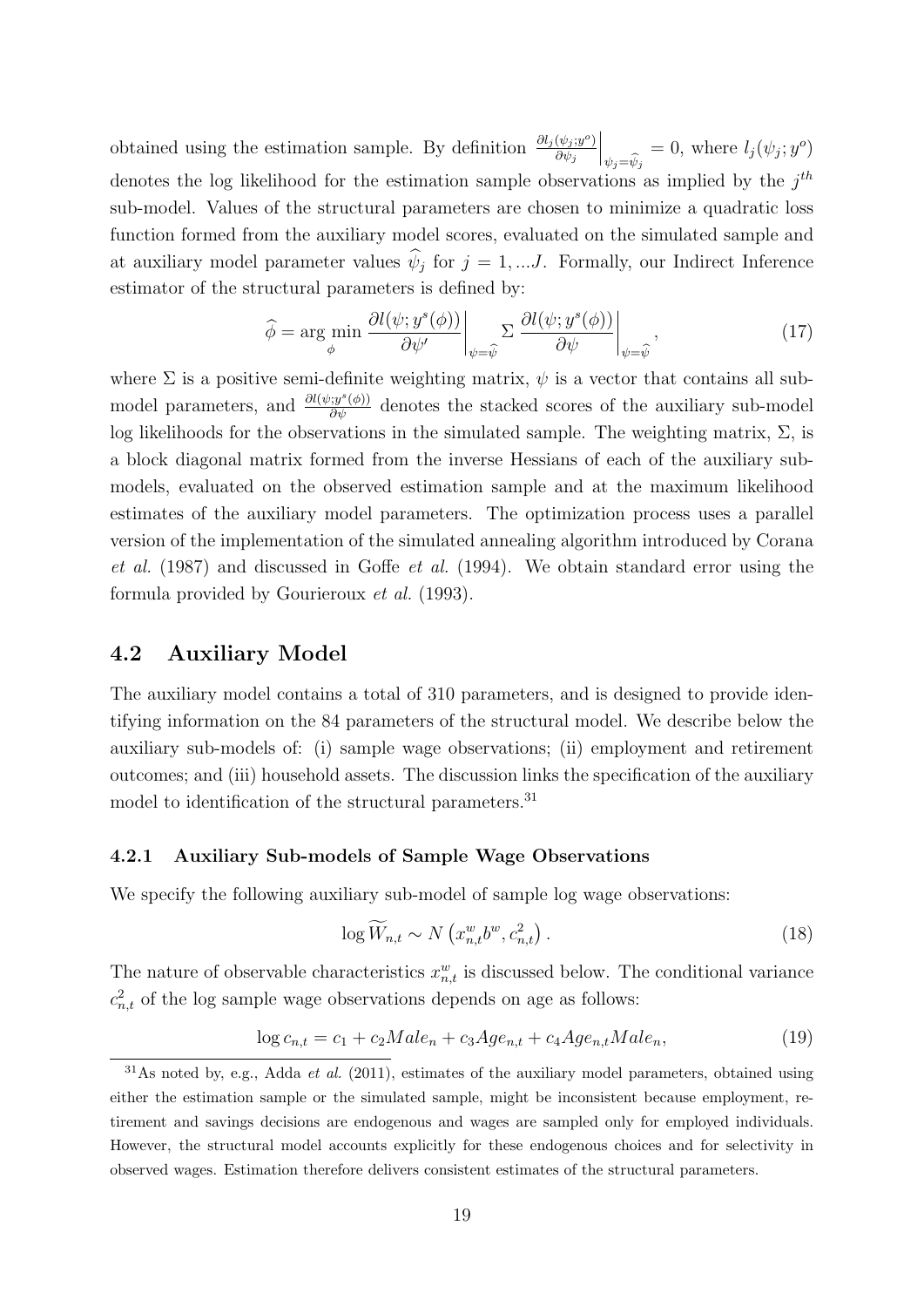obtained using the estimation sample. By definition  $\frac{\partial l_j(\psi_j; y^o)}{\partial \psi_j}$  $\partial \psi_j$  $\Big\vert_{\psi_j=\widehat{\psi}_j}$  $= 0$ , where  $l_j(\psi_j; y^o)$ denotes the log likelihood for the estimation sample observations as implied by the  $j<sup>th</sup>$ sub-model. Values of the structural parameters are chosen to minimize a quadratic loss function formed from the auxiliary model scores, evaluated on the simulated sample and at auxiliary model parameter values  $\psi_j$  for  $j = 1, \dots J$ . Formally, our Indirect Inference estimator of the structural parameters is defined by:

$$
\widehat{\phi} = \underset{\phi}{\arg\min} \left. \frac{\partial l(\psi; y^s(\phi))}{\partial \psi'} \right|_{\psi = \widehat{\psi}} \Sigma \left. \frac{\partial l(\psi; y^s(\phi))}{\partial \psi} \right|_{\psi = \widehat{\psi}},\tag{17}
$$

where  $\Sigma$  is a positive semi-definite weighting matrix,  $\psi$  is a vector that contains all submodel parameters, and  $\frac{\partial l(\psi; y^s(\phi))}{\partial \psi}$  denotes the stacked scores of the auxiliary sub-model log likelihoods for the observations in the simulated sample. The weighting matrix,  $\Sigma$ , is a block diagonal matrix formed from the inverse Hessians of each of the auxiliary submodels, evaluated on the observed estimation sample and at the maximum likelihood estimates of the auxiliary model parameters. The optimization process uses a parallel version of the implementation of the simulated annealing algorithm introduced by Corana et al. (1987) and discussed in Goffe et al. (1994). We obtain standard error using the formula provided by Gourieroux et al. (1993).

#### 4.2 Auxiliary Model

The auxiliary model contains a total of 310 parameters, and is designed to provide identifying information on the 84 parameters of the structural model. We describe below the auxiliary sub-models of: (i) sample wage observations; (ii) employment and retirement outcomes; and (iii) household assets. The discussion links the specification of the auxiliary model to identification of the structural parameters.  $31$ 

#### 4.2.1 Auxiliary Sub-models of Sample Wage Observations

We specify the following auxiliary sub-model of sample log wage observations:

$$
\log \widetilde{W}_{n,t} \sim N\left(x_{n,t}^w b^w, c_{n,t}^2\right). \tag{18}
$$

The nature of observable characteristics  $x_{n,t}^w$  is discussed below. The conditional variance  $c_{n,t}^2$  of the log sample wage observations depends on age as follows:

$$
\log c_{n,t} = c_1 + c_2 Male_n + c_3 Age_{n,t} + c_4 Age_{n,t} Male_n,\tag{19}
$$

 $31\text{As}$  noted by, e.g., Adda *et al.* (2011), estimates of the auxiliary model parameters, obtained using either the estimation sample or the simulated sample, might be inconsistent because employment, retirement and savings decisions are endogenous and wages are sampled only for employed individuals. However, the structural model accounts explicitly for these endogenous choices and for selectivity in observed wages. Estimation therefore delivers consistent estimates of the structural parameters.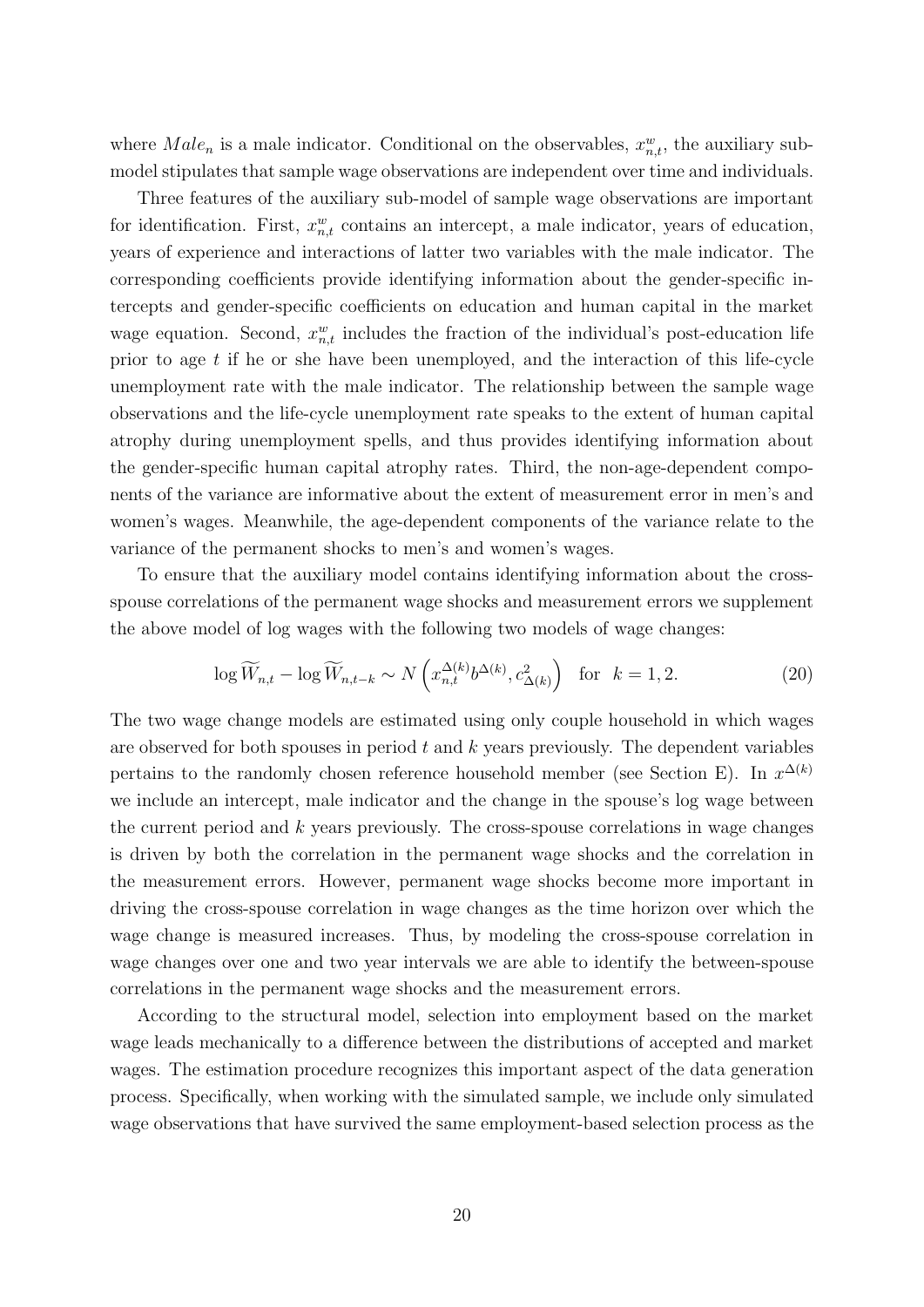where  $Male_n$  is a male indicator. Conditional on the observables,  $x_{n,t}^w$ , the auxiliary submodel stipulates that sample wage observations are independent over time and individuals.

Three features of the auxiliary sub-model of sample wage observations are important for identification. First,  $x_{n,t}^w$  contains an intercept, a male indicator, years of education, years of experience and interactions of latter two variables with the male indicator. The corresponding coefficients provide identifying information about the gender-specific intercepts and gender-specific coefficients on education and human capital in the market wage equation. Second,  $x_{n,t}^w$  includes the fraction of the individual's post-education life prior to age t if he or she have been unemployed, and the interaction of this life-cycle unemployment rate with the male indicator. The relationship between the sample wage observations and the life-cycle unemployment rate speaks to the extent of human capital atrophy during unemployment spells, and thus provides identifying information about the gender-specific human capital atrophy rates. Third, the non-age-dependent components of the variance are informative about the extent of measurement error in men's and women's wages. Meanwhile, the age-dependent components of the variance relate to the variance of the permanent shocks to men's and women's wages.

To ensure that the auxiliary model contains identifying information about the crossspouse correlations of the permanent wage shocks and measurement errors we supplement the above model of log wages with the following two models of wage changes:

$$
\log \widetilde{W}_{n,t} - \log \widetilde{W}_{n,t-k} \sim N\left(x_{n,t}^{\Delta(k)} b^{\Delta(k)}, c_{\Delta(k)}^2\right) \quad \text{for} \quad k = 1, 2. \tag{20}
$$

The two wage change models are estimated using only couple household in which wages are observed for both spouses in period  $t$  and  $k$  years previously. The dependent variables pertains to the randomly chosen reference household member (see Section E). In  $x^{\Delta(k)}$ we include an intercept, male indicator and the change in the spouse's log wage between the current period and  $k$  years previously. The cross-spouse correlations in wage changes is driven by both the correlation in the permanent wage shocks and the correlation in the measurement errors. However, permanent wage shocks become more important in driving the cross-spouse correlation in wage changes as the time horizon over which the wage change is measured increases. Thus, by modeling the cross-spouse correlation in wage changes over one and two year intervals we are able to identify the between-spouse correlations in the permanent wage shocks and the measurement errors.

According to the structural model, selection into employment based on the market wage leads mechanically to a difference between the distributions of accepted and market wages. The estimation procedure recognizes this important aspect of the data generation process. Specifically, when working with the simulated sample, we include only simulated wage observations that have survived the same employment-based selection process as the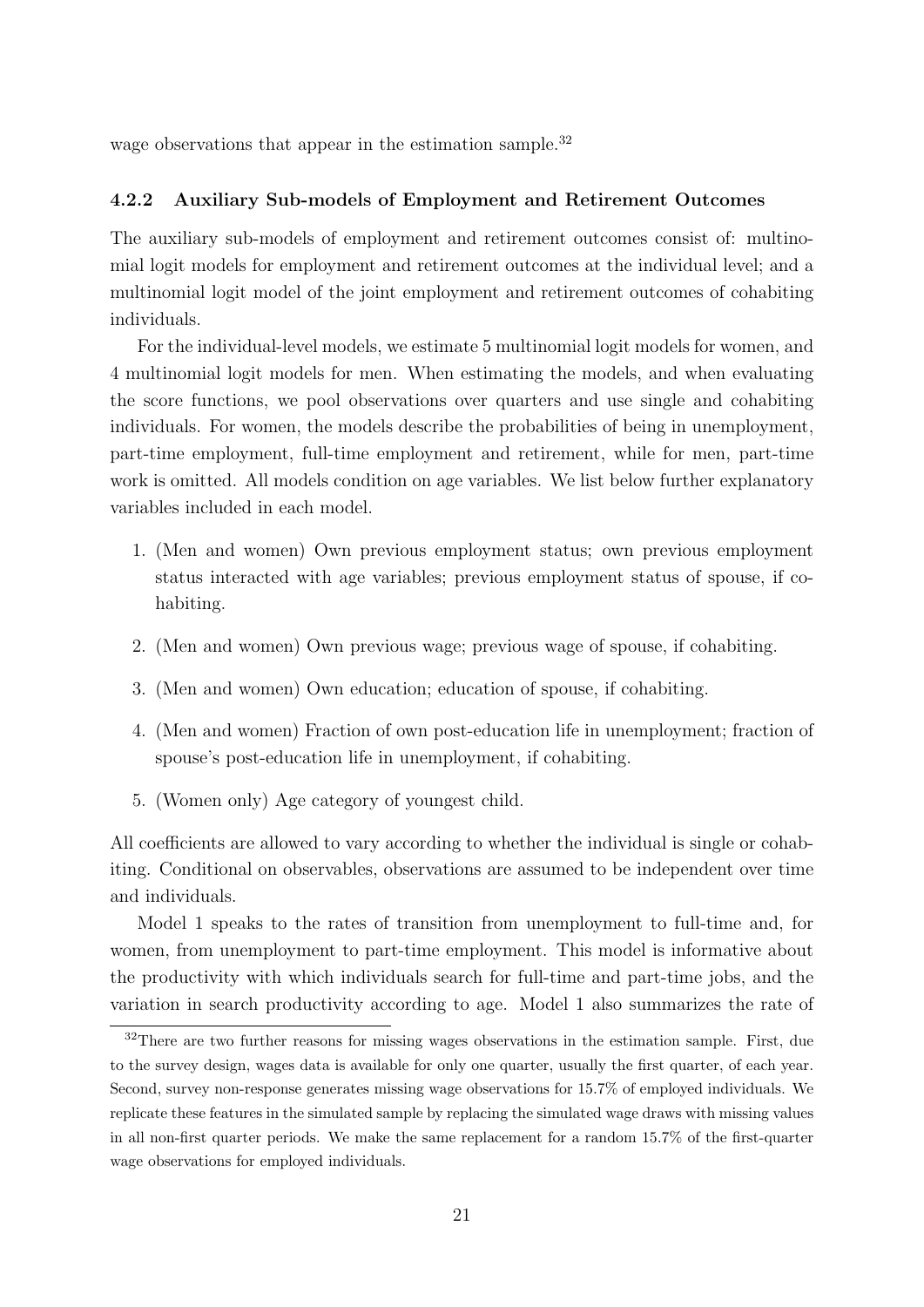wage observations that appear in the estimation sample.<sup>32</sup>

#### 4.2.2 Auxiliary Sub-models of Employment and Retirement Outcomes

The auxiliary sub-models of employment and retirement outcomes consist of: multinomial logit models for employment and retirement outcomes at the individual level; and a multinomial logit model of the joint employment and retirement outcomes of cohabiting individuals.

For the individual-level models, we estimate 5 multinomial logit models for women, and 4 multinomial logit models for men. When estimating the models, and when evaluating the score functions, we pool observations over quarters and use single and cohabiting individuals. For women, the models describe the probabilities of being in unemployment, part-time employment, full-time employment and retirement, while for men, part-time work is omitted. All models condition on age variables. We list below further explanatory variables included in each model.

- 1. (Men and women) Own previous employment status; own previous employment status interacted with age variables; previous employment status of spouse, if cohabiting.
- 2. (Men and women) Own previous wage; previous wage of spouse, if cohabiting.
- 3. (Men and women) Own education; education of spouse, if cohabiting.
- 4. (Men and women) Fraction of own post-education life in unemployment; fraction of spouse's post-education life in unemployment, if cohabiting.
- 5. (Women only) Age category of youngest child.

All coefficients are allowed to vary according to whether the individual is single or cohabiting. Conditional on observables, observations are assumed to be independent over time and individuals.

Model 1 speaks to the rates of transition from unemployment to full-time and, for women, from unemployment to part-time employment. This model is informative about the productivity with which individuals search for full-time and part-time jobs, and the variation in search productivity according to age. Model 1 also summarizes the rate of

<sup>&</sup>lt;sup>32</sup>There are two further reasons for missing wages observations in the estimation sample. First, due to the survey design, wages data is available for only one quarter, usually the first quarter, of each year. Second, survey non-response generates missing wage observations for 15.7% of employed individuals. We replicate these features in the simulated sample by replacing the simulated wage draws with missing values in all non-first quarter periods. We make the same replacement for a random 15.7% of the first-quarter wage observations for employed individuals.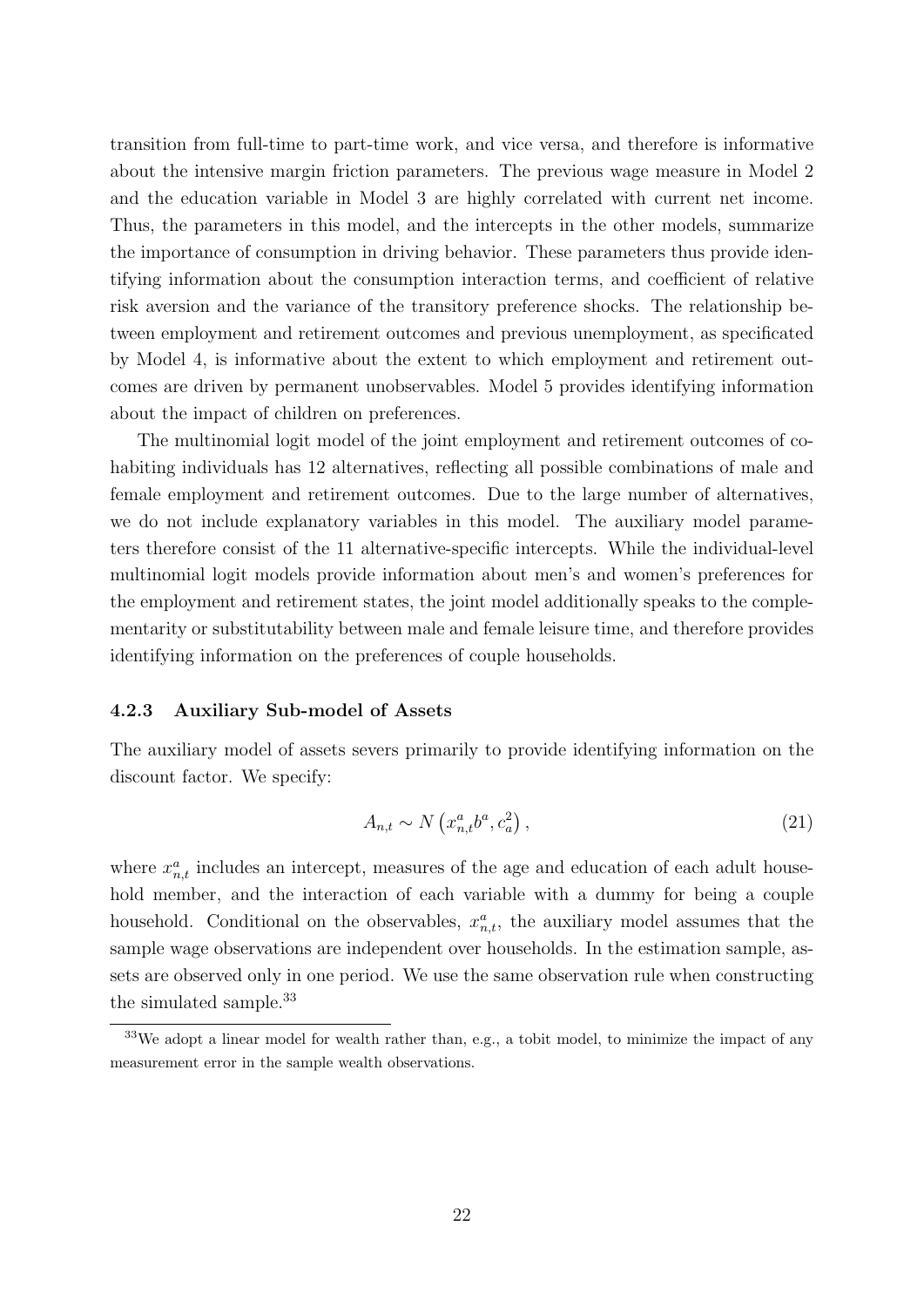transition from full-time to part-time work, and vice versa, and therefore is informative about the intensive margin friction parameters. The previous wage measure in Model 2 and the education variable in Model 3 are highly correlated with current net income. Thus, the parameters in this model, and the intercepts in the other models, summarize the importance of consumption in driving behavior. These parameters thus provide identifying information about the consumption interaction terms, and coefficient of relative risk aversion and the variance of the transitory preference shocks. The relationship between employment and retirement outcomes and previous unemployment, as specificated by Model 4, is informative about the extent to which employment and retirement outcomes are driven by permanent unobservables. Model 5 provides identifying information about the impact of children on preferences.

The multinomial logit model of the joint employment and retirement outcomes of cohabiting individuals has 12 alternatives, reflecting all possible combinations of male and female employment and retirement outcomes. Due to the large number of alternatives, we do not include explanatory variables in this model. The auxiliary model parameters therefore consist of the 11 alternative-specific intercepts. While the individual-level multinomial logit models provide information about men's and women's preferences for the employment and retirement states, the joint model additionally speaks to the complementarity or substitutability between male and female leisure time, and therefore provides identifying information on the preferences of couple households.

#### 4.2.3 Auxiliary Sub-model of Assets

The auxiliary model of assets severs primarily to provide identifying information on the discount factor. We specify:

$$
A_{n,t} \sim N\left(x_{n,t}^a b^a, c_a^2\right),\tag{21}
$$

where  $x_{n,t}^a$  includes an intercept, measures of the age and education of each adult household member, and the interaction of each variable with a dummy for being a couple household. Conditional on the observables,  $x_{n,t}^a$ , the auxiliary model assumes that the sample wage observations are independent over households. In the estimation sample, assets are observed only in one period. We use the same observation rule when constructing the simulated sample.<sup>33</sup>

<sup>&</sup>lt;sup>33</sup>We adopt a linear model for wealth rather than, e.g., a tobit model, to minimize the impact of any measurement error in the sample wealth observations.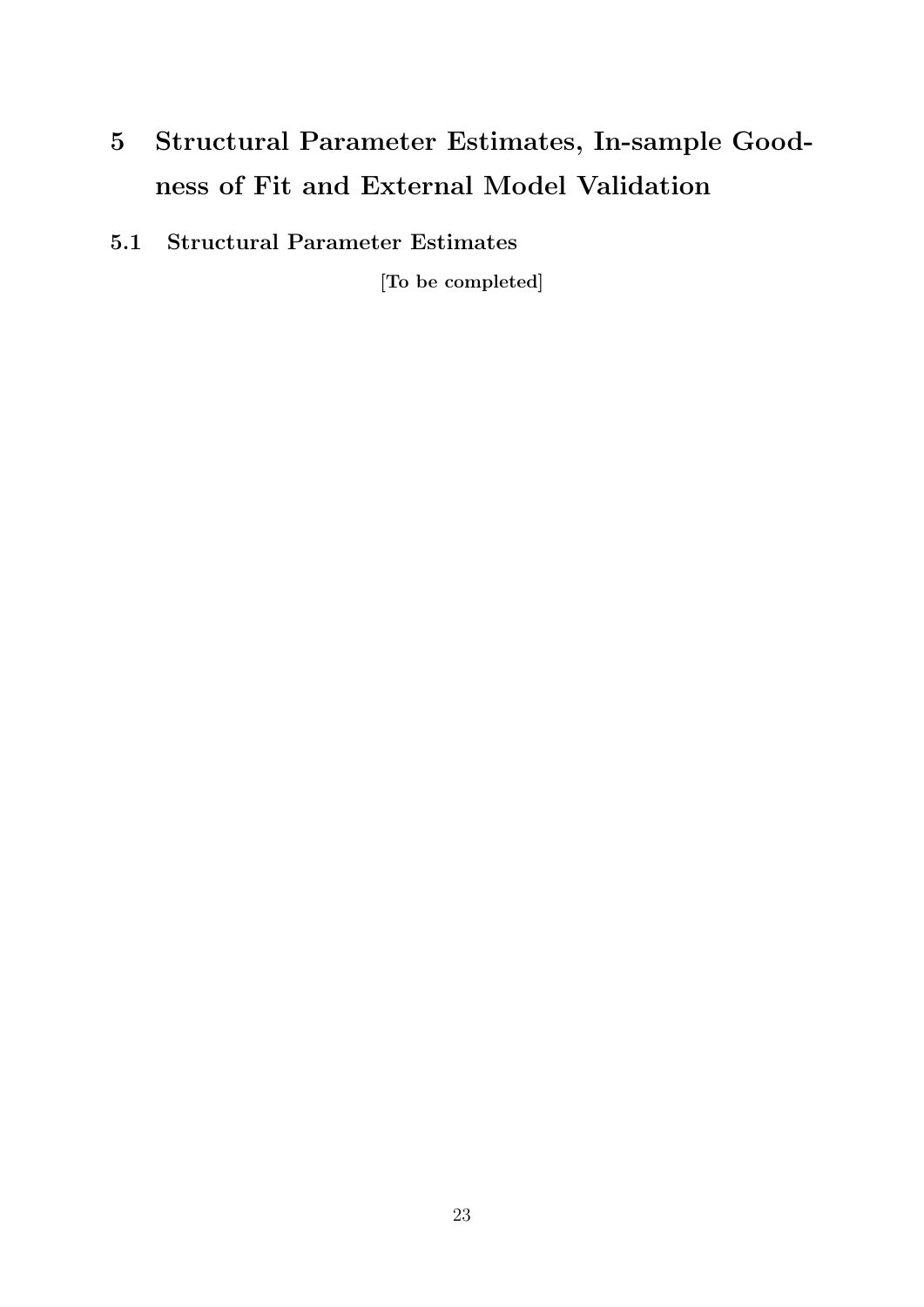# 5 Structural Parameter Estimates, In-sample Goodness of Fit and External Model Validation

5.1 Structural Parameter Estimates

[To be completed]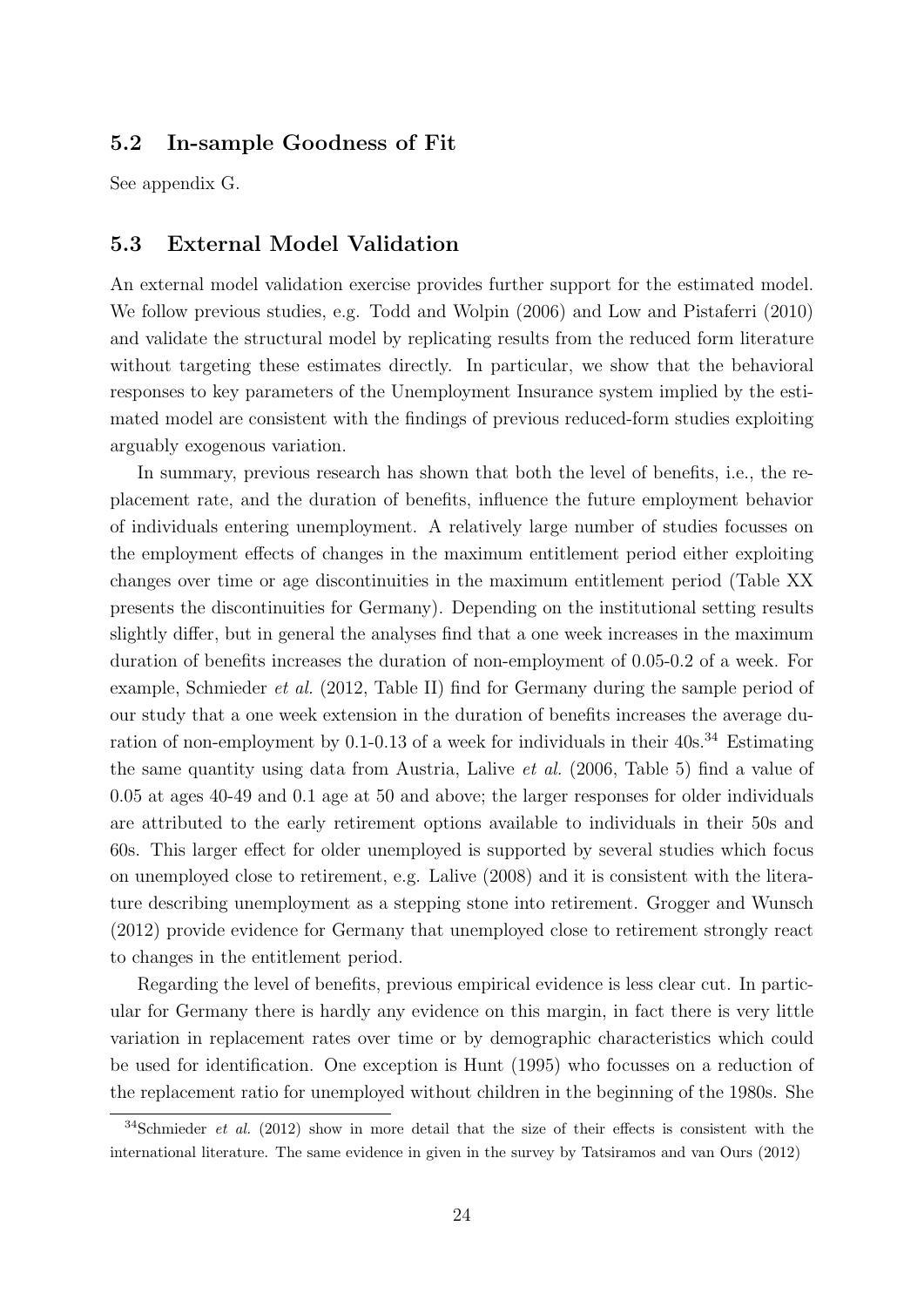#### 5.2 In-sample Goodness of Fit

See appendix G.

#### 5.3 External Model Validation

An external model validation exercise provides further support for the estimated model. We follow previous studies, e.g. Todd and Wolpin (2006) and Low and Pistaferri (2010) and validate the structural model by replicating results from the reduced form literature without targeting these estimates directly. In particular, we show that the behavioral responses to key parameters of the Unemployment Insurance system implied by the estimated model are consistent with the findings of previous reduced-form studies exploiting arguably exogenous variation.

In summary, previous research has shown that both the level of benefits, i.e., the replacement rate, and the duration of benefits, influence the future employment behavior of individuals entering unemployment. A relatively large number of studies focusses on the employment effects of changes in the maximum entitlement period either exploiting changes over time or age discontinuities in the maximum entitlement period (Table XX presents the discontinuities for Germany). Depending on the institutional setting results slightly differ, but in general the analyses find that a one week increases in the maximum duration of benefits increases the duration of non-employment of 0.05-0.2 of a week. For example, Schmieder et al. (2012, Table II) find for Germany during the sample period of our study that a one week extension in the duration of benefits increases the average duration of non-employment by  $0.1$ -0.13 of a week for individuals in their  $40s^{34}$  Estimating the same quantity using data from Austria, Lalive et al. (2006, Table 5) find a value of 0.05 at ages 40-49 and 0.1 age at 50 and above; the larger responses for older individuals are attributed to the early retirement options available to individuals in their 50s and 60s. This larger effect for older unemployed is supported by several studies which focus on unemployed close to retirement, e.g. Lalive (2008) and it is consistent with the literature describing unemployment as a stepping stone into retirement. Grogger and Wunsch (2012) provide evidence for Germany that unemployed close to retirement strongly react to changes in the entitlement period.

Regarding the level of benefits, previous empirical evidence is less clear cut. In particular for Germany there is hardly any evidence on this margin, in fact there is very little variation in replacement rates over time or by demographic characteristics which could be used for identification. One exception is Hunt (1995) who focusses on a reduction of the replacement ratio for unemployed without children in the beginning of the 1980s. She

 $34$ Schmieder *et al.* (2012) show in more detail that the size of their effects is consistent with the international literature. The same evidence in given in the survey by Tatsiramos and van Ours (2012)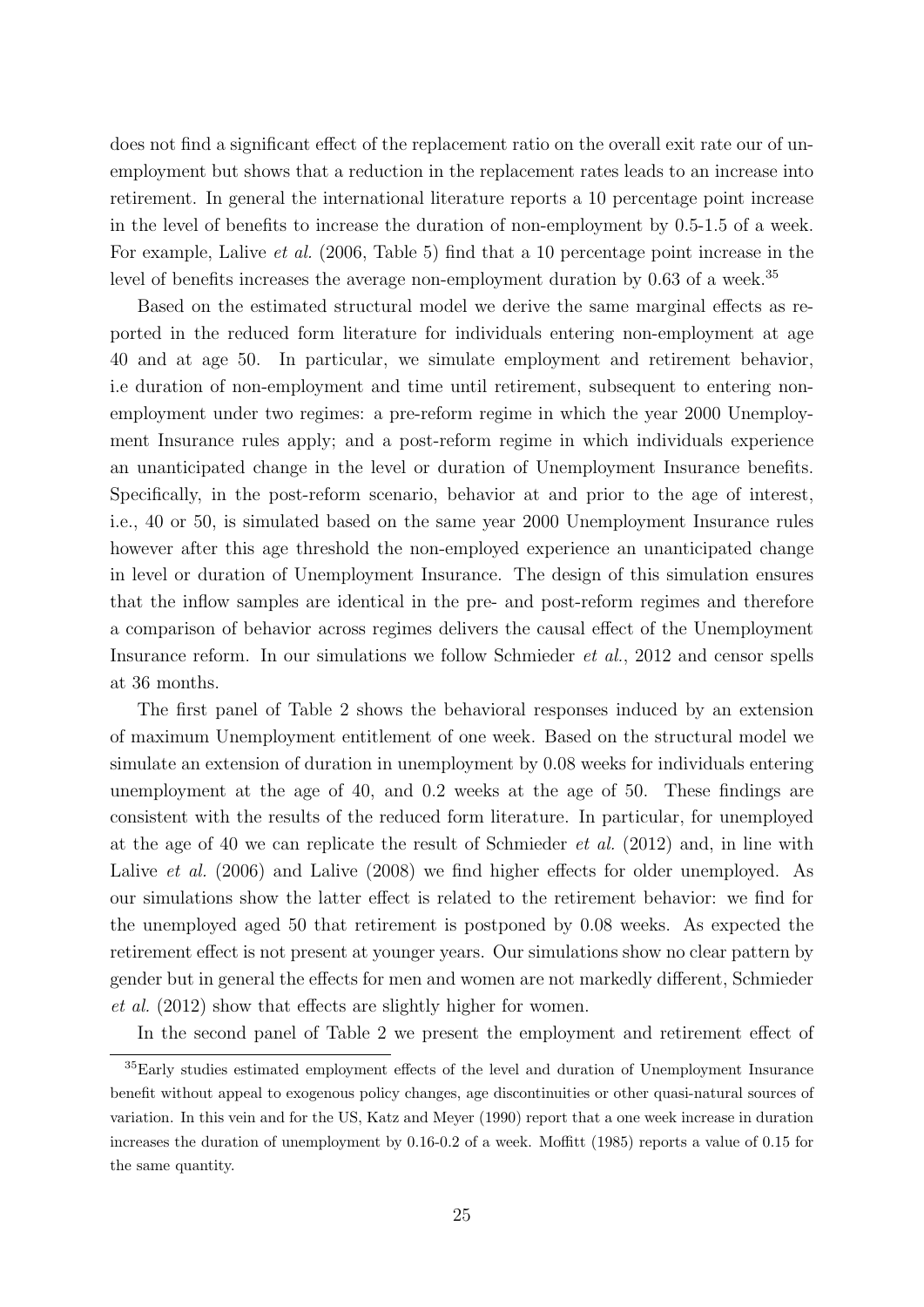does not find a significant effect of the replacement ratio on the overall exit rate our of unemployment but shows that a reduction in the replacement rates leads to an increase into retirement. In general the international literature reports a 10 percentage point increase in the level of benefits to increase the duration of non-employment by 0.5-1.5 of a week. For example, Lalive et al. (2006, Table 5) find that a 10 percentage point increase in the level of benefits increases the average non-employment duration by 0.63 of a week.<sup>35</sup>

Based on the estimated structural model we derive the same marginal effects as reported in the reduced form literature for individuals entering non-employment at age 40 and at age 50. In particular, we simulate employment and retirement behavior, i.e duration of non-employment and time until retirement, subsequent to entering nonemployment under two regimes: a pre-reform regime in which the year 2000 Unemployment Insurance rules apply; and a post-reform regime in which individuals experience an unanticipated change in the level or duration of Unemployment Insurance benefits. Specifically, in the post-reform scenario, behavior at and prior to the age of interest, i.e., 40 or 50, is simulated based on the same year 2000 Unemployment Insurance rules however after this age threshold the non-employed experience an unanticipated change in level or duration of Unemployment Insurance. The design of this simulation ensures that the inflow samples are identical in the pre- and post-reform regimes and therefore a comparison of behavior across regimes delivers the causal effect of the Unemployment Insurance reform. In our simulations we follow Schmieder et al., 2012 and censor spells at 36 months.

The first panel of Table 2 shows the behavioral responses induced by an extension of maximum Unemployment entitlement of one week. Based on the structural model we simulate an extension of duration in unemployment by 0.08 weeks for individuals entering unemployment at the age of 40, and 0.2 weeks at the age of 50. These findings are consistent with the results of the reduced form literature. In particular, for unemployed at the age of 40 we can replicate the result of Schmieder *et al.* (2012) and, in line with Lalive *et al.* (2006) and Lalive (2008) we find higher effects for older unemployed. As our simulations show the latter effect is related to the retirement behavior: we find for the unemployed aged 50 that retirement is postponed by 0.08 weeks. As expected the retirement effect is not present at younger years. Our simulations show no clear pattern by gender but in general the effects for men and women are not markedly different, Schmieder et al. (2012) show that effects are slightly higher for women.

In the second panel of Table 2 we present the employment and retirement effect of

<sup>35</sup>Early studies estimated employment effects of the level and duration of Unemployment Insurance benefit without appeal to exogenous policy changes, age discontinuities or other quasi-natural sources of variation. In this vein and for the US, Katz and Meyer (1990) report that a one week increase in duration increases the duration of unemployment by 0.16-0.2 of a week. Moffitt (1985) reports a value of 0.15 for the same quantity.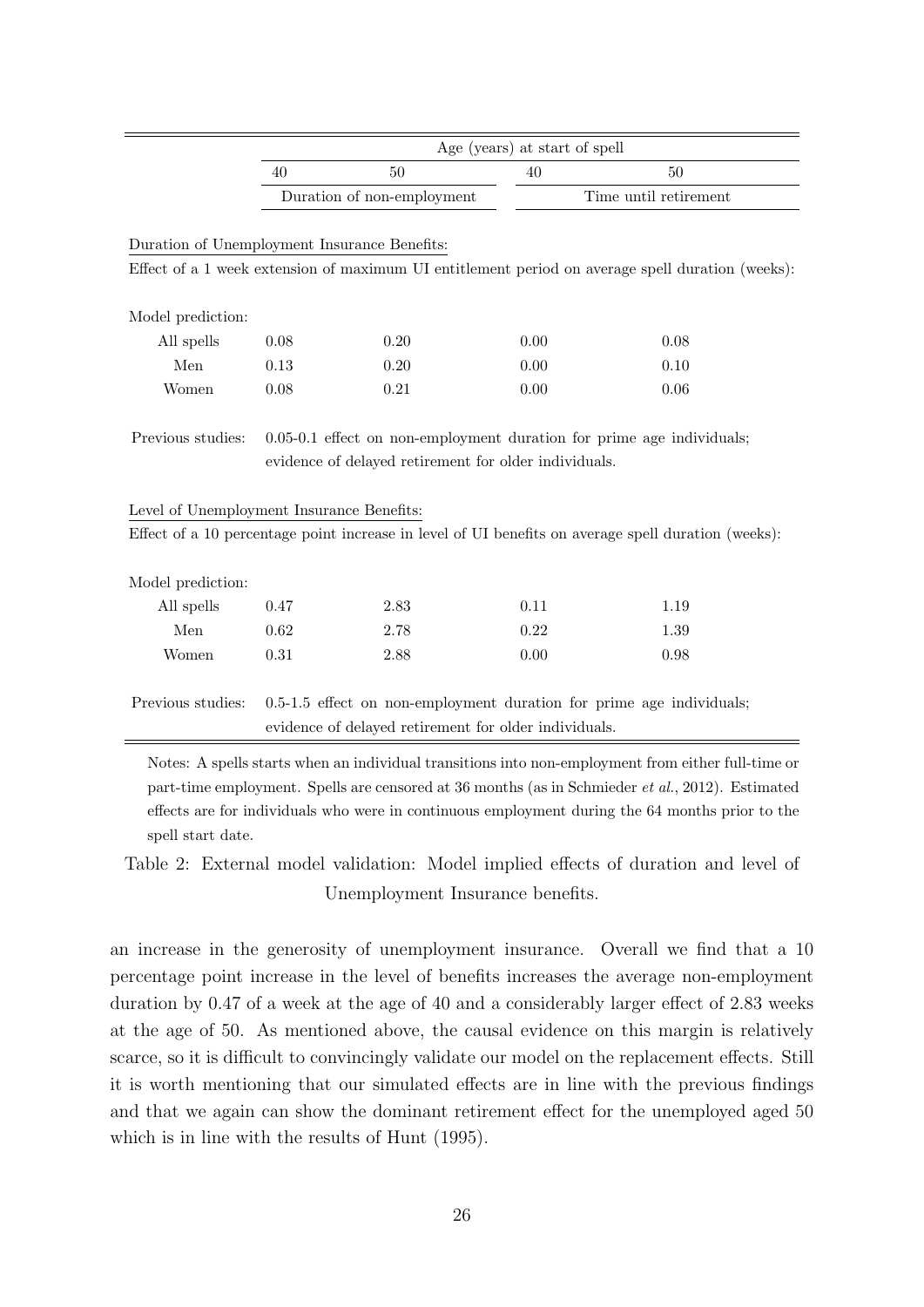|                                              | Age (years) at start of spell |                                                       |      |                                                                                                     |  |  |
|----------------------------------------------|-------------------------------|-------------------------------------------------------|------|-----------------------------------------------------------------------------------------------------|--|--|
|                                              | 50<br>40                      |                                                       | 40   | 50                                                                                                  |  |  |
|                                              |                               | Duration of non-employment                            |      | Time until retirement                                                                               |  |  |
|                                              |                               |                                                       |      |                                                                                                     |  |  |
| Duration of Unemployment Insurance Benefits: |                               |                                                       |      |                                                                                                     |  |  |
|                                              |                               |                                                       |      | Effect of a 1 week extension of maximum UI entitlement period on average spell duration (weeks):    |  |  |
|                                              |                               |                                                       |      |                                                                                                     |  |  |
| Model prediction:                            |                               |                                                       |      |                                                                                                     |  |  |
| All spells                                   | 0.08                          | 0.20                                                  | 0.00 | 0.08                                                                                                |  |  |
| Men                                          | 0.13                          | 0.20                                                  | 0.00 | 0.10                                                                                                |  |  |
| Women                                        | 0.08                          | 0.21                                                  | 0.00 | 0.06                                                                                                |  |  |
| Previous studies:                            |                               |                                                       |      | $0.05-0.1$ effect on non-employment duration for prime age individuals;                             |  |  |
|                                              |                               | evidence of delayed retirement for older individuals. |      |                                                                                                     |  |  |
|                                              |                               |                                                       |      |                                                                                                     |  |  |
| Level of Unemployment Insurance Benefits:    |                               |                                                       |      |                                                                                                     |  |  |
|                                              |                               |                                                       |      | Effect of a 10 percentage point increase in level of UI benefits on average spell duration (weeks): |  |  |
|                                              |                               |                                                       |      |                                                                                                     |  |  |
| Model prediction:                            |                               |                                                       |      |                                                                                                     |  |  |
| All spells                                   | 0.47                          | 2.83                                                  | 0.11 | 1.19                                                                                                |  |  |
| Men                                          | 0.62                          | 2.78                                                  | 0.22 | 1.39                                                                                                |  |  |
| Women                                        | 0.31                          | 2.88                                                  | 0.00 | 0.98                                                                                                |  |  |
|                                              |                               |                                                       |      |                                                                                                     |  |  |
| Previous studies:                            |                               |                                                       |      | 0.5-1.5 effect on non-employment duration for prime age individuals;                                |  |  |
|                                              |                               | evidence of delayed retirement for older individuals. |      |                                                                                                     |  |  |

Notes: A spells starts when an individual transitions into non-employment from either full-time or part-time employment. Spells are censored at 36 months (as in Schmieder et al., 2012). Estimated effects are for individuals who were in continuous employment during the 64 months prior to the spell start date.

Table 2: External model validation: Model implied effects of duration and level of Unemployment Insurance benefits.

an increase in the generosity of unemployment insurance. Overall we find that a 10 percentage point increase in the level of benefits increases the average non-employment duration by 0.47 of a week at the age of 40 and a considerably larger effect of 2.83 weeks at the age of 50. As mentioned above, the causal evidence on this margin is relatively scarce, so it is difficult to convincingly validate our model on the replacement effects. Still it is worth mentioning that our simulated effects are in line with the previous findings and that we again can show the dominant retirement effect for the unemployed aged 50 which is in line with the results of Hunt (1995).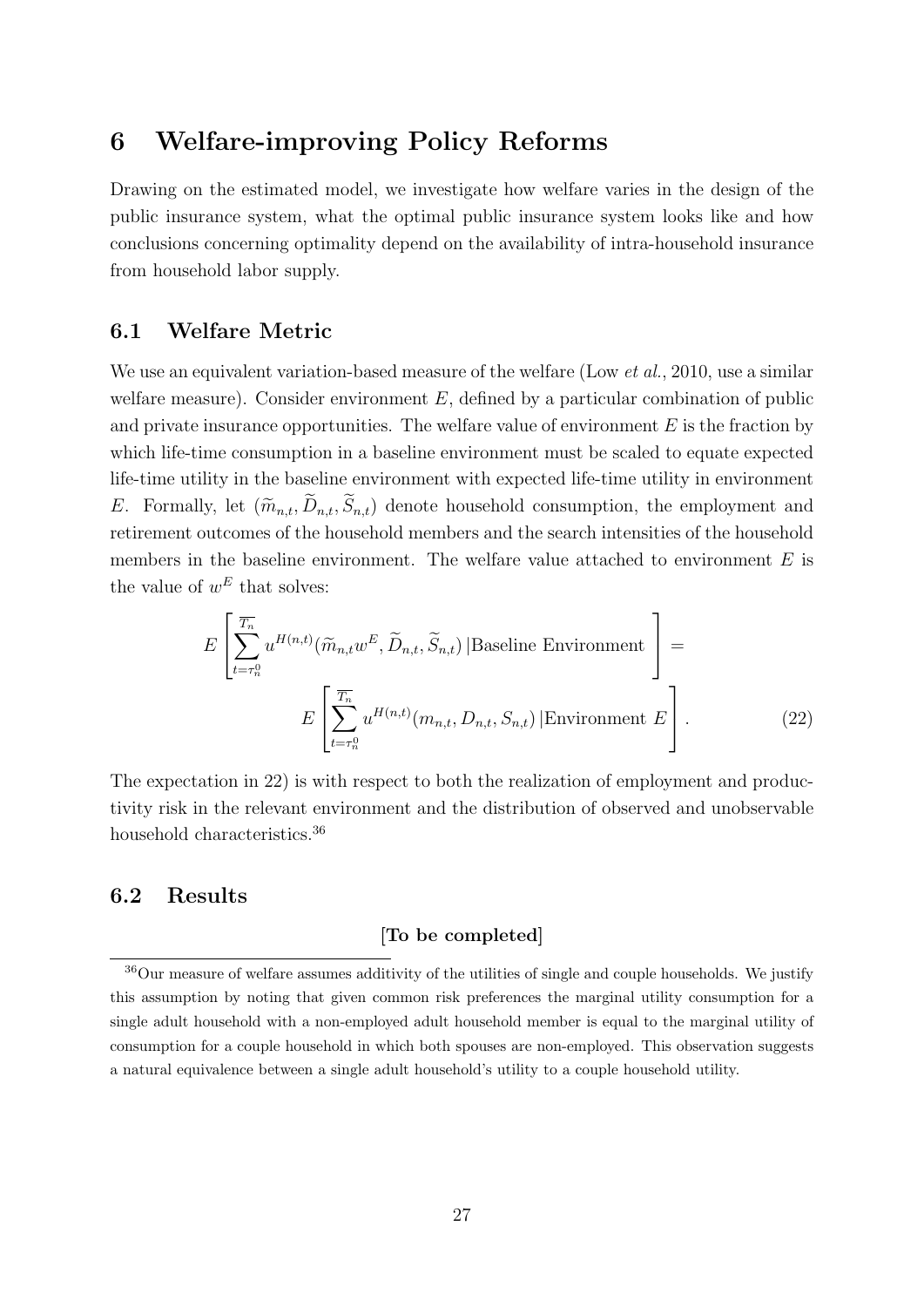## 6 Welfare-improving Policy Reforms

Drawing on the estimated model, we investigate how welfare varies in the design of the public insurance system, what the optimal public insurance system looks like and how conclusions concerning optimality depend on the availability of intra-household insurance from household labor supply.

### 6.1 Welfare Metric

We use an equivalent variation-based measure of the welfare (Low *et al.*, 2010, use a similar welfare measure). Consider environment  $E$ , defined by a particular combination of public and private insurance opportunities. The welfare value of environment  $E$  is the fraction by which life-time consumption in a baseline environment must be scaled to equate expected life-time utility in the baseline environment with expected life-time utility in environment E. Formally, let  $(\widetilde{m}_{n,t}, \widetilde{D}_{n,t}, \widetilde{S}_{n,t})$  denote household consumption, the employment and retirement outcomes of the household members and the search intensities of the household members in the baseline environment. The welfare value attached to environment  $E$  is the value of  $w^E$  that solves:

$$
E\left[\sum_{t=\tau_n^0}^{\overline{T_n}} u^{H(n,t)}(\widetilde{m}_{n,t}w^E, \widetilde{D}_{n,t}, \widetilde{S}_{n,t}) | \text{Baseline Environment }\right] =
$$
  

$$
E\left[\sum_{t=\tau_n^0}^{\overline{T_n}} u^{H(n,t)}(m_{n,t}, D_{n,t}, S_{n,t}) | \text{Environment } E\right].
$$
 (22)

The expectation in 22) is with respect to both the realization of employment and productivity risk in the relevant environment and the distribution of observed and unobservable household characteristics.<sup>36</sup>

#### 6.2 Results

#### [To be completed]

<sup>36</sup>Our measure of welfare assumes additivity of the utilities of single and couple households. We justify this assumption by noting that given common risk preferences the marginal utility consumption for a single adult household with a non-employed adult household member is equal to the marginal utility of consumption for a couple household in which both spouses are non-employed. This observation suggests a natural equivalence between a single adult household's utility to a couple household utility.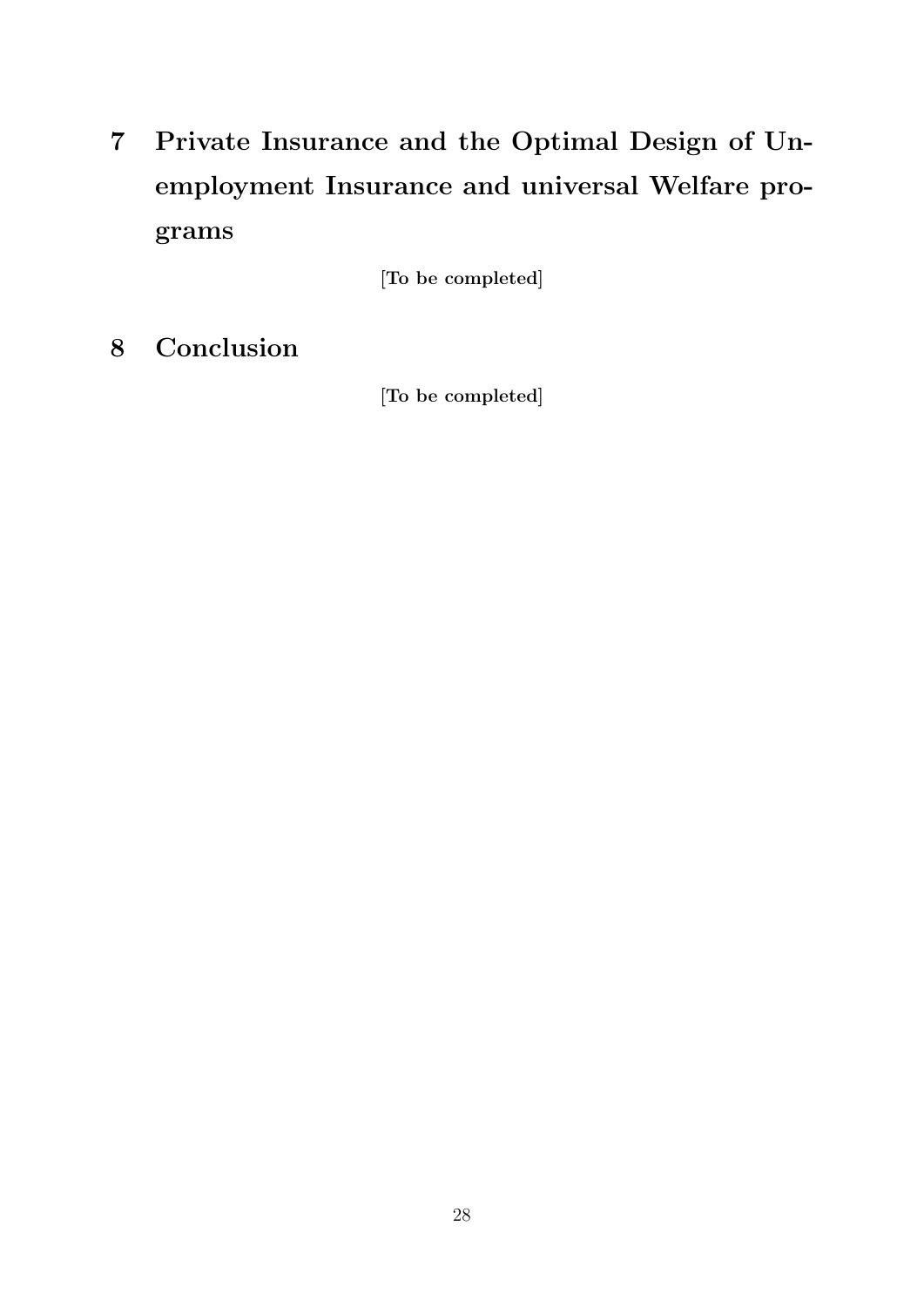7 Private Insurance and the Optimal Design of Unemployment Insurance and universal Welfare programs

[To be completed]

8 Conclusion

[To be completed]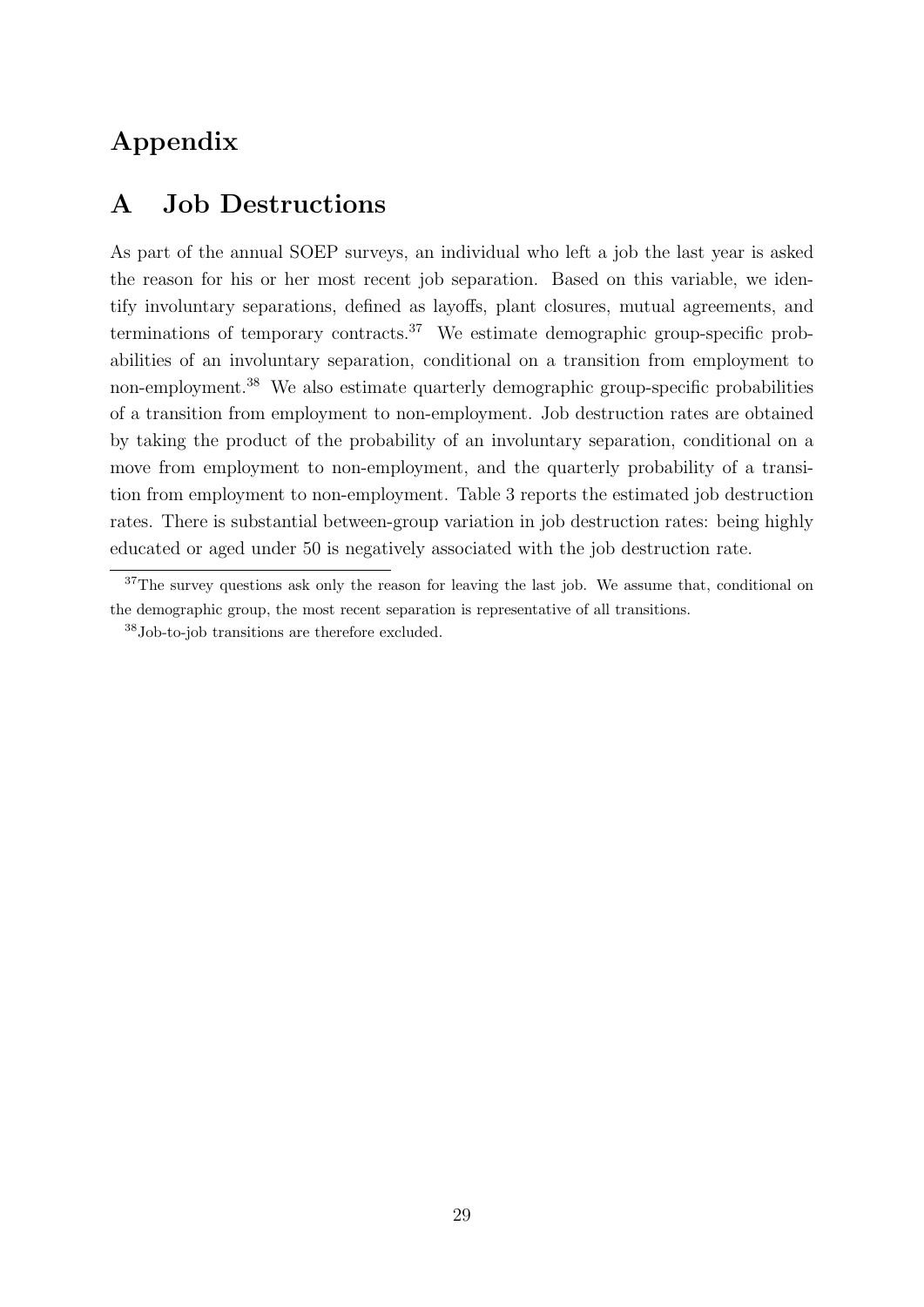## Appendix

## A Job Destructions

As part of the annual SOEP surveys, an individual who left a job the last year is asked the reason for his or her most recent job separation. Based on this variable, we identify involuntary separations, defined as layoffs, plant closures, mutual agreements, and terminations of temporary contracts.<sup>37</sup> We estimate demographic group-specific probabilities of an involuntary separation, conditional on a transition from employment to non-employment.<sup>38</sup> We also estimate quarterly demographic group-specific probabilities of a transition from employment to non-employment. Job destruction rates are obtained by taking the product of the probability of an involuntary separation, conditional on a move from employment to non-employment, and the quarterly probability of a transition from employment to non-employment. Table 3 reports the estimated job destruction rates. There is substantial between-group variation in job destruction rates: being highly educated or aged under 50 is negatively associated with the job destruction rate.

<sup>&</sup>lt;sup>37</sup>The survey questions ask only the reason for leaving the last job. We assume that, conditional on the demographic group, the most recent separation is representative of all transitions.

<sup>38</sup>Job-to-job transitions are therefore excluded.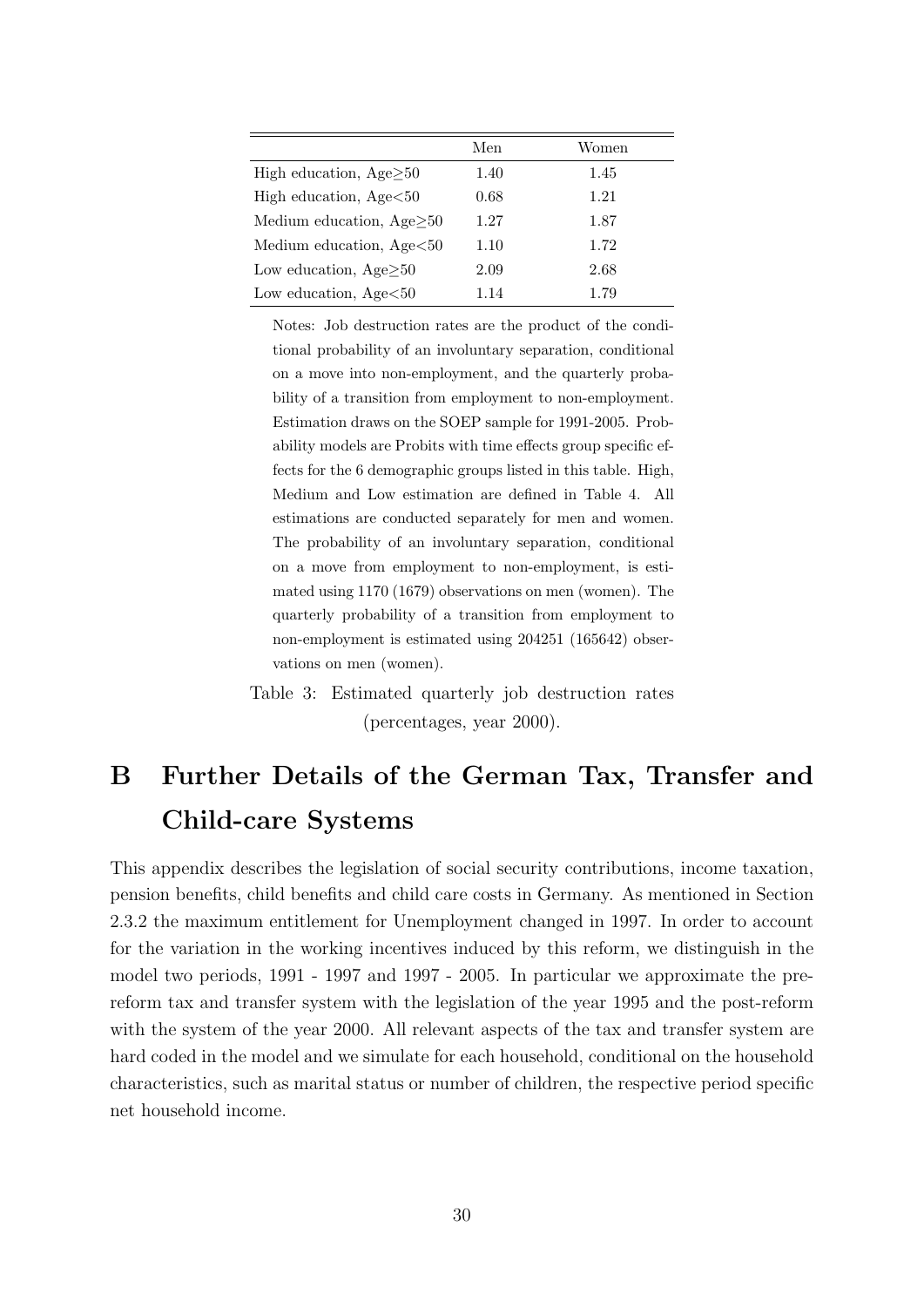|                                 | Men  | Women |
|---------------------------------|------|-------|
| High education, $Age \geq 50$   | 1.40 | 1.45  |
| High education, $Age < 50$      | 0.68 | 1.21  |
| Medium education, $Age \geq 50$ | 1.27 | 1.87  |
| Medium education, Age<50        | 1.10 | 1.72  |
| Low education, $Age\geq50$      | 2.09 | 2.68  |
| Low education, $Age < 50$       | 1.14 | 1.79  |

Notes: Job destruction rates are the product of the conditional probability of an involuntary separation, conditional on a move into non-employment, and the quarterly probability of a transition from employment to non-employment. Estimation draws on the SOEP sample for 1991-2005. Probability models are Probits with time effects group specific effects for the 6 demographic groups listed in this table. High, Medium and Low estimation are defined in Table 4. All estimations are conducted separately for men and women. The probability of an involuntary separation, conditional on a move from employment to non-employment, is estimated using 1170 (1679) observations on men (women). The quarterly probability of a transition from employment to non-employment is estimated using 204251 (165642) observations on men (women).

Table 3: Estimated quarterly job destruction rates (percentages, year 2000).

## B Further Details of the German Tax, Transfer and Child-care Systems

This appendix describes the legislation of social security contributions, income taxation, pension benefits, child benefits and child care costs in Germany. As mentioned in Section 2.3.2 the maximum entitlement for Unemployment changed in 1997. In order to account for the variation in the working incentives induced by this reform, we distinguish in the model two periods, 1991 - 1997 and 1997 - 2005. In particular we approximate the prereform tax and transfer system with the legislation of the year 1995 and the post-reform with the system of the year 2000. All relevant aspects of the tax and transfer system are hard coded in the model and we simulate for each household, conditional on the household characteristics, such as marital status or number of children, the respective period specific net household income.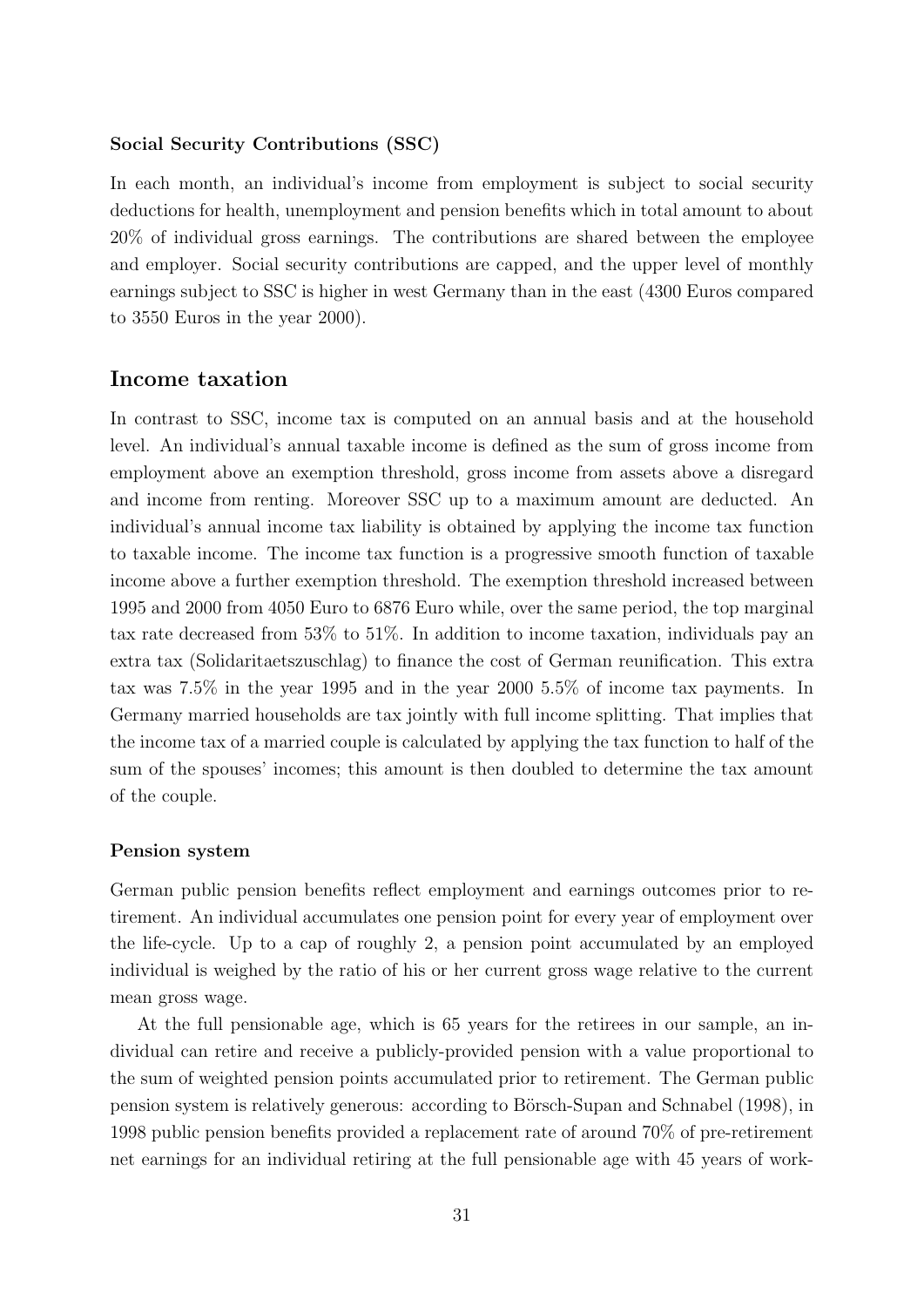#### Social Security Contributions (SSC)

In each month, an individual's income from employment is subject to social security deductions for health, unemployment and pension benefits which in total amount to about 20% of individual gross earnings. The contributions are shared between the employee and employer. Social security contributions are capped, and the upper level of monthly earnings subject to SSC is higher in west Germany than in the east (4300 Euros compared to 3550 Euros in the year 2000).

#### Income taxation

In contrast to SSC, income tax is computed on an annual basis and at the household level. An individual's annual taxable income is defined as the sum of gross income from employment above an exemption threshold, gross income from assets above a disregard and income from renting. Moreover SSC up to a maximum amount are deducted. An individual's annual income tax liability is obtained by applying the income tax function to taxable income. The income tax function is a progressive smooth function of taxable income above a further exemption threshold. The exemption threshold increased between 1995 and 2000 from 4050 Euro to 6876 Euro while, over the same period, the top marginal tax rate decreased from 53% to 51%. In addition to income taxation, individuals pay an extra tax (Solidaritaetszuschlag) to finance the cost of German reunification. This extra tax was 7.5% in the year 1995 and in the year 2000 5.5% of income tax payments. In Germany married households are tax jointly with full income splitting. That implies that the income tax of a married couple is calculated by applying the tax function to half of the sum of the spouses' incomes; this amount is then doubled to determine the tax amount of the couple.

#### Pension system

German public pension benefits reflect employment and earnings outcomes prior to retirement. An individual accumulates one pension point for every year of employment over the life-cycle. Up to a cap of roughly 2, a pension point accumulated by an employed individual is weighed by the ratio of his or her current gross wage relative to the current mean gross wage.

At the full pensionable age, which is 65 years for the retirees in our sample, an individual can retire and receive a publicly-provided pension with a value proportional to the sum of weighted pension points accumulated prior to retirement. The German public pension system is relatively generous: according to Börsch-Supan and Schnabel (1998), in 1998 public pension benefits provided a replacement rate of around 70% of pre-retirement net earnings for an individual retiring at the full pensionable age with 45 years of work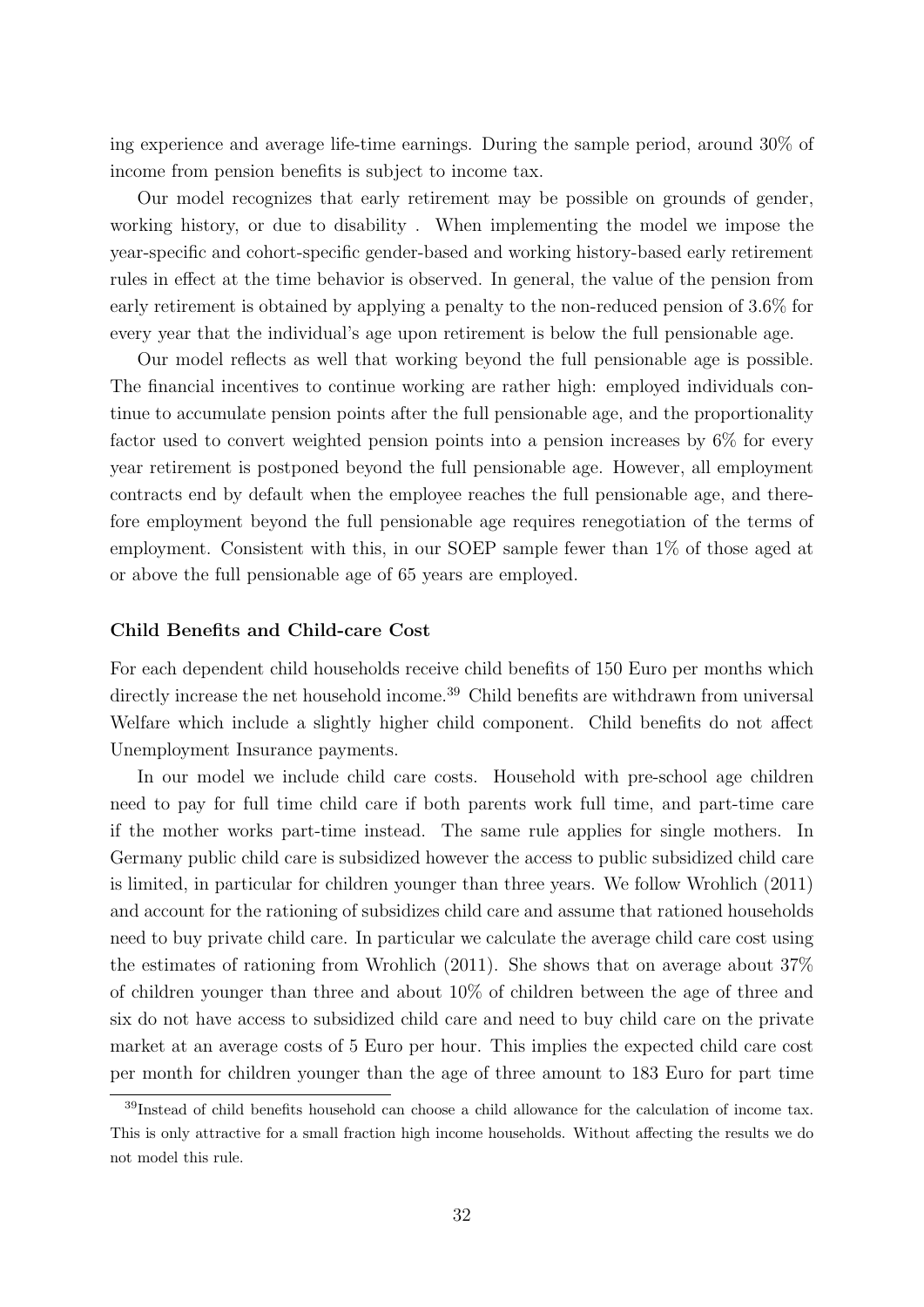ing experience and average life-time earnings. During the sample period, around 30% of income from pension benefits is subject to income tax.

Our model recognizes that early retirement may be possible on grounds of gender, working history, or due to disability . When implementing the model we impose the year-specific and cohort-specific gender-based and working history-based early retirement rules in effect at the time behavior is observed. In general, the value of the pension from early retirement is obtained by applying a penalty to the non-reduced pension of 3.6% for every year that the individual's age upon retirement is below the full pensionable age.

Our model reflects as well that working beyond the full pensionable age is possible. The financial incentives to continue working are rather high: employed individuals continue to accumulate pension points after the full pensionable age, and the proportionality factor used to convert weighted pension points into a pension increases by 6% for every year retirement is postponed beyond the full pensionable age. However, all employment contracts end by default when the employee reaches the full pensionable age, and therefore employment beyond the full pensionable age requires renegotiation of the terms of employment. Consistent with this, in our SOEP sample fewer than 1% of those aged at or above the full pensionable age of 65 years are employed.

#### Child Benefits and Child-care Cost

For each dependent child households receive child benefits of 150 Euro per months which directly increase the net household income.<sup>39</sup> Child benefits are withdrawn from universal Welfare which include a slightly higher child component. Child benefits do not affect Unemployment Insurance payments.

In our model we include child care costs. Household with pre-school age children need to pay for full time child care if both parents work full time, and part-time care if the mother works part-time instead. The same rule applies for single mothers. In Germany public child care is subsidized however the access to public subsidized child care is limited, in particular for children younger than three years. We follow Wrohlich (2011) and account for the rationing of subsidizes child care and assume that rationed households need to buy private child care. In particular we calculate the average child care cost using the estimates of rationing from Wrohlich (2011). She shows that on average about 37% of children younger than three and about 10% of children between the age of three and six do not have access to subsidized child care and need to buy child care on the private market at an average costs of 5 Euro per hour. This implies the expected child care cost per month for children younger than the age of three amount to 183 Euro for part time

<sup>39</sup>Instead of child benefits household can choose a child allowance for the calculation of income tax. This is only attractive for a small fraction high income households. Without affecting the results we do not model this rule.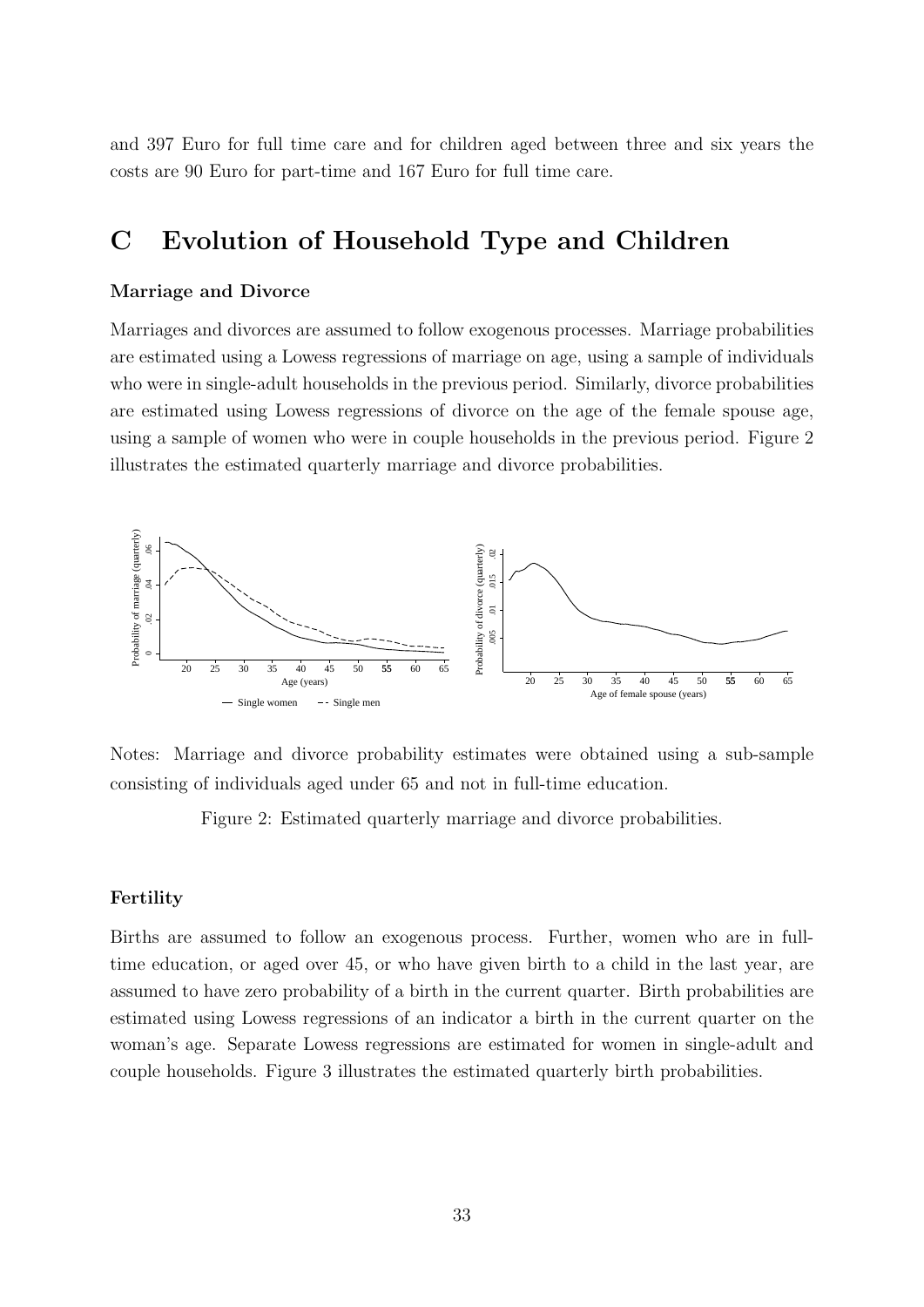and 397 Euro for full time care and for children aged between three and six years the costs are 90 Euro for part-time and 167 Euro for full time care.

## C Evolution of Household Type and Children

#### Marriage and Divorce

Marriages and divorces are assumed to follow exogenous processes. Marriage probabilities are estimated using a Lowess regressions of marriage on age, using a sample of individuals who were in single-adult households in the previous period. Similarly, divorce probabilities are estimated using Lowess regressions of divorce on the age of the female spouse age, using a sample of women who were in couple households in the previous period. Figure 2 illustrates the estimated quarterly marriage and divorce probabilities.



Notes: Marriage and divorce probability estimates were obtained using a sub-sample consisting of individuals aged under 65 and not in full-time education.

Figure 2: Estimated quarterly marriage and divorce probabilities.

#### Fertility

Births are assumed to follow an exogenous process. Further, women who are in fulltime education, or aged over 45, or who have given birth to a child in the last year, are assumed to have zero probability of a birth in the current quarter. Birth probabilities are estimated using Lowess regressions of an indicator a birth in the current quarter on the woman's age. Separate Lowess regressions are estimated for women in single-adult and couple households. Figure 3 illustrates the estimated quarterly birth probabilities.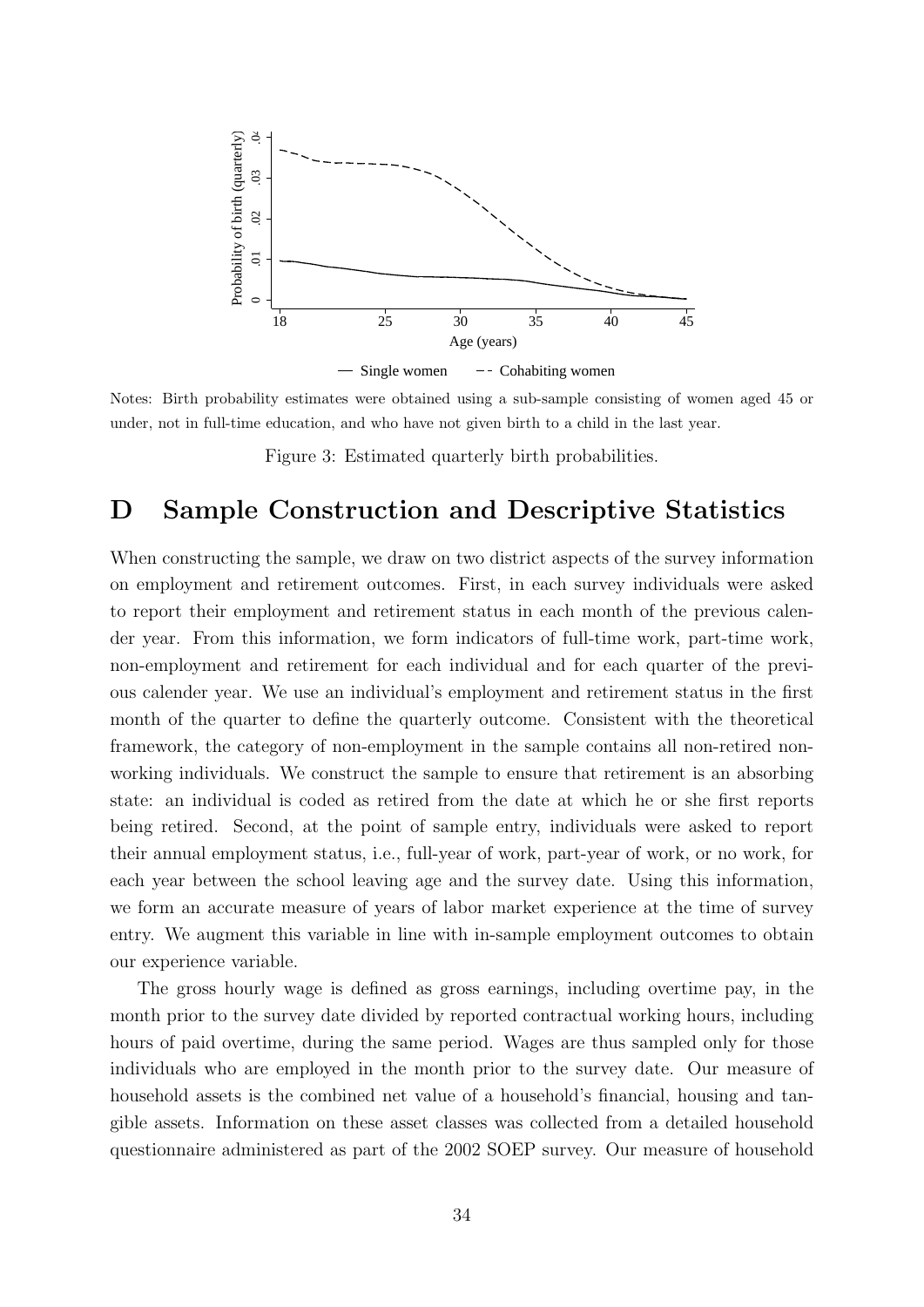

Notes: Birth probability estimates were obtained using a sub-sample consisting of women aged 45 or under, not in full-time education, and who have not given birth to a child in the last year.

Figure 3: Estimated quarterly birth probabilities.

## D Sample Construction and Descriptive Statistics

When constructing the sample, we draw on two district aspects of the survey information on employment and retirement outcomes. First, in each survey individuals were asked to report their employment and retirement status in each month of the previous calender year. From this information, we form indicators of full-time work, part-time work, non-employment and retirement for each individual and for each quarter of the previous calender year. We use an individual's employment and retirement status in the first month of the quarter to define the quarterly outcome. Consistent with the theoretical framework, the category of non-employment in the sample contains all non-retired nonworking individuals. We construct the sample to ensure that retirement is an absorbing state: an individual is coded as retired from the date at which he or she first reports being retired. Second, at the point of sample entry, individuals were asked to report their annual employment status, i.e., full-year of work, part-year of work, or no work, for each year between the school leaving age and the survey date. Using this information, we form an accurate measure of years of labor market experience at the time of survey entry. We augment this variable in line with in-sample employment outcomes to obtain our experience variable.

The gross hourly wage is defined as gross earnings, including overtime pay, in the month prior to the survey date divided by reported contractual working hours, including hours of paid overtime, during the same period. Wages are thus sampled only for those individuals who are employed in the month prior to the survey date. Our measure of household assets is the combined net value of a household's financial, housing and tangible assets. Information on these asset classes was collected from a detailed household questionnaire administered as part of the 2002 SOEP survey. Our measure of household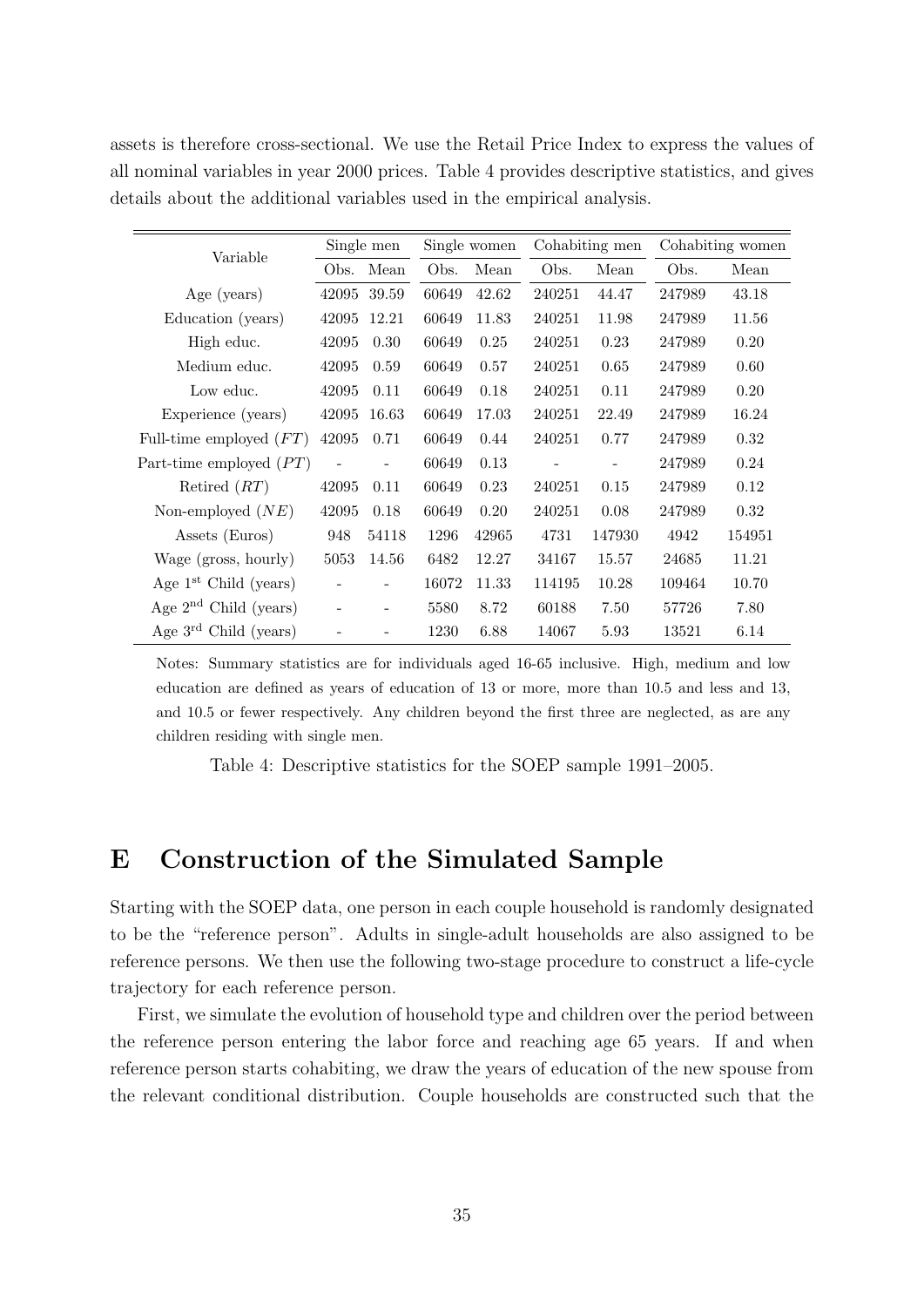assets is therefore cross-sectional. We use the Retail Price Index to express the values of all nominal variables in year 2000 prices. Table 4 provides descriptive statistics, and gives details about the additional variables used in the empirical analysis.

|                           |                          | Single men               | Single women |       | Cohabiting men           |                          | Cohabiting women |        |
|---------------------------|--------------------------|--------------------------|--------------|-------|--------------------------|--------------------------|------------------|--------|
| Variable                  | Obs.                     | Mean                     | Obs.         | Mean  | Obs.                     | Mean                     | Obs.             | Mean   |
| Age (years)               | 42095                    | 39.59                    | 60649        | 42.62 | 240251                   | 44.47                    | 247989           | 43.18  |
| Education (years)         | 42095                    | 12.21                    | 60649        | 11.83 | 240251                   | 11.98                    | 247989           | 11.56  |
| High educ.                | 42095                    | 0.30                     | 60649        | 0.25  | 240251                   | 0.23                     | 247989           | 0.20   |
| Medium educ.              | 42095                    | 0.59                     | 60649        | 0.57  | 240251                   | 0.65                     | 247989           | 0.60   |
| Low educ.                 | 42095                    | 0.11                     | 60649        | 0.18  | 240251                   | 0.11                     | 247989           | 0.20   |
| Experience (years)        | 42095                    | 16.63                    | 60649        | 17.03 | 240251                   | 22.49                    | 247989           | 16.24  |
| Full-time employed $(FT)$ | 42095                    | 0.71                     | 60649        | 0.44  | 240251                   | 0.77                     | 247989           | 0.32   |
| Part-time employed $(PT)$ | $\overline{\phantom{a}}$ | $\overline{a}$           | 60649        | 0.13  | $\overline{\phantom{a}}$ | $\overline{\phantom{a}}$ | 247989           | 0.24   |
| Retired $(RT)$            | 42095                    | 0.11                     | 60649        | 0.23  | 240251                   | 0.15                     | 247989           | 0.12   |
| Non-employed $(NE)$       | 42095                    | 0.18                     | 60649        | 0.20  | 240251                   | 0.08                     | 247989           | 0.32   |
| Assets (Euros)            | 948                      | 54118                    | 1296         | 42965 | 4731                     | 147930                   | 4942             | 154951 |
| Wage (gross, hourly)      | 5053                     | 14.56                    | 6482         | 12.27 | 34167                    | 15.57                    | 24685            | 11.21  |
| Age $1st$ Child (years)   | $\overline{a}$           | $\overline{\phantom{0}}$ | 16072        | 11.33 | 114195                   | 10.28                    | 109464           | 10.70  |
| Age $2nd$ Child (years)   | $\overline{a}$           |                          | 5580         | 8.72  | 60188                    | 7.50                     | 57726            | 7.80   |
| Age $3rd$ Child (years)   |                          |                          | 1230         | 6.88  | 14067                    | 5.93                     | 13521            | 6.14   |

Notes: Summary statistics are for individuals aged 16-65 inclusive. High, medium and low education are defined as years of education of 13 or more, more than 10.5 and less and 13, and 10.5 or fewer respectively. Any children beyond the first three are neglected, as are any children residing with single men.

Table 4: Descriptive statistics for the SOEP sample 1991–2005.

## E Construction of the Simulated Sample

Starting with the SOEP data, one person in each couple household is randomly designated to be the "reference person". Adults in single-adult households are also assigned to be reference persons. We then use the following two-stage procedure to construct a life-cycle trajectory for each reference person.

First, we simulate the evolution of household type and children over the period between the reference person entering the labor force and reaching age 65 years. If and when reference person starts cohabiting, we draw the years of education of the new spouse from the relevant conditional distribution. Couple households are constructed such that the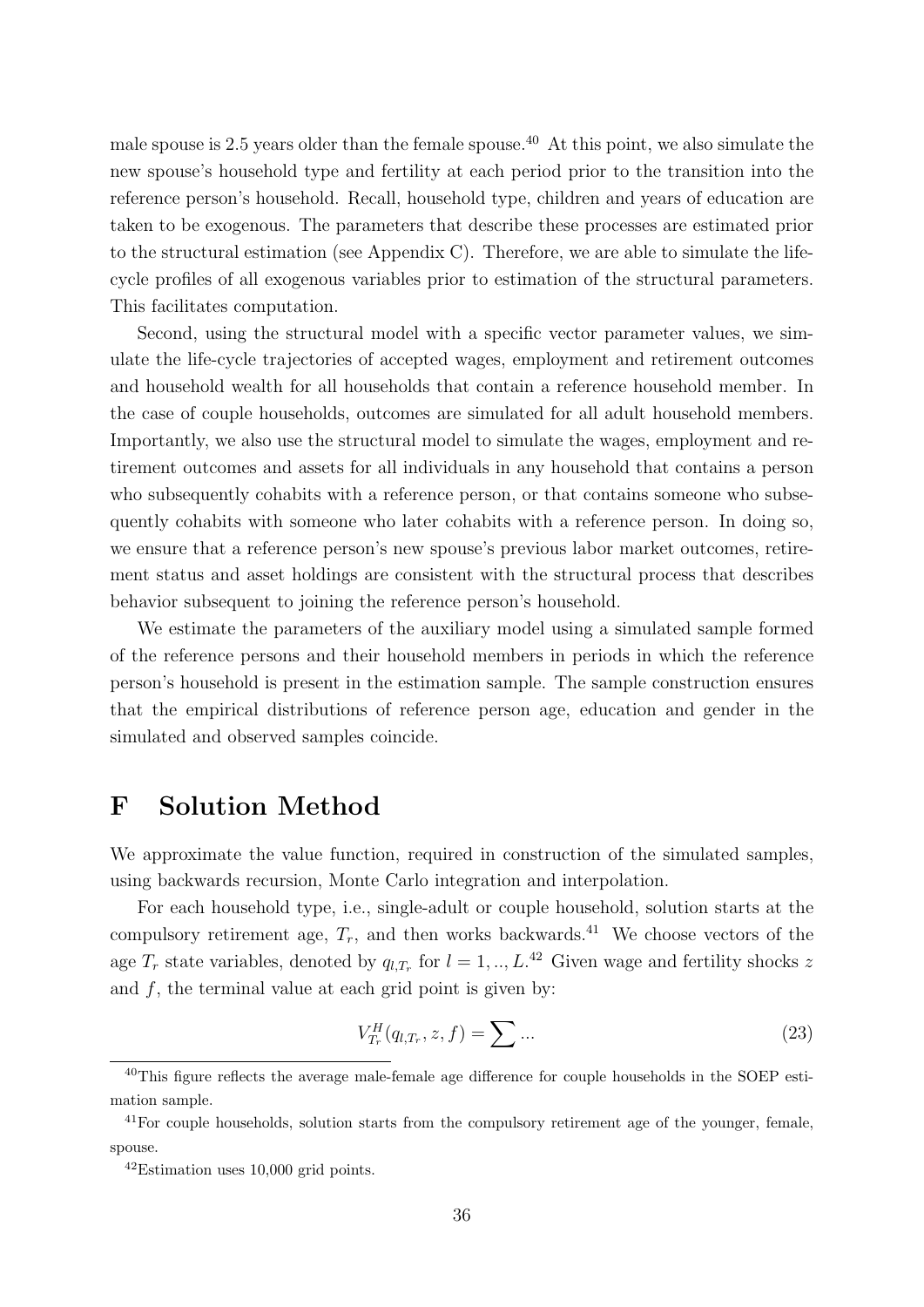male spouse is 2.5 years older than the female spouse.<sup>40</sup> At this point, we also simulate the new spouse's household type and fertility at each period prior to the transition into the reference person's household. Recall, household type, children and years of education are taken to be exogenous. The parameters that describe these processes are estimated prior to the structural estimation (see Appendix C). Therefore, we are able to simulate the lifecycle profiles of all exogenous variables prior to estimation of the structural parameters. This facilitates computation.

Second, using the structural model with a specific vector parameter values, we simulate the life-cycle trajectories of accepted wages, employment and retirement outcomes and household wealth for all households that contain a reference household member. In the case of couple households, outcomes are simulated for all adult household members. Importantly, we also use the structural model to simulate the wages, employment and retirement outcomes and assets for all individuals in any household that contains a person who subsequently cohabits with a reference person, or that contains someone who subsequently cohabits with someone who later cohabits with a reference person. In doing so, we ensure that a reference person's new spouse's previous labor market outcomes, retirement status and asset holdings are consistent with the structural process that describes behavior subsequent to joining the reference person's household.

We estimate the parameters of the auxiliary model using a simulated sample formed of the reference persons and their household members in periods in which the reference person's household is present in the estimation sample. The sample construction ensures that the empirical distributions of reference person age, education and gender in the simulated and observed samples coincide.

## F Solution Method

We approximate the value function, required in construction of the simulated samples, using backwards recursion, Monte Carlo integration and interpolation.

For each household type, i.e., single-adult or couple household, solution starts at the compulsory retirement age,  $T_r$ , and then works backwards.<sup>41</sup> We choose vectors of the age  $T_r$  state variables, denoted by  $q_{l,T_r}$  for  $l = 1, ..., L^{42}$  Given wage and fertility shocks z and  $f$ , the terminal value at each grid point is given by:

$$
V_{T_r}^H(q_{l,T_r}, z, f) = \sum \dots \tag{23}
$$

<sup>40</sup>This figure reflects the average male-female age difference for couple households in the SOEP estimation sample.

<sup>&</sup>lt;sup>41</sup>For couple households, solution starts from the compulsory retirement age of the younger, female, spouse.

 $42$ Estimation uses 10,000 grid points.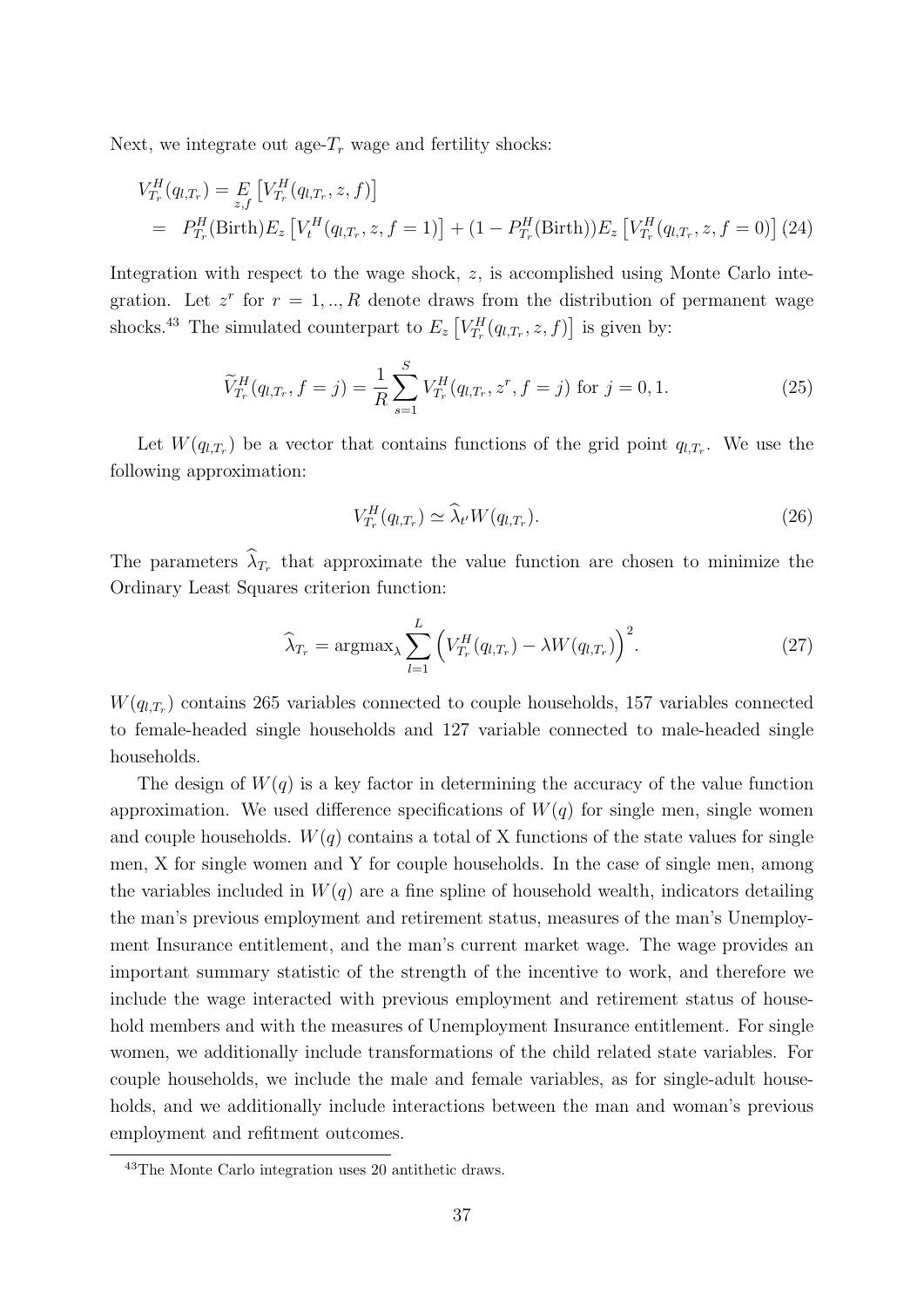Next, we integrate out age- $T_r$  wage and fertility shocks:

$$
V_{T_r}^H(q_{l,T_r}) = E_{z,f} \left[ V_{T_r}^H(q_{l,T_r}, z, f) \right]
$$
  
=  $P_{T_r}^H(\text{Birth}) E_z \left[ V_t^H(q_{l,T_r}, z, f = 1) \right] + (1 - P_{T_r}^H(\text{Birth})) E_z \left[ V_{T_r}^H(q_{l,T_r}, z, f = 0) \right] (24)$ 

Integration with respect to the wage shock, z, is accomplished using Monte Carlo integration. Let  $z^r$  for  $r = 1, ..., R$  denote draws from the distribution of permanent wage shocks.<sup>43</sup> The simulated counterpart to  $E_z \left[ V_{T_r}^H(q_{l,T_r}, z, f) \right]$  is given by:

$$
\widetilde{V}_{T_r}^H(q_{l,T_r}, f = j) = \frac{1}{R} \sum_{s=1}^S V_{T_r}^H(q_{l,T_r}, z^r, f = j) \text{ for } j = 0, 1.
$$
\n(25)

Let  $W(q_{l,T_r})$  be a vector that contains functions of the grid point  $q_{l,T_r}$ . We use the following approximation:

$$
V_{T_r}^H(q_{l,T_r}) \simeq \widehat{\lambda}_{t'} W(q_{l,T_r}). \tag{26}
$$

The parameters  $\lambda_{T_r}$  that approximate the value function are chosen to minimize the Ordinary Least Squares criterion function:

$$
\widehat{\lambda}_{T_r} = \operatorname{argmax}_{\lambda} \sum_{l=1}^{L} \left( V_{T_r}^H(q_{l,T_r}) - \lambda W(q_{l,T_r}) \right)^2.
$$
\n(27)

 $W(q_{l,T_r})$  contains 265 variables connected to couple households, 157 variables connected to female-headed single households and 127 variable connected to male-headed single households.

The design of  $W(q)$  is a key factor in determining the accuracy of the value function approximation. We used difference specifications of  $W(q)$  for single men, single women and couple households.  $W(q)$  contains a total of X functions of the state values for single men, X for single women and Y for couple households. In the case of single men, among the variables included in  $W(q)$  are a fine spline of household wealth, indicators detailing the man's previous employment and retirement status, measures of the man's Unemployment Insurance entitlement, and the man's current market wage. The wage provides an important summary statistic of the strength of the incentive to work, and therefore we include the wage interacted with previous employment and retirement status of household members and with the measures of Unemployment Insurance entitlement. For single women, we additionally include transformations of the child related state variables. For couple households, we include the male and female variables, as for single-adult households, and we additionally include interactions between the man and woman's previous employment and refitment outcomes.

<sup>43</sup>The Monte Carlo integration uses 20 antithetic draws.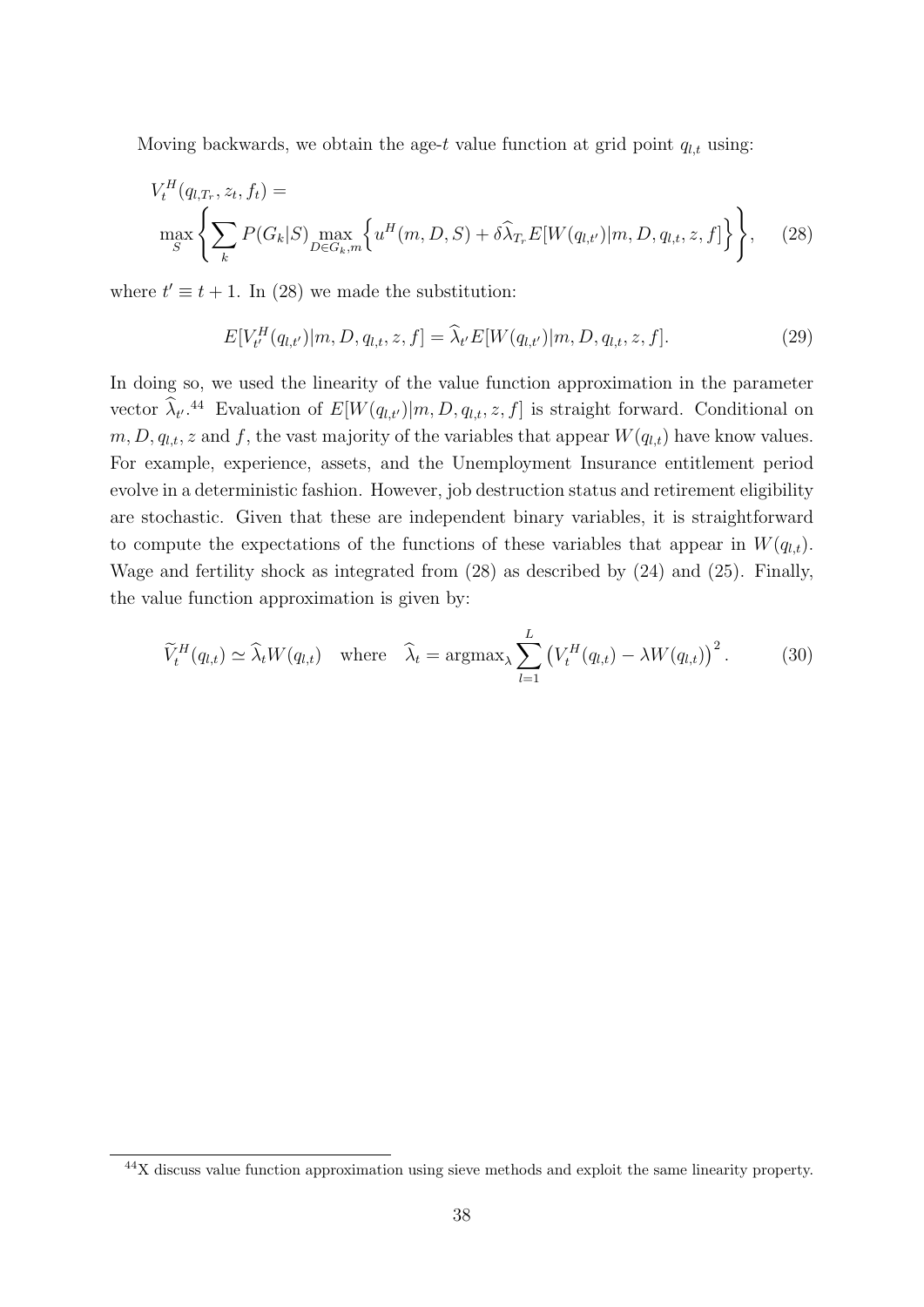Moving backwards, we obtain the age-t value function at grid point  $q_{l,t}$  using:

$$
V_t^H(q_{l,T_r}, z_t, f_t) = \max_{S} \left\{ \sum_k P(G_k|S) \max_{D \in G_k, m} \left\{ u^H(m, D, S) + \delta \widehat{\lambda}_{T_r} E[W(q_{l,t'})|m, D, q_{l,t}, z, f] \right\} \right\}, \quad (28)
$$

where  $t' \equiv t + 1$ . In (28) we made the substitution:

$$
E[V_t^H(q_{l,t'})|m, D, q_{l,t}, z, f] = \hat{\lambda}_{t'} E[W(q_{l,t'})|m, D, q_{l,t}, z, f].
$$
\n(29)

In doing so, we used the linearity of the value function approximation in the parameter vector  $\hat{\lambda}_{t'}$ .<sup>44</sup> Evaluation of  $E[W(q_{l,t'})|m, D, q_{l,t}, z, f]$  is straight forward. Conditional on  $m, D, q_{l,t}, z$  and f, the vast majority of the variables that appear  $W(q_{l,t})$  have know values. For example, experience, assets, and the Unemployment Insurance entitlement period evolve in a deterministic fashion. However, job destruction status and retirement eligibility are stochastic. Given that these are independent binary variables, it is straightforward to compute the expectations of the functions of these variables that appear in  $W(q_{l,t})$ . Wage and fertility shock as integrated from (28) as described by (24) and (25). Finally, the value function approximation is given by:

$$
\widetilde{V}_t^H(q_{l,t}) \simeq \widehat{\lambda}_t W(q_{l,t}) \quad \text{where} \quad \widehat{\lambda}_t = \operatorname{argmax}_{\lambda} \sum_{l=1}^L \left( V_t^H(q_{l,t}) - \lambda W(q_{l,t}) \right)^2. \tag{30}
$$

<sup>44</sup>X discuss value function approximation using sieve methods and exploit the same linearity property.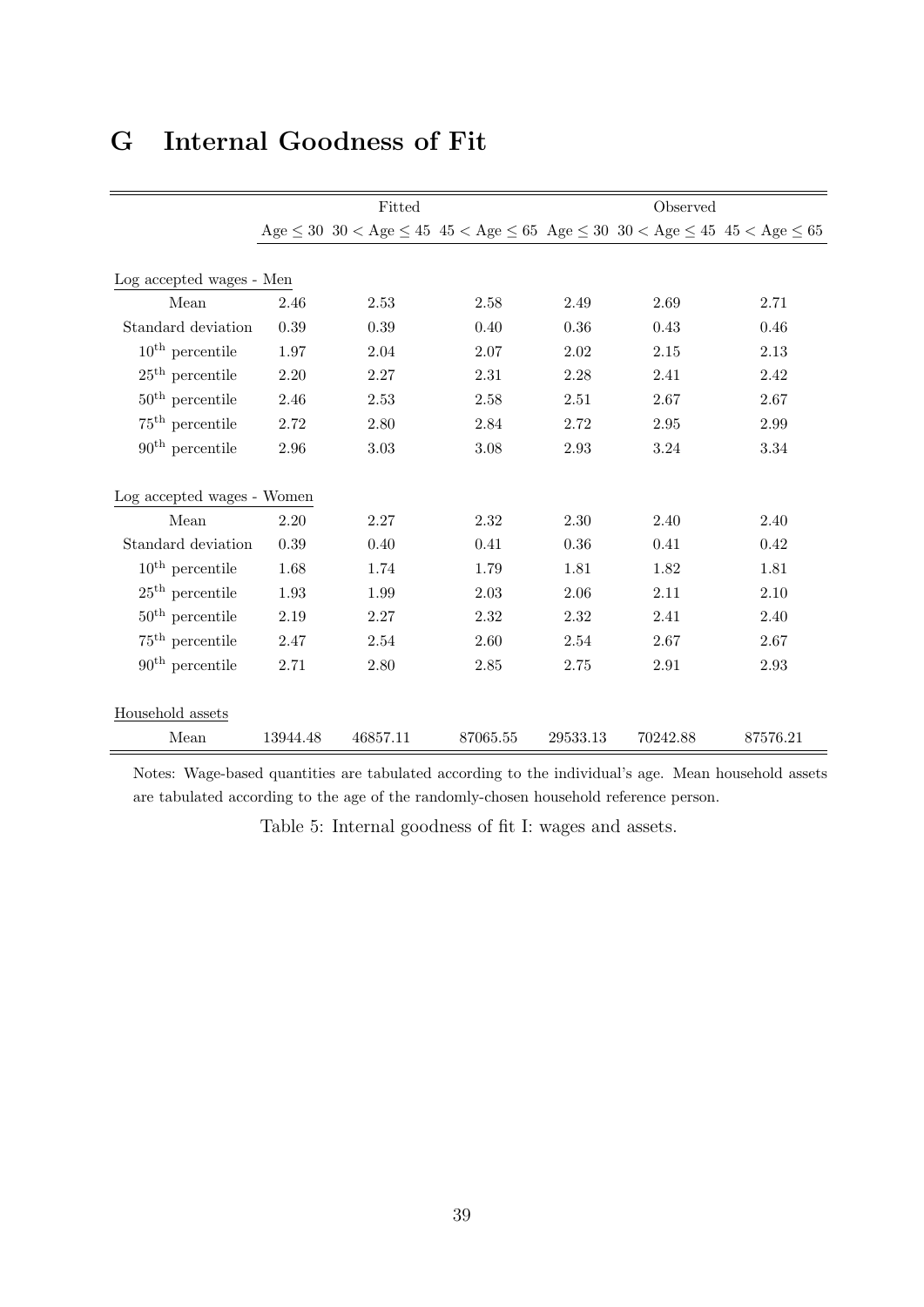## G Internal Goodness of Fit

|                             | Fitted   |          |                                                                                                                                                 | Observed |          |          |  |
|-----------------------------|----------|----------|-------------------------------------------------------------------------------------------------------------------------------------------------|----------|----------|----------|--|
|                             |          |          | $\rm{Age} \leq 30 \ \ 30 < \rm{Age} \leq 45 \ \ 45 < \rm{Age} \leq 65 \ \ \rm{Age} \leq 30 \ \ 30 < \rm{Age} \leq 45 \ \ 45 < \rm{Age} \leq 65$ |          |          |          |  |
|                             |          |          |                                                                                                                                                 |          |          |          |  |
| Log accepted wages - Men    |          |          |                                                                                                                                                 |          |          |          |  |
| Mean                        | 2.46     | 2.53     | 2.58                                                                                                                                            | 2.49     | 2.69     | 2.71     |  |
| Standard deviation          | 0.39     | 0.39     | 0.40                                                                                                                                            | 0.36     | 0.43     | 0.46     |  |
| $10^{\text{th}}$ percentile | 1.97     | 2.04     | 2.07                                                                                                                                            | 2.02     | 2.15     | 2.13     |  |
| $25th$ percentile           | 2.20     | 2.27     | 2.31                                                                                                                                            | 2.28     | 2.41     | 2.42     |  |
| $50^{\text{th}}$ percentile | 2.46     | 2.53     | 2.58                                                                                                                                            | 2.51     | 2.67     | 2.67     |  |
| $75th$ percentile           | 2.72     | 2.80     | 2.84                                                                                                                                            | 2.72     | 2.95     | 2.99     |  |
| $90th$ percentile           | 2.96     | 3.03     | 3.08                                                                                                                                            | 2.93     | 3.24     | 3.34     |  |
| Log accepted wages - Women  |          |          |                                                                                                                                                 |          |          |          |  |
| Mean                        | 2.20     | 2.27     | 2.32                                                                                                                                            | 2.30     | 2.40     | 2.40     |  |
| Standard deviation          | 0.39     | 0.40     | 0.41                                                                                                                                            | $0.36\,$ | 0.41     | 0.42     |  |
| $10^{\text{th}}$ percentile | 1.68     | 1.74     | 1.79                                                                                                                                            | 1.81     | 1.82     | 1.81     |  |
| $25th$ percentile           | 1.93     | 1.99     | 2.03                                                                                                                                            | 2.06     | 2.11     | 2.10     |  |
| $50^{\text{th}}$ percentile | 2.19     | 2.27     | 2.32                                                                                                                                            | 2.32     | 2.41     | 2.40     |  |
| $75th$ percentile           | 2.47     | 2.54     | 2.60                                                                                                                                            | 2.54     | 2.67     | 2.67     |  |
| $90th$ percentile           | 2.71     | 2.80     | 2.85                                                                                                                                            | 2.75     | 2.91     | 2.93     |  |
|                             |          |          |                                                                                                                                                 |          |          |          |  |
| Household assets            |          |          |                                                                                                                                                 |          |          |          |  |
| Mean                        | 13944.48 | 46857.11 | 87065.55                                                                                                                                        | 29533.13 | 70242.88 | 87576.21 |  |

Notes: Wage-based quantities are tabulated according to the individual's age. Mean household assets are tabulated according to the age of the randomly-chosen household reference person.

Table 5: Internal goodness of fit I: wages and assets.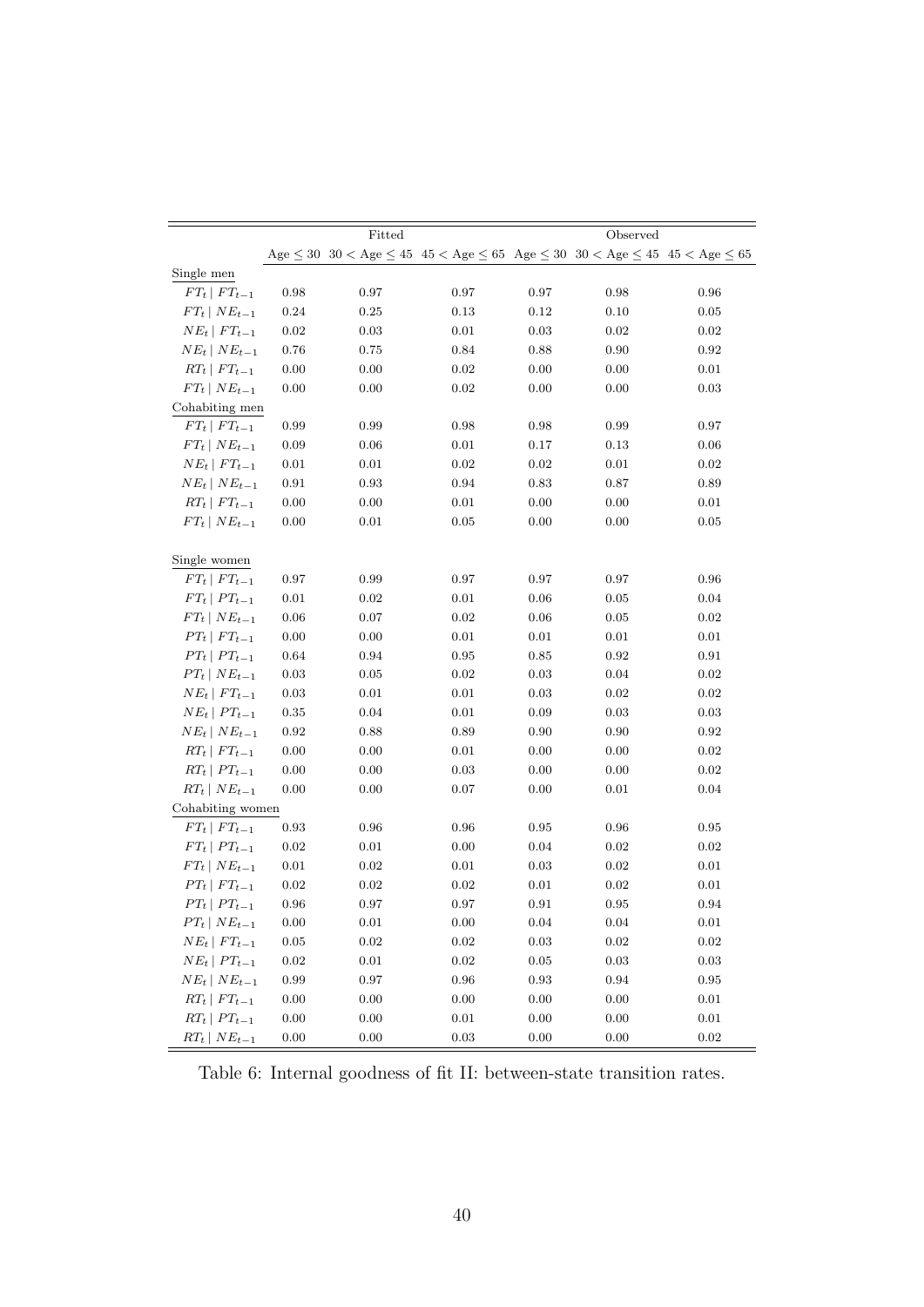|                      |          | Fitted   |                                                                                                                                                                          |            | Observed |            |
|----------------------|----------|----------|--------------------------------------------------------------------------------------------------------------------------------------------------------------------------|------------|----------|------------|
|                      |          |          | $\rm{Age} \leq 30 \  \  \, 30 < \rm{Age} \leq 45 \  \  \, 45 < \rm{Age} \leq 65 \  \  \, \rm{Age} \leq 30 \  \  \, 30 < \rm{Age} \leq 45 \  \  \, 45 < \rm{Age} \leq 65$ |            |          |            |
| Single men           |          |          |                                                                                                                                                                          |            |          |            |
| $FT_t \mid FT_{t-1}$ | 0.98     | 0.97     | 0.97                                                                                                                                                                     | 0.97       | 0.98     | 0.96       |
| $FT_t   NE_{t-1}$    | 0.24     | 0.25     | 0.13                                                                                                                                                                     | 0.12       | 0.10     | 0.05       |
| $NE_t$   $FT_{t-1}$  | 0.02     | 0.03     | 0.01                                                                                                                                                                     | 0.03       | 0.02     | 0.02       |
| $NE_t   NE_{t-1}$    | 0.76     | 0.75     | 0.84                                                                                                                                                                     | 0.88       | 0.90     | 0.92       |
| $RT_t   FT_{t-1}$    | 0.00     | 0.00     | 0.02                                                                                                                                                                     | 0.00       | 0.00     | 0.01       |
| $FT_t   NE_{t-1}$    | 0.00     | 0.00     | 0.02                                                                                                                                                                     | 0.00       | 0.00     | 0.03       |
| Cohabiting men       |          |          |                                                                                                                                                                          |            |          |            |
| $FT_t \mid FT_{t-1}$ | 0.99     | 0.99     | 0.98                                                                                                                                                                     | 0.98       | 0.99     | 0.97       |
| $FT_t   NE_{t-1}$    | 0.09     | 0.06     | $0.01\,$                                                                                                                                                                 | 0.17       | 0.13     | 0.06       |
| $NE_t   FT_{t-1}$    | 0.01     | 0.01     | 0.02                                                                                                                                                                     | 0.02       | 0.01     | 0.02       |
| $NE_t   NE_{t-1}$    | 0.91     | 0.93     | 0.94                                                                                                                                                                     | 0.83       | 0.87     | 0.89       |
| $RT_t   FT_{t-1}$    | 0.00     | 0.00     | 0.01                                                                                                                                                                     | 0.00       | 0.00     | 0.01       |
| $FT_t   NE_{t-1}$    | 0.00     | 0.01     | 0.05                                                                                                                                                                     | 0.00       | 0.00     | 0.05       |
|                      |          |          |                                                                                                                                                                          |            |          |            |
| Single women         |          |          |                                                                                                                                                                          |            |          |            |
| $FT_t \mid FT_{t-1}$ | 0.97     | 0.99     | 0.97                                                                                                                                                                     | 0.97       | 0.97     | 0.96       |
| $FT_t   PT_{t-1}$    | 0.01     | 0.02     | 0.01                                                                                                                                                                     | 0.06       | 0.05     | 0.04       |
| $FT_t   NE_{t-1}$    | 0.06     | 0.07     | 0.02                                                                                                                                                                     | 0.06       | 0.05     | 0.02       |
| $PT_t   FT_{t-1}$    | 0.00     | 0.00     | 0.01                                                                                                                                                                     | 0.01       | 0.01     | 0.01       |
| $PT_t   PT_{t-1}$    | 0.64     | 0.94     | 0.95                                                                                                                                                                     | 0.85       | 0.92     | 0.91       |
| $PT_t   NE_{t-1}$    | 0.03     | 0.05     | 0.02                                                                                                                                                                     | 0.03       | 0.04     | 0.02       |
| $NE_t   FT_{t-1}$    | 0.03     | 0.01     | 0.01                                                                                                                                                                     | 0.03       | 0.02     | 0.02       |
| $NE_t   PT_{t-1}$    | 0.35     | 0.04     | 0.01                                                                                                                                                                     | 0.09       | 0.03     | 0.03       |
| $NE_t   NE_{t-1}$    | 0.92     | 0.88     | 0.89                                                                                                                                                                     | 0.90       | 0.90     | 0.92       |
| $RT_t$   $FT_{t-1}$  | 0.00     | 0.00     | 0.01                                                                                                                                                                     | 0.00       | 0.00     | 0.02       |
| $RT_t   PT_{t-1}$    | 0.00     | 0.00     | 0.03                                                                                                                                                                     | 0.00       | 0.00     | 0.02       |
| $RT_t \mid NE_{t-1}$ | 0.00     | 0.00     | 0.07                                                                                                                                                                     | 0.00       | 0.01     | 0.04       |
| Cohabiting women     |          |          |                                                                                                                                                                          |            |          |            |
| $FT_t \mid FT_{t-1}$ | 0.93     | 0.96     | 0.96                                                                                                                                                                     | 0.95       | 0.96     | 0.95       |
| $FT_t   PT_{t-1}$    | 0.02     | 0.01     | 0.00                                                                                                                                                                     | 0.04       | 0.02     | 0.02       |
| $FT_t   NE_{t-1}$    | 0.01     | 0.02     | 0.01                                                                                                                                                                     | 0.03       | 0.02     | 0.01       |
| $PT_t   FT_{t-1}$    | 0.02     | 0.02     | 0.02                                                                                                                                                                     | 0.01       | 0.02     | 0.01       |
| $PT_t   PT_{t-1}$    | 0.96     | 0.97     | 0.97                                                                                                                                                                     | 0.91       | 0.95     | 0.94       |
| $PT_t   NE_{t-1}$    | 0.00     | 0.01     | 0.00                                                                                                                                                                     | 0.04       | 0.04     | 0.01       |
| $NE_t   FT_{t-1}$    | $0.05\,$ | $0.02\,$ | $\rm 0.02$                                                                                                                                                               | $\rm 0.03$ | 0.02     | 0.02       |
| $NE_t   PT_{t-1}$    | 0.02     | 0.01     | 0.02                                                                                                                                                                     | 0.05       | 0.03     | 0.03       |
| $NE_t   NE_{t-1}$    | 0.99     | 0.97     | 0.96                                                                                                                                                                     | 0.93       | 0.94     | 0.95       |
| $RT_t   FT_{t-1}$    | 0.00     | 0.00     | 0.00                                                                                                                                                                     | 0.00       | 0.00     | 0.01       |
| $RT_t\mid PT_{t-1}$  | $0.00\,$ | $0.00\,$ | $0.01\,$                                                                                                                                                                 | $0.00\,$   | $0.00\,$ | $0.01\,$   |
| $RT_t   NE_{t-1}$    | $0.00\,$ | $0.00\,$ | $\rm 0.03$                                                                                                                                                               | $0.00\,$   | $0.00\,$ | $\rm 0.02$ |

Table 6: Internal goodness of fit II: between-state transition rates.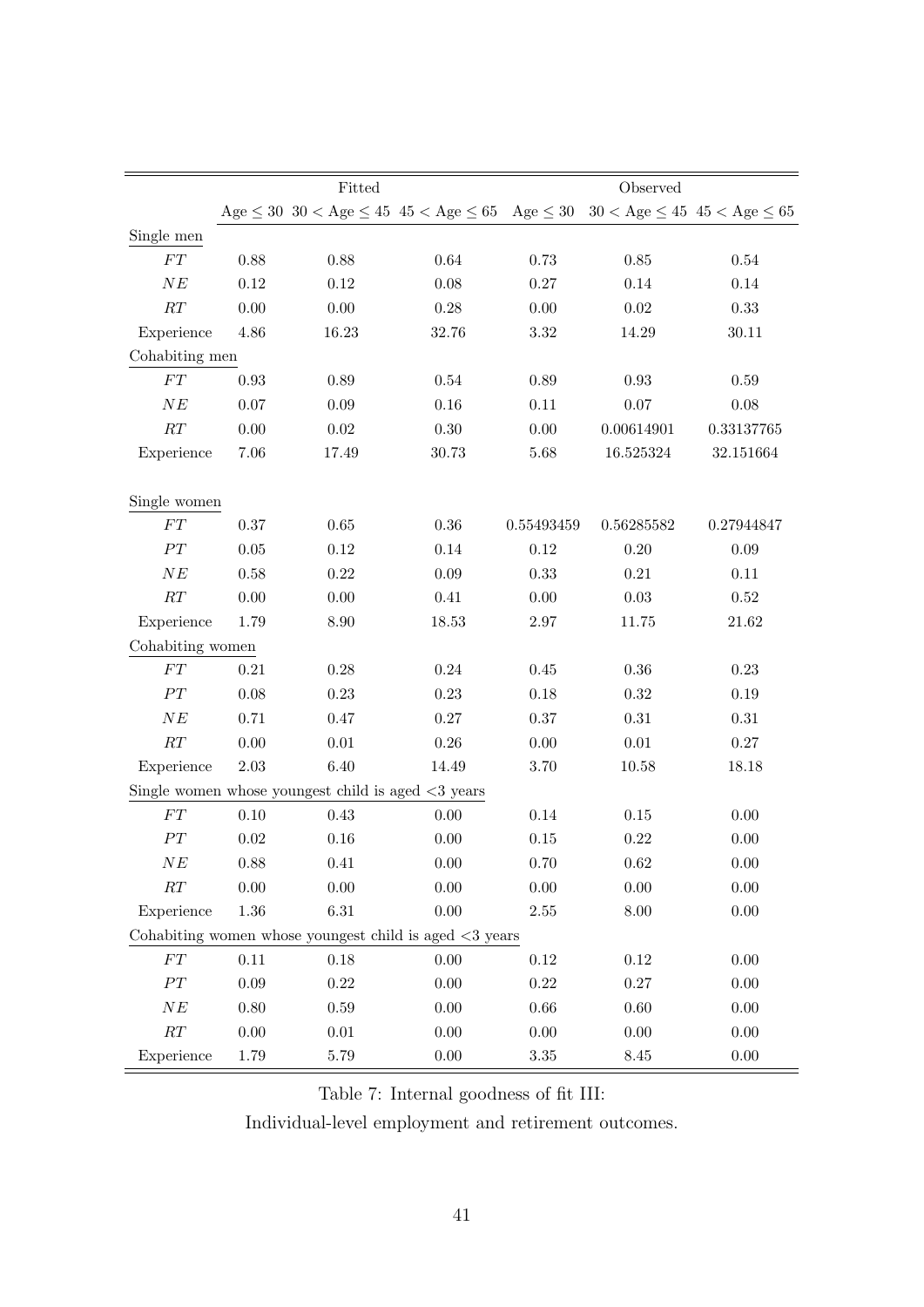|                  |            | Fitted                                                                  |            | Observed   |            |                                           |  |
|------------------|------------|-------------------------------------------------------------------------|------------|------------|------------|-------------------------------------------|--|
|                  |            | $Age \leq 30$ 30 < Age $\leq 45$ 45 < Age $\leq 65$ Age $\leq 30$       |            |            |            | $30 <$ Age $\leq 45$ 45 $<$ Age $\leq 65$ |  |
| Single men       |            |                                                                         |            |            |            |                                           |  |
| ${\cal FT}$      | 0.88       | 0.88                                                                    | $\,0.64\,$ | 0.73       | $0.85\,$   | $0.54\,$                                  |  |
| NE               | 0.12       | $0.12\,$                                                                | 0.08       | 0.27       | 0.14       | 0.14                                      |  |
| RT               | 0.00       | $0.00\,$                                                                | 0.28       | 0.00       | $0.02\,$   | 0.33                                      |  |
| Experience       | $4.86\,$   | 16.23                                                                   | 32.76      | $3.32\,$   | 14.29      | 30.11                                     |  |
| Cohabiting men   |            |                                                                         |            |            |            |                                           |  |
| ${\cal FT}$      | 0.93       | 0.89                                                                    | $0.54\,$   | 0.89       | $\rm 0.93$ | $0.59\,$                                  |  |
| $N\mathcal{E}$   | 0.07       | 0.09                                                                    | 0.16       | $0.11\,$   | $0.07\,$   | 0.08                                      |  |
| RT               | 0.00       | $0.02\,$                                                                | 0.30       | 0.00       | 0.00614901 | 0.33137765                                |  |
| Experience       | 7.06       | 17.49                                                                   | 30.73      | 5.68       | 16.525324  | 32.151664                                 |  |
|                  |            |                                                                         |            |            |            |                                           |  |
| Single women     |            |                                                                         |            |            |            |                                           |  |
| ${\cal FT}$      | 0.37       | $0.65\,$                                                                | 0.36       | 0.55493459 | 0.56285582 | 0.27944847                                |  |
| PT               | $0.05\,$   | $0.12\,$                                                                | 0.14       | 0.12       | $0.20\,$   | 0.09                                      |  |
| $N\mathcal{E}$   | 0.58       | 0.22                                                                    | 0.09       | 0.33       | 0.21       | 0.11                                      |  |
| RT               | $0.00\,$   | $0.00\,$                                                                | $0.41\,$   | 0.00       | 0.03       | $0.52\,$                                  |  |
| Experience       | 1.79       | 8.90                                                                    | 18.53      | $2.97\,$   | 11.75      | 21.62                                     |  |
| Cohabiting women |            |                                                                         |            |            |            |                                           |  |
| ${\cal FT}$      | $\rm 0.21$ | $0.28\,$                                                                | $0.24\,$   | 0.45       | $0.36\,$   | $0.23\,$                                  |  |
| PT               | 0.08       | 0.23                                                                    | 0.23       | 0.18       | 0.32       | 0.19                                      |  |
| $N\mathcal{E}$   | 0.71       | $0.47\,$                                                                | 0.27       | 0.37       | $0.31\,$   | $0.31\,$                                  |  |
| $\cal RT$        | $0.00\,$   | $0.01\,$                                                                | $0.26\,$   | 0.00       | $0.01\,$   | 0.27                                      |  |
| Experience       | $2.03\,$   | 6.40                                                                    | 14.49      | 3.70       | 10.58      | 18.18                                     |  |
|                  |            | Single women whose youngest child is aged $\langle 3 \rangle$ years     |            |            |            |                                           |  |
| ${\cal FT}$      | 0.10       | 0.43                                                                    | 0.00       | 0.14       | $0.15\,$   | 0.00                                      |  |
| $\cal{PT}$       | $\rm 0.02$ | 0.16                                                                    | 0.00       | 0.15       | 0.22       | 0.00                                      |  |
| NE               | $0.88\,$   | $0.41\,$                                                                | $0.00\,$   | $0.70\,$   | $\,0.62\,$ | $0.00\,$                                  |  |
| RT               | $0.00\,$   | 0.00                                                                    | 0.00       | 0.00       | 0.00       | 0.00                                      |  |
| Experience       | $1.36\,$   | $6.31\,$                                                                | 0.00       | 2.55       | $8.00\,$   | $0.00\,$                                  |  |
|                  |            | Cohabiting women whose youngest child is aged $\langle 3 \rangle$ years |            |            |            |                                           |  |
| ${\cal FT}$      | $0.11\,$   | $0.18\,$                                                                | 0.00       | 0.12       | 0.12       | 0.00                                      |  |
| $\cal{PT}$       | $0.09\,$   | $0.22\,$                                                                | 0.00       | $0.22\,$   | $0.27\,$   | 0.00                                      |  |
| NE               | $0.80\,$   | 0.59                                                                    | 0.00       | 0.66       | 0.60       | 0.00                                      |  |
| $\cal RT$        | $0.00\,$   | $0.01\,$                                                                | 0.00       | 0.00       | $0.00\,$   | $0.00\,$                                  |  |
| Experience       | 1.79       | $5.79\,$                                                                | 0.00       | $3.35\,$   | $8.45\,$   | 0.00                                      |  |

Table 7: Internal goodness of fit III:

Individual-level employment and retirement outcomes.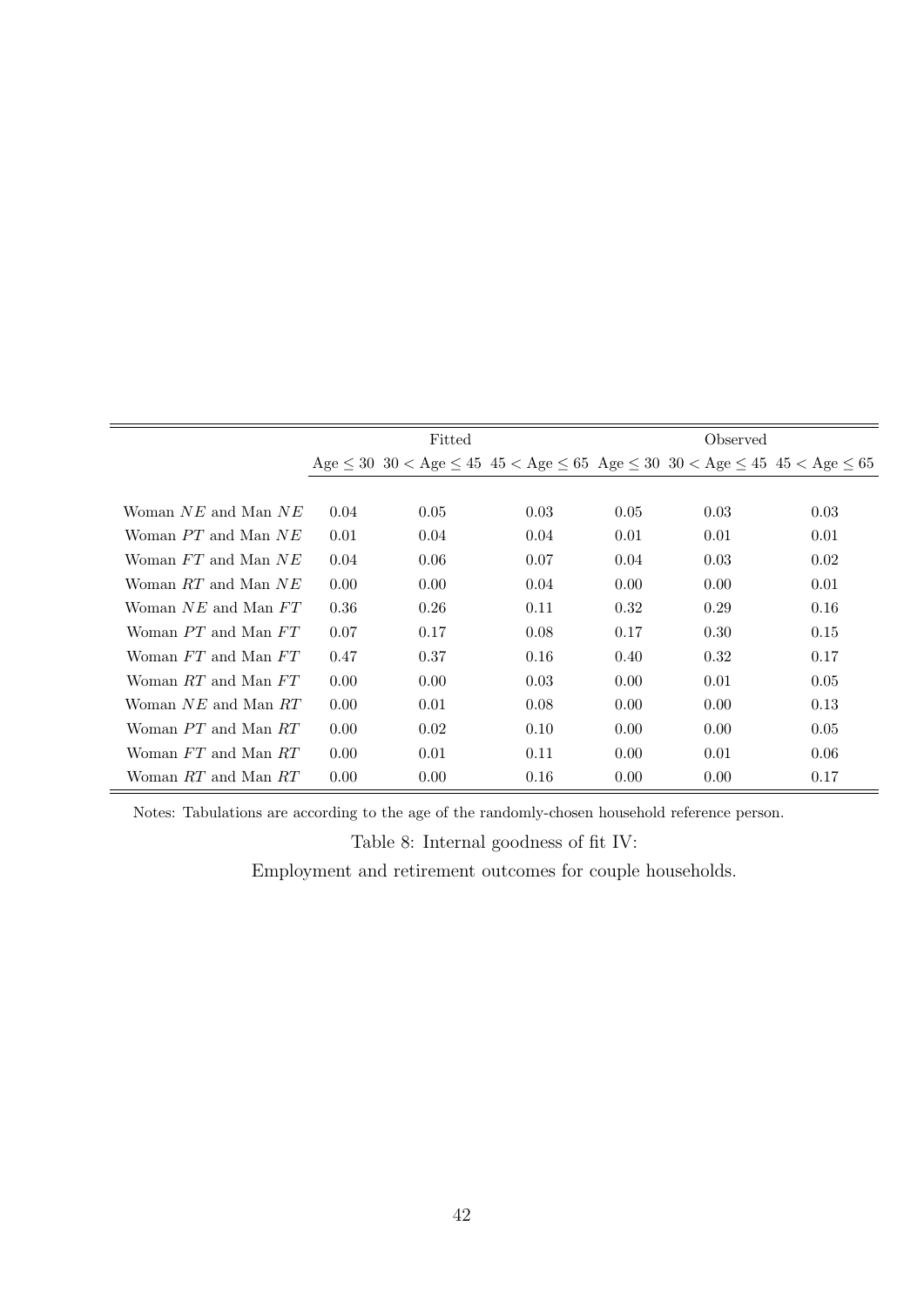|                         | Fitted |      |                                                                                                                         |      |      |      |
|-------------------------|--------|------|-------------------------------------------------------------------------------------------------------------------------|------|------|------|
|                         |        |      | Age $\leq 30$ 30 $\lt$ Age $\leq 45$ 45 $\lt$ Age $\leq 65$ Age $\leq 30$ 30 $\lt$ Age $\leq 45$ 45 $\lt$ Age $\leq 65$ |      |      |      |
|                         |        |      |                                                                                                                         |      |      |      |
| Woman $NE$ and Man $NE$ | 0.04   | 0.05 | 0.03                                                                                                                    | 0.05 | 0.03 | 0.03 |
| Woman PT and Man NE     | 0.01   | 0.04 | 0.04                                                                                                                    | 0.01 | 0.01 | 0.01 |
| Woman FT and Man NE     | 0.04   | 0.06 | 0.07                                                                                                                    | 0.04 | 0.03 | 0.02 |
| Woman RT and Man NE     | 0.00   | 0.00 | 0.04                                                                                                                    | 0.00 | 0.00 | 0.01 |
| Woman NE and Man FT     | 0.36   | 0.26 | 0.11                                                                                                                    | 0.32 | 0.29 | 0.16 |
| Woman PT and Man FT     | 0.07   | 0.17 | 0.08                                                                                                                    | 0.17 | 0.30 | 0.15 |
| Woman FT and Man FT     | 0.47   | 0.37 | 0.16                                                                                                                    | 0.40 | 0.32 | 0.17 |
| Woman RT and Man FT     | 0.00   | 0.00 | 0.03                                                                                                                    | 0.00 | 0.01 | 0.05 |
| Woman NE and Man RT     | 0.00   | 0.01 | 0.08                                                                                                                    | 0.00 | 0.00 | 0.13 |
| Woman PT and Man RT     | 0.00   | 0.02 | 0.10                                                                                                                    | 0.00 | 0.00 | 0.05 |
| Woman FT and Man RT     | 0.00   | 0.01 | 0.11                                                                                                                    | 0.00 | 0.01 | 0.06 |
| Woman RT and Man RT     | 0.00   | 0.00 | 0.16                                                                                                                    | 0.00 | 0.00 | 0.17 |

Notes: Tabulations are according to the age of the randomly-chosen household reference person.

Table 8: Internal goodness of fit IV:

Employment and retirement outcomes for couple households.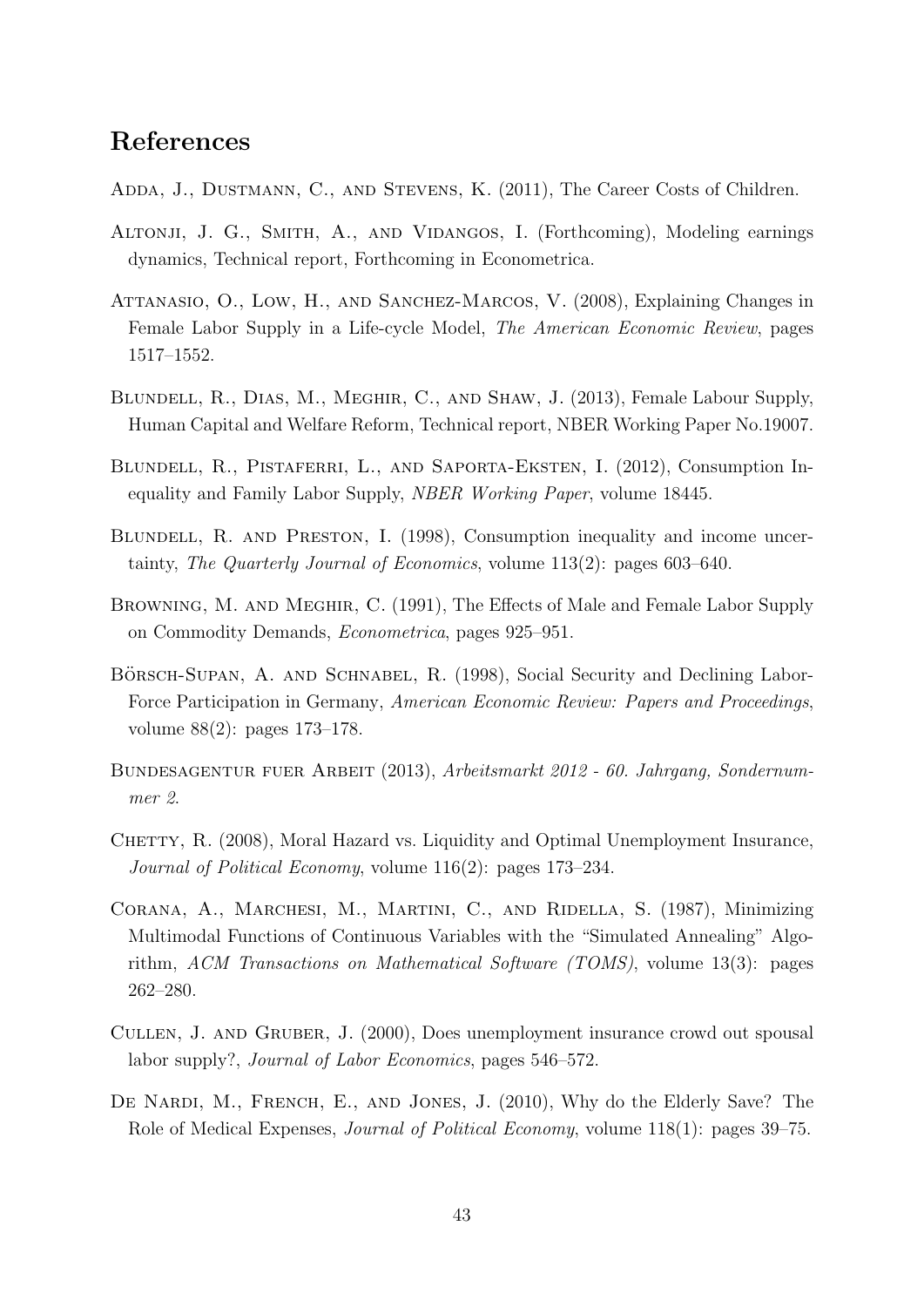## References

- Adda, J., Dustmann, C., and Stevens, K. (2011), The Career Costs of Children.
- ALTONJI, J. G., SMITH, A., AND VIDANGOS, I. (Forthcoming), Modeling earnings dynamics, Technical report, Forthcoming in Econometrica.
- ATTANASIO, O., LOW, H., AND SANCHEZ-MARCOS, V. (2008), Explaining Changes in Female Labor Supply in a Life-cycle Model, The American Economic Review, pages 1517–1552.
- Blundell, R., Dias, M., Meghir, C., and Shaw, J. (2013), Female Labour Supply, Human Capital and Welfare Reform, Technical report, NBER Working Paper No.19007.
- Blundell, R., Pistaferri, L., and Saporta-Eksten, I. (2012), Consumption Inequality and Family Labor Supply, NBER Working Paper, volume 18445.
- BLUNDELL, R. AND PRESTON, I. (1998), Consumption inequality and income uncertainty, The Quarterly Journal of Economics, volume 113(2): pages 603–640.
- Browning, M. and Meghir, C. (1991), The Effects of Male and Female Labor Supply on Commodity Demands, Econometrica, pages 925–951.
- BÖRSCH-SUPAN, A. AND SCHNABEL, R. (1998), Social Security and Declining Labor-Force Participation in Germany, American Economic Review: Papers and Proceedings, volume 88(2): pages 173–178.
- BUNDESAGENTUR FUER ARBEIT (2013), Arbeitsmarkt 2012 60. Jahrgang, Sondernummer 2.
- CHETTY, R. (2008), Moral Hazard vs. Liquidity and Optimal Unemployment Insurance, Journal of Political Economy, volume 116(2): pages 173–234.
- Corana, A., Marchesi, M., Martini, C., and Ridella, S. (1987), Minimizing Multimodal Functions of Continuous Variables with the "Simulated Annealing" Algorithm, ACM Transactions on Mathematical Software (TOMS), volume 13(3): pages 262–280.
- Cullen, J. and Gruber, J. (2000), Does unemployment insurance crowd out spousal labor supply?, Journal of Labor Economics, pages 546–572.
- DE NARDI, M., FRENCH, E., AND JONES, J. (2010), Why do the Elderly Save? The Role of Medical Expenses, Journal of Political Economy, volume 118(1): pages 39–75.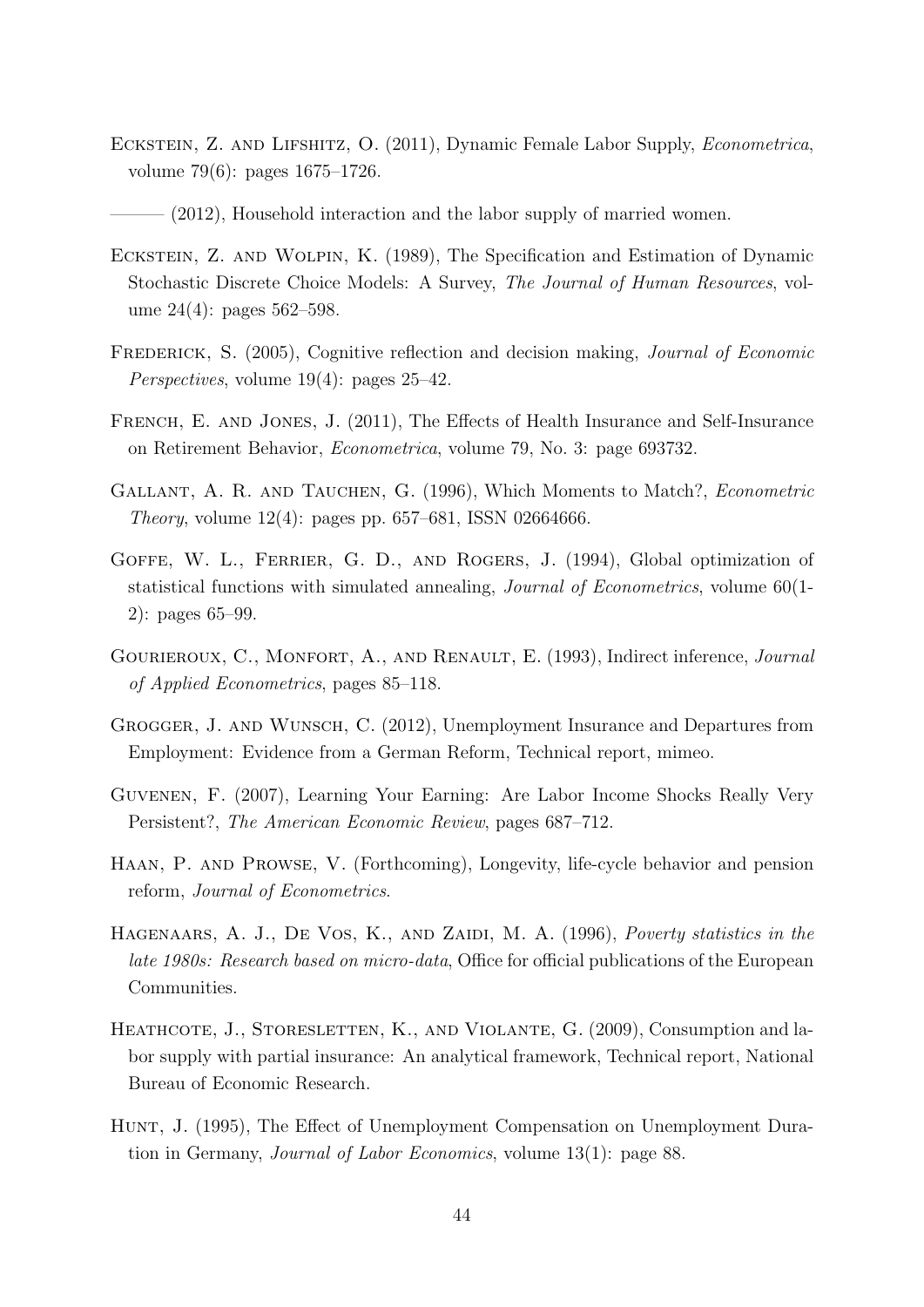- ECKSTEIN, Z. AND LIFSHITZ, O. (2011), Dynamic Female Labor Supply, *Econometrica*, volume 79(6): pages 1675–1726.
- $(2012)$ , Household interaction and the labor supply of married women.
- Eckstein, Z. and Wolpin, K. (1989), The Specification and Estimation of Dynamic Stochastic Discrete Choice Models: A Survey, The Journal of Human Resources, volume 24(4): pages 562–598.
- FREDERICK, S. (2005), Cognitive reflection and decision making, *Journal of Economic* Perspectives, volume 19(4): pages 25–42.
- French, E. and Jones, J. (2011), The Effects of Health Insurance and Self-Insurance on Retirement Behavior, Econometrica, volume 79, No. 3: page 693732.
- GALLANT, A. R. AND TAUCHEN, G. (1996), Which Moments to Match?, *Econometric Theory*, volume  $12(4)$ : pages pp. 657–681, ISSN 02664666.
- GOFFE, W. L., FERRIER, G. D., AND ROGERS, J. (1994), Global optimization of statistical functions with simulated annealing, Journal of Econometrics, volume 60(1- 2): pages 65–99.
- GOURIEROUX, C., MONFORT, A., AND RENAULT, E. (1993), Indirect inference, Journal of Applied Econometrics, pages 85–118.
- Grogger, J. and Wunsch, C. (2012), Unemployment Insurance and Departures from Employment: Evidence from a German Reform, Technical report, mimeo.
- Guvenen, F. (2007), Learning Your Earning: Are Labor Income Shocks Really Very Persistent?, The American Economic Review, pages 687–712.
- Haan, P. and Prowse, V. (Forthcoming), Longevity, life-cycle behavior and pension reform, Journal of Econometrics.
- HAGENAARS, A. J., DE VOS, K., AND ZAIDI, M. A. (1996), Poverty statistics in the late 1980s: Research based on micro-data, Office for official publications of the European Communities.
- HEATHCOTE, J., STORESLETTEN, K., AND VIOLANTE, G. (2009), Consumption and labor supply with partial insurance: An analytical framework, Technical report, National Bureau of Economic Research.
- Hunt, J. (1995), The Effect of Unemployment Compensation on Unemployment Duration in Germany, Journal of Labor Economics, volume 13(1): page 88.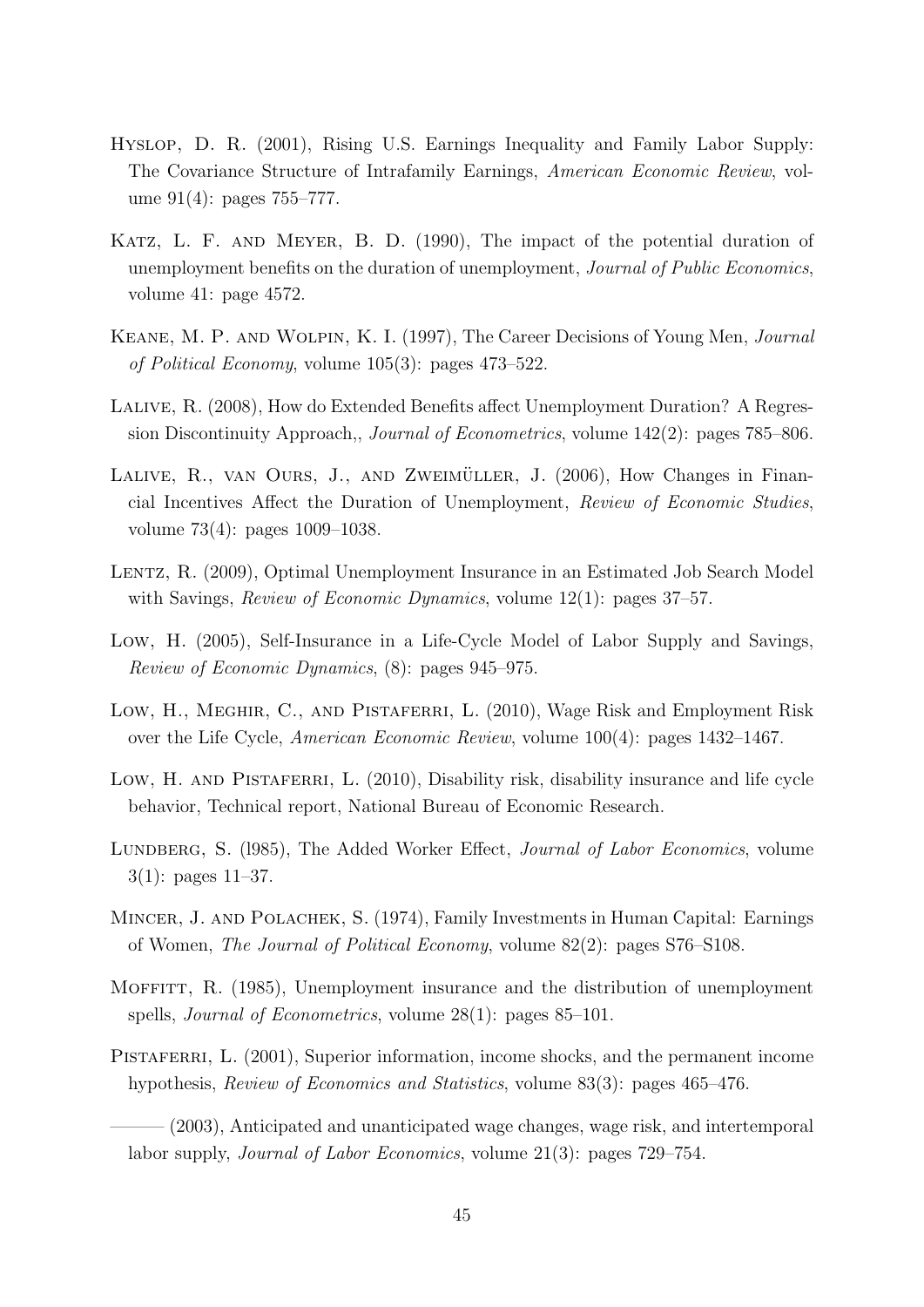- Hyslop, D. R. (2001), Rising U.S. Earnings Inequality and Family Labor Supply: The Covariance Structure of Intrafamily Earnings, American Economic Review, volume 91(4): pages 755–777.
- Katz, L. F. and Meyer, B. D. (1990), The impact of the potential duration of unemployment benefits on the duration of unemployment, Journal of Public Economics, volume 41: page 4572.
- Keane, M. P. and Wolpin, K. I. (1997), The Career Decisions of Young Men, Journal of Political Economy, volume 105(3): pages 473–522.
- Lalive, R. (2008), How do Extended Benefits affect Unemployment Duration? A Regression Discontinuity Approach,, Journal of Econometrics, volume 142(2): pages 785–806.
- LALIVE, R., VAN OURS, J., AND ZWEIMÜLLER, J. (2006), How Changes in Financial Incentives Affect the Duration of Unemployment, Review of Economic Studies, volume 73(4): pages 1009–1038.
- LENTZ, R. (2009), Optimal Unemployment Insurance in an Estimated Job Search Model with Savings, *Review of Economic Dynamics*, volume 12(1): pages 37–57.
- Low, H. (2005), Self-Insurance in a Life-Cycle Model of Labor Supply and Savings, Review of Economic Dynamics, (8): pages 945–975.
- Low, H., Meghir, C., and Pistaferri, L. (2010), Wage Risk and Employment Risk over the Life Cycle, American Economic Review, volume 100(4): pages 1432–1467.
- Low, H. AND PISTAFERRI, L. (2010), Disability risk, disability insurance and life cycle behavior, Technical report, National Bureau of Economic Research.
- LUNDBERG, S. (1985), The Added Worker Effect, *Journal of Labor Economics*, volume 3(1): pages 11–37.
- Mincer, J. and Polachek, S. (1974), Family Investments in Human Capital: Earnings of Women, The Journal of Political Economy, volume 82(2): pages S76–S108.
- MOFFITT, R. (1985), Unemployment insurance and the distribution of unemployment spells, Journal of Econometrics, volume 28(1): pages 85–101.
- PISTAFERRI, L. (2001), Superior information, income shocks, and the permanent income hypothesis, Review of Economics and Statistics, volume 83(3): pages 465–476.

 $(2003)$ , Anticipated and unanticipated wage changes, wage risk, and intertemporal labor supply, Journal of Labor Economics, volume 21(3): pages 729–754.